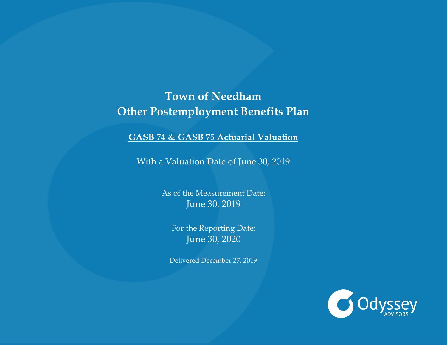# **Town of Needham Other Postemployment Benefits Plan**

**GASB 74 & GASB 75 Actuarial Valuation**

With a Valuation Date of June 30, 2019

As of the Measurement Date: June 30, 2019

For the Reporting Date: June 30, 2020

Delivered December 27, 2019

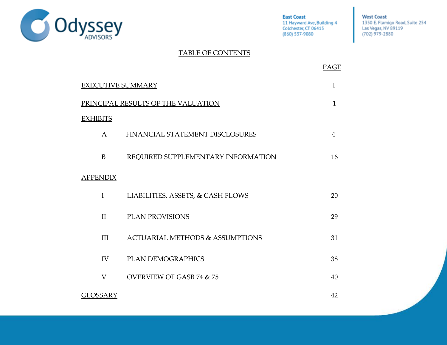

**West Coast** 1350 E. Flamigo Road, Suite 254 Las Vegas, NV 89119<br>(702) 979-2880

### TABLE OF CONTENTS

|                          |                                            | PAGE |  |  |  |  |  |
|--------------------------|--------------------------------------------|------|--|--|--|--|--|
| <b>EXECUTIVE SUMMARY</b> |                                            |      |  |  |  |  |  |
|                          | PRINCIPAL RESULTS OF THE VALUATION         | 1    |  |  |  |  |  |
| <b>EXHIBITS</b>          |                                            |      |  |  |  |  |  |
| $A \quad \alpha$         | FINANCIAL STATEMENT DISCLOSURES            | 4    |  |  |  |  |  |
| B                        | REQUIRED SUPPLEMENTARY INFORMATION         | 16   |  |  |  |  |  |
| <b>APPENDIX</b>          |                                            |      |  |  |  |  |  |
| $\bf{I}$                 | LIABILITIES, ASSETS, & CASH FLOWS          | 20   |  |  |  |  |  |
| $\mathbf{I}$             | <b>PLAN PROVISIONS</b>                     | 29   |  |  |  |  |  |
| III                      | <b>ACTUARIAL METHODS &amp; ASSUMPTIONS</b> | 31   |  |  |  |  |  |
| IV                       | <b>PLAN DEMOGRAPHICS</b>                   | 38   |  |  |  |  |  |
| $\rm V$                  | <b>OVERVIEW OF GASB 74 &amp; 75</b>        | 40   |  |  |  |  |  |
| <b>GLOSSARY</b>          |                                            | 42   |  |  |  |  |  |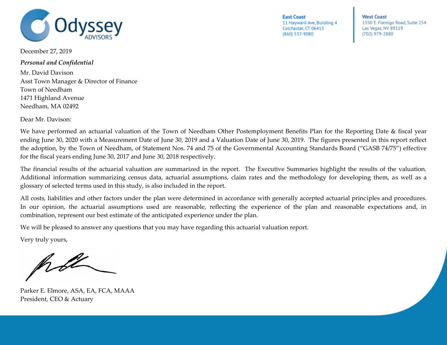

**West Coast** 1350 E. Flamigo Road, Suite 254 Las Vegas, NV 89119 (702) 979-2880

December 27, 2019

*Personal and Confidential*

Mr. David Davison Asst Town Manager & Director of Finance Town of Needham 1471 Highland Avenue Needham, MA 02492

Dear Mr. Davison:

We have performed an actuarial valuation of the Town of Needham Other Postemployment Benefits Plan for the Reporting Date & fiscal year ending June 30, 2020 with a Measurement Date of June 30, 2019 and a Valuation Date of June 30, 2019. The figures presented in this report reflect the adoption, by the Town of Needham, of Statement Nos. 74 and 75 of the Governmental Accounting Standards Board ("GASB 74/75") effective for the fiscal years ending June 30, 2017 and June 30, 2018 respectively.

The financial results of the actuarial valuation are summarized in the report. The Executive Summaries highlight the results of the valuation. Additional information summarizing census data, actuarial assumptions, claim rates and the methodology for developing them, as well as a glossary of selected terms used in this study, is also included in the report.

All costs, liabilities and other factors under the plan were determined in accordance with generally accepted actuarial principles and procedures. In our opinion, the actuarial assumptions used are reasonable, reflecting the experience of the plan and reasonable expectations and, in combination, represent our best estimate of the anticipated experience under the plan.

We will be pleased to answer any questions that you may have regarding this actuarial valuation report.

Very truly yours,

Parker E. Elmore, ASA, EA, FCA, MAAA President, CEO & Actuary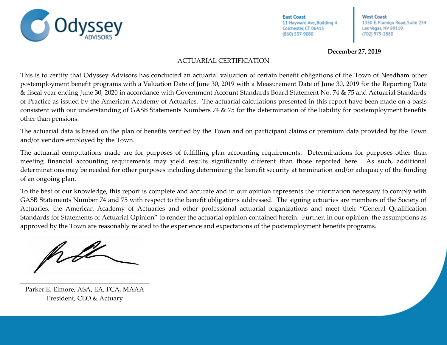**West Coast** 1350 E. Flamigo Road, Suite 254 Las Vegas, NV 89119 (702) 979-2880

**December 27, 2019**

### ACTUARIAL CERTIFICATION

This is to certify that Odyssey Advisors has conducted an actuarial valuation of certain benefit obligations of the Town of Needham other postemployment benefit programs with a Valuation Date of June 30, 2019 with a Measurement Date of June 30, 2019 for the Reporting Date & fiscal year ending June 30, 2020 in accordance with Government Account Standards Board Statement No. 74 & 75 and Actuarial Standards of Practice as issued by the American Academy of Actuaries. The actuarial calculations presented in this report have been made on a basis consistent with our understanding of GASB Statements Numbers 74 & 75 for the determination of the liability for postemployment benefits other than pensions.

The actuarial data is based on the plan of benefits verified by the Town and on participant claims or premium data provided by the Town and/or vendors employed by the Town.

The actuarial computations made are for purposes of fulfilling plan accounting requirements. Determinations for purposes other than meeting financial accounting requirements may yield results significantly different than those reported here. As such, additional determinations may be needed for other purposes including determining the benefit security at termination and/or adequacy of the funding of an ongoing plan.

To the best of our knowledge, this report is complete and accurate and in our opinion represents the information necessary to comply with GASB Statements Number 74 and 75 with respect to the benefit obligations addressed. The signing actuaries are members of the Society of Actuaries, the American Academy of Actuaries and other professional actuarial organizations and meet their "General Qualification Standards for Statements of Actuarial Opinion" to render the actuarial opinion contained herein. Further, in our opinion, the assumptions as approved by the Town are reasonably related to the experience and expectations of the postemployment benefits programs.

Parker E. Elmore, ASA, EA, FCA, MAAA President, CEO & Actuary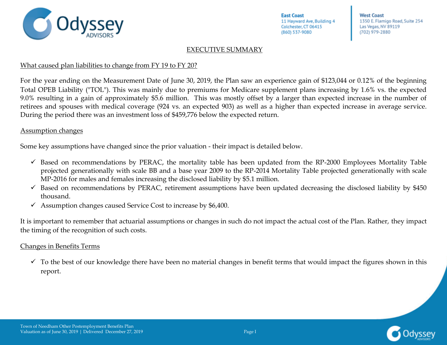

**West Coast** 1350 E. Flamigo Road, Suite 254 Las Vegas, NV 89119 (702) 979-2880

#### EXECUTIVE SUMMARY

### What caused plan liabilities to change from FY 19 to FY 20?

For the year ending on the Measurement Date of June 30, 2019, the Plan saw an experience gain of \$123,044 or 0.12% of the beginning Total OPEB Liability ("TOL"). This was mainly due to premiums for Medicare supplement plans increasing by 1.6% vs. the expected 9.0% resulting in a gain of approximately \$5.6 million. This was mostly offset by a larger than expected increase in the number of retirees and spouses with medical coverage (924 vs. an expected 903) as well as a higher than expected increase in average service. During the period there was an investment loss of \$459,776 below the expected return.

### Assumption changes

Some key assumptions have changed since the prior valuation - their impact is detailed below.

- $\checkmark$  Based on recommendations by PERAC, the mortality table has been updated from the RP-2000 Employees Mortality Table projected generationally with scale BB and a base year 2009 to the RP-2014 Mortality Table projected generationally with scale MP-2016 for males and females increasing the disclosed liability by \$5.1 million.
- $\checkmark$  Based on recommendations by PERAC, retirement assumptions have been updated decreasing the disclosed liability by \$450 thousand.
- $\checkmark$  Assumption changes caused Service Cost to increase by \$6,400.

It is important to remember that actuarial assumptions or changes in such do not impact the actual cost of the Plan. Rather, they impact the timing of the recognition of such costs.

### Changes in Benefits Terms

 $\checkmark$  To the best of our knowledge there have been no material changes in benefit terms that would impact the figures shown in this report.

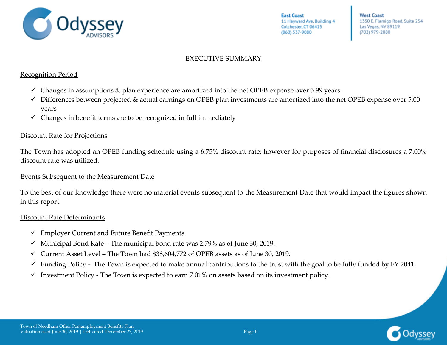

**West Coast** 1350 E. Flamigo Road, Suite 254 Las Vegas, NV 89119 (702) 979-2880

### EXECUTIVE SUMMARY

#### Recognition Period

- $\checkmark$  Changes in assumptions & plan experience are amortized into the net OPEB expense over 5.99 years.
- ✓ Differences between projected & actual earnings on OPEB plan investments are amortized into the net OPEB expense over 5.00 years
- $\checkmark$  Changes in benefit terms are to be recognized in full immediately

#### Discount Rate for Projections

The Town has adopted an OPEB funding schedule using a 6.75% discount rate; however for purposes of financial disclosures a 7.00% discount rate was utilized.

#### Events Subsequent to the Measurement Date

To the best of our knowledge there were no material events subsequent to the Measurement Date that would impact the figures shown in this report.

### Discount Rate Determinants

- $\checkmark$  Employer Current and Future Benefit Payments
- $\checkmark$  Municipal Bond Rate The municipal bond rate was 2.79% as of June 30, 2019.
- $\checkmark$  Current Asset Level The Town had \$38,604,772 of OPEB assets as of June 30, 2019.
- $\checkmark$  Funding Policy The Town is expected to make annual contributions to the trust with the goal to be fully funded by FY 2041.
- $\checkmark$  Investment Policy The Town is expected to earn 7.01% on assets based on its investment policy.

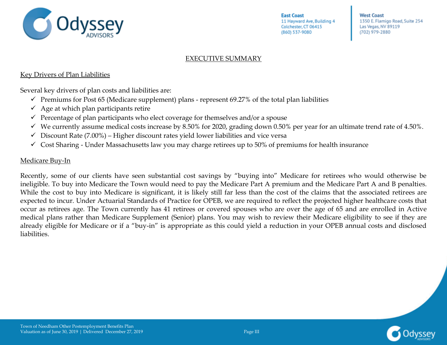

**West Coast** 1350 E. Flamigo Road, Suite 254 Las Vegas, NV 89119 (702) 979-2880

### EXECUTIVE SUMMARY

#### Key Drivers of Plan Liabilities

Several key drivers of plan costs and liabilities are:

- $\checkmark$  Premiums for Post 65 (Medicare supplement) plans represent 69.27% of the total plan liabilities
- $\checkmark$  Age at which plan participants retire
- $\checkmark$  Percentage of plan participants who elect coverage for themselves and/or a spouse
- $\checkmark$  We currently assume medical costs increase by 8.50% for 2020, grading down 0.50% per year for an ultimate trend rate of 4.50%.
- $\checkmark$  Discount Rate (7.00%) Higher discount rates yield lower liabilities and vice versa
- $\checkmark$  Cost Sharing Under Massachusetts law you may charge retirees up to 50% of premiums for health insurance

#### Medicare Buy-In

Recently, some of our clients have seen substantial cost savings by "buying into" Medicare for retirees who would otherwise be ineligible. To buy into Medicare the Town would need to pay the Medicare Part A premium and the Medicare Part A and B penalties. While the cost to buy into Medicare is significant, it is likely still far less than the cost of the claims that the associated retirees are expected to incur. Under Actuarial Standards of Practice for OPEB, we are required to reflect the projected higher healthcare costs that occur as retirees age. The Town currently has 41 retirees or covered spouses who are over the age of 65 and are enrolled in Active medical plans rather than Medicare Supplement (Senior) plans. You may wish to review their Medicare eligibility to see if they are already eligible for Medicare or if a "buy-in" is appropriate as this could yield a reduction in your OPEB annual costs and disclosed liabilities.

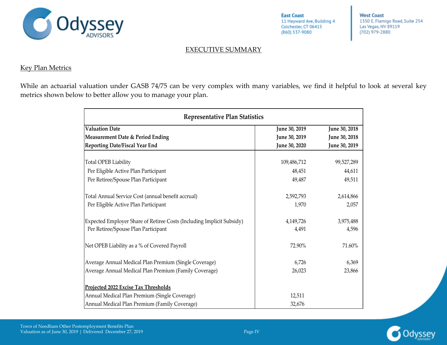

**West Coast** 1350 E. Flamigo Road, Suite 254 Las Vegas, NV 89119 (702) 979-2880

### EXECUTIVE SUMMARY

#### Key Plan Metrics

While an actuarial valuation under GASB 74/75 can be very complex with many variables, we find it helpful to look at several key metrics shown below to better allow you to manage your plan.

| Representative Plan Statistics                                        |               |               |  |  |  |  |  |  |  |
|-----------------------------------------------------------------------|---------------|---------------|--|--|--|--|--|--|--|
| <b>Valuation Date</b>                                                 | June 30, 2019 | June 30, 2018 |  |  |  |  |  |  |  |
| Measurement Date & Period Ending                                      | June 30, 2019 | June 30, 2018 |  |  |  |  |  |  |  |
| <b>Reporting Date/Fiscal Year End</b>                                 | June 30, 2020 | June 30, 2019 |  |  |  |  |  |  |  |
|                                                                       |               |               |  |  |  |  |  |  |  |
| Total OPEB Liability                                                  | 109,486,712   | 99,527,289    |  |  |  |  |  |  |  |
| Per Eligible Active Plan Participant                                  | 48,451        | 44,611        |  |  |  |  |  |  |  |
| Per Retiree/Spouse Plan Participant                                   | 49,487        | 49,511        |  |  |  |  |  |  |  |
| Total Annual Service Cost (annual benefit accrual)                    | 2,592,793     | 2,614,866     |  |  |  |  |  |  |  |
| Per Eligible Active Plan Participant                                  | 1,970         | 2,057         |  |  |  |  |  |  |  |
| Expected Employer Share of Retiree Costs (Including Implicit Subsidy) | 4,149,726     | 3,975,488     |  |  |  |  |  |  |  |
| Per Retiree/Spouse Plan Participant                                   | 4,491         | 4,596         |  |  |  |  |  |  |  |
| Net OPEB Liability as a % of Covered Payroll                          | 72.90%        | 71.60%        |  |  |  |  |  |  |  |
| Average Annual Medical Plan Premium (Single Coverage)                 | 6,726         | 6,369         |  |  |  |  |  |  |  |
| Average Annual Medical Plan Premium (Family Coverage)                 | 26,023        | 23,866        |  |  |  |  |  |  |  |
| Projected 2022 Excise Tax Thresholds                                  |               |               |  |  |  |  |  |  |  |
| Annual Medical Plan Premium (Single Coverage)                         | 12,511        |               |  |  |  |  |  |  |  |
| Annual Medical Plan Premium (Family Coverage)                         | 32,676        |               |  |  |  |  |  |  |  |

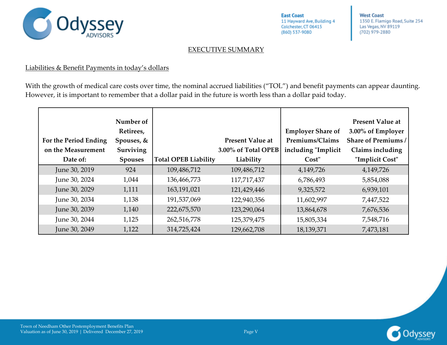

**West Coast** 1350 E. Flamigo Road, Suite 254 Las Vegas, NV 89119 (702) 979-2880

### EXECUTIVE SUMMARY

#### Liabilities & Benefit Payments in today's dollars

With the growth of medical care costs over time, the nominal accrued liabilities ("TOL") and benefit payments can appear daunting. However, it is important to remember that a dollar paid in the future is worth less than a dollar paid today.

| For the Period Ending<br>on the Measurement<br>Date of: | Number of<br>Retirees,<br>Spouses, $&$<br><b>Surviving</b><br><b>Spouses</b> | <b>Total OPEB Liability</b> | <b>Present Value at</b><br>3.00% of Total OPEB<br>Liability | <b>Employer Share of</b><br>Premiums/Claims<br>including "Implicit<br>Cost" | <b>Present Value at</b><br>3.00% of Employer<br><b>Share of Premiums /</b><br>Claims including<br>"Implicit Cost" |
|---------------------------------------------------------|------------------------------------------------------------------------------|-----------------------------|-------------------------------------------------------------|-----------------------------------------------------------------------------|-------------------------------------------------------------------------------------------------------------------|
| June 30, 2019                                           | 924                                                                          | 109,486,712                 | 109,486,712                                                 | 4,149,726                                                                   | 4,149,726                                                                                                         |
| June 30, 2024                                           | 1,044                                                                        | 136,466,773                 | 117,717,437                                                 | 6,786,493                                                                   | 5,854,088                                                                                                         |
| June 30, 2029                                           | 1,111                                                                        | 163,191,021                 | 121,429,446                                                 | 9,325,572                                                                   | 6,939,101                                                                                                         |
| June 30, 2034                                           | 1,138                                                                        | 191,537,069                 | 122,940,356                                                 | 11,602,997                                                                  | 7,447,522                                                                                                         |
| June 30, 2039                                           | 1,140                                                                        | 222,675,570                 | 123,290,064                                                 | 13,864,678                                                                  | 7,676,536                                                                                                         |
| June 30, 2044                                           | 1,125                                                                        | 262,516,778                 | 125,379,475                                                 | 15,805,334                                                                  | 7,548,716                                                                                                         |
| June 30, 2049                                           | 1,122                                                                        | 314,725,424                 | 129,662,708                                                 | 18,139,371                                                                  | 7,473,181                                                                                                         |

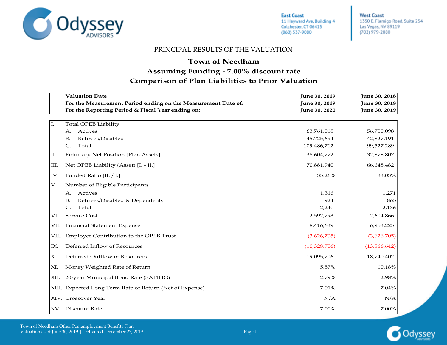<span id="page-9-0"></span>

**West Coast** 1350 E. Flamigo Road, Suite 254 Las Vegas, NV 89119 (702) 979-2880

#### PRINCIPAL RESULTS OF THE VALUATION

### **Town of Needham**

### **Comparison of Plan Liabilities to Prior Valuation Assuming Funding - 7.00% discount rate**

|      | <b>Valuation Date</b>                                         | June 30, 2019 | June 30, 2018  |
|------|---------------------------------------------------------------|---------------|----------------|
|      | For the Measurement Period ending on the Measurement Date of: | June 30, 2019 | June 30, 2018  |
|      | For the Reporting Period & Fiscal Year ending on:             | June 30, 2020 | June 30, 2019  |
|      |                                                               |               |                |
| I.   | <b>Total OPEB Liability</b>                                   |               |                |
|      | Actives<br>А.                                                 | 63,761,018    | 56,700,098     |
|      | Retirees/Disabled<br><b>B.</b>                                | 45,725,694    | 42,827,191     |
|      | $\mathsf{C}$ .<br>Total                                       | 109,486,712   | 99,527,289     |
| П.   | Fiduciary Net Position [Plan Assets]                          | 38,604,772    | 32,878,807     |
| Ш.   | Net OPEB Liability (Asset) [I. - II.]                         | 70,881,940    | 66,648,482     |
| IV.  | Funded Ratio [II. / I.]                                       | 35.26%        | 33.03%         |
| V.   | Number of Eligible Participants                               |               |                |
|      | Actives<br>А.                                                 | 1,316         | 1,271          |
|      | Retirees/Disabled & Dependents<br><b>B.</b>                   | 924           | 865            |
|      | $\mathsf{C}$ .<br>Total                                       | 2,240         | 2,136          |
| VI.  | Service Cost                                                  | 2,592,793     | 2,614,866      |
|      | VII. Financial Statement Expense                              | 8,416,639     | 6,953,225      |
|      | VIII. Employer Contribution to the OPEB Trust                 | (3,626,705)   | (3,626,705)    |
| IX.  | Deferred Inflow of Resources                                  | (10,328,706)  | (13, 566, 642) |
| Х.   | Deferred Outflow of Resources                                 | 19,095,716    | 18,740,402     |
| XI.  | Money Weighted Rate of Return                                 | 5.57%         | 10.18%         |
| XII. | 20-year Municipal Bond Rate (SAPIHG)                          | 2.79%         | 2.98%          |
|      | XIII. Expected Long Term Rate of Return (Net of Expense)      | 7.01%         | 7.04%          |
|      | XIV. Crossover Year                                           | N/A           | N/A            |
|      | XV. Discount Rate                                             | 7.00%         | 7.00%          |

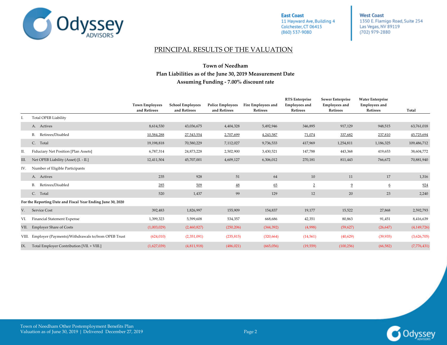

**West Coast** 1350 E. Flamigo Road, Suite 254 Las Vegas, NV 89119 (702) 979-2880

#### PRINCIPAL RESULTS OF THE VALUATION

#### **Plan Liabilities as of the June 30, 2019 Measurement Date Assuming Funding - 7.00% discount rate Town of Needham**

|      |                                                             | <b>Town Employees</b><br>and Retirees | <b>School Employees</b><br>and Retirees | <b>Police Employees</b><br>and Retirees | Fire Employees and<br>Retirees | <b>RTS</b> Enterprise<br><b>Employees</b> and<br>Retirees | Sewer Enterprise<br><b>Employees</b> and<br>Retirees | <b>Water Enterprise</b><br><b>Employees</b> and<br>Retirees | Total         |
|------|-------------------------------------------------------------|---------------------------------------|-----------------------------------------|-----------------------------------------|--------------------------------|-----------------------------------------------------------|------------------------------------------------------|-------------------------------------------------------------|---------------|
|      | <b>Total OPEB Liability</b>                                 |                                       |                                         |                                         |                                |                                                           |                                                      |                                                             |               |
|      | A. Actives                                                  | 8,614,530                             | 43,036,675                              | 4,404,328                               | 5,492,946                      | 346,895                                                   | 917,129                                              | 948,515                                                     | 63,761,018    |
|      | Retirees/Disabled<br>В.                                     | 10,584,288                            | 27,543,554                              | 2,707,699                               | 4,243,587                      | 71,074                                                    | 337,682                                              | 237,810                                                     | 45,725,694    |
|      | C. Total                                                    | 19,198,818                            | 70,580,229                              | 7,112,027                               | 9,736,533                      | 417,969                                                   | 1,254,811                                            | 1,186,325                                                   | 109,486,712   |
| П.   | Fiduciary Net Position [Plan Assets]                        | 6,787,314                             | 24,873,228                              | 2,502,900                               | 3,430,521                      | 147,788                                                   | 443,368                                              | 419,653                                                     | 38,604,772    |
| III. | Net OPEB Liability (Asset) [I. - II.]                       | 12,411,504                            | 45,707,001                              | 4,609,127                               | 6,306,012                      | 270,181                                                   | 811,443                                              | 766,672                                                     | 70,881,940    |
| IV.  | Number of Eligible Participants                             |                                       |                                         |                                         |                                |                                                           |                                                      |                                                             |               |
|      | A. Actives                                                  | 235                                   | 928                                     | 51                                      | 64                             | 10                                                        | 11                                                   | 17                                                          | 1,316         |
|      | B. Retirees/Disabled                                        | 285                                   | 509                                     | $\ensuremath{48}$                       | 65                             | $\overline{2}$                                            | $\overline{9}$                                       | $6\phantom{.}6$                                             | 924           |
|      | C. Total                                                    | 520                                   | 1,437                                   | 99                                      | 129                            | 12                                                        | 20                                                   | 23                                                          | 2,240         |
|      | For the Reporting Date and Fiscal Year Ending June 30, 2020 |                                       |                                         |                                         |                                |                                                           |                                                      |                                                             |               |
| V.   | Service Cost                                                | 392,483                               | 1,826,997                               | 155,909                                 | 154,837                        | 19,177                                                    | 15,522                                               | 27,868                                                      | 2,592,793     |
| VI.  | Financial Statement Expense                                 | 1,399,323                             | 5,599,608                               | 534,357                                 | 668,686                        | 42,351                                                    | 80,863                                               | 91,451                                                      | 8,416,639     |
| VII. | <b>Employer Share of Costs</b>                              | (1,003,029)                           | (2,460,827)                             | (250, 206)                              | (344, 392)                     | (4,998)                                                   | (59, 627)                                            | (26, 647)                                                   | (4, 149, 726) |
|      | VIII. Employer (Payments)/Withdrawals to/from OPEB Trust    | (624,010)                             | (2,351,091)                             | (235, 815)                              | (320, 664)                     | (14, 561)                                                 | (40, 629)                                            | (39, 935)                                                   | (3,626,705)   |
| IX.  | Total Employer Contribution [VII. + VIII.]                  | (1,627,039)                           | (4,811,918)                             | (486, 021)                              | (665,056)                      | (19, 559)                                                 | (100, 256)                                           | (66, 582)                                                   | (7,776,431)   |

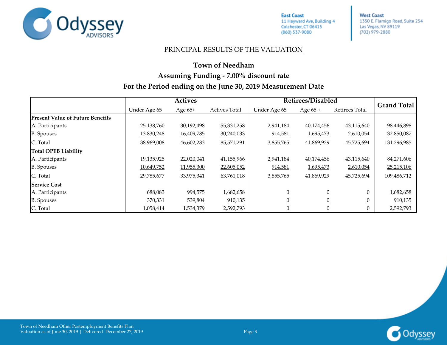

**West Coast** 1350 E. Flamigo Road, Suite 254 Las Vegas, NV 89119 (702) 979-2880

#### PRINCIPAL RESULTS OF THE VALUATION

### **Town of Needham Assuming Funding - 7.00% discount rate For the Period ending on the June 30, 2019 Measurement Date**

|                                         | <b>Actives</b> |            |                      | Retirees/Disabled | <b>Grand Total</b> |                       |             |
|-----------------------------------------|----------------|------------|----------------------|-------------------|--------------------|-----------------------|-------------|
|                                         | Under Age 65   | Age $65+$  | <b>Actives Total</b> | Under Age 65      | Age $65 +$         | <b>Retirees Total</b> |             |
| <b>Present Value of Future Benefits</b> |                |            |                      |                   |                    |                       |             |
| A. Participants                         | 25,138,760     | 30,192,498 | 55,331,258           | 2,941,184         | 40,174,456         | 43,115,640            | 98,446,898  |
| <b>B.</b> Spouses                       | 13,830,248     | 16,409,785 | 30,240,033           | 914,581           | 1,695,473          | 2,610,054             | 32,850,087  |
| C. Total                                | 38,969,008     | 46,602,283 | 85,571,291           | 3,855,765         | 41,869,929         | 45,725,694            | 131,296,985 |
| <b>Total OPEB Liability</b>             |                |            |                      |                   |                    |                       |             |
| A. Participants                         | 19,135,925     | 22,020,041 | 41,155,966           | 2,941,184         | 40,174,456         | 43,115,640            | 84,271,606  |
| <b>B.</b> Spouses                       | 10,649,752     | 11,955,300 | 22,605,052           | 914,581           | 1,695,473          | 2,610,054             | 25,215,106  |
| C. Total                                | 29,785,677     | 33,975,341 | 63,761,018           | 3,855,765         | 41,869,929         | 45,725,694            | 109,486,712 |
| <b>Service Cost</b>                     |                |            |                      |                   |                    |                       |             |
| A. Participants                         | 688,083        | 994,575    | 1,682,658            | $\Omega$          | $\Omega$           | $\theta$              | 1,682,658   |
| <b>B.</b> Spouses                       | 370,331        | 539,804    | 910,135              | $\overline{0}$    |                    |                       | 910,135     |
| C. Total                                | 1,058,414      | 1,534,379  | 2,592,793            | $\Omega$          | $\Omega$           |                       | 2,592,793   |

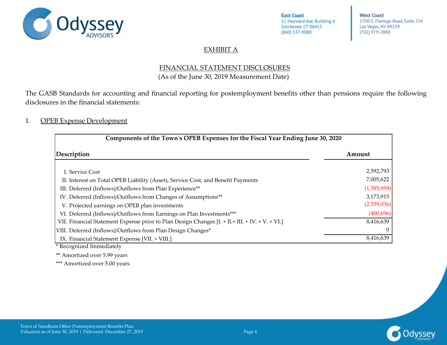

**West Coast** 1350 E. Flamigo Road, Suite 254 Las Vegas, NV 89119 (702) 979-2880

### EXHIBIT A

### FINANCIAL STATEMENT DISCLOSURES (As of the June 30, 2019 Measurement Date)

<span id="page-12-0"></span>The GASB Standards for accounting and financial reporting for postemployment benefits other than pensions require the following disclosures in the financial statements:

### 1. OPEB Expense Development

| Components of the Town's OPEB Expenses for the Fiscal Year Ending June 30, 2020                  |             |  |  |  |  |  |
|--------------------------------------------------------------------------------------------------|-------------|--|--|--|--|--|
| Description                                                                                      | Amount      |  |  |  |  |  |
| I. Service Cost                                                                                  | 2,592,793   |  |  |  |  |  |
| II. Interest on Total OPEB Liability (Asset), Service Cost, and Benefit Payments                 | 7,005,622   |  |  |  |  |  |
| III. Deferred (Inflows)/Outflows from Plan Experience**                                          | (1,395,959) |  |  |  |  |  |
| IV. Deferred (Inflows)/Outflows from Changes of Assumptions**                                    | 3,173,915   |  |  |  |  |  |
| V. Projected earnings on OPEB plan investments                                                   | (2,559,036) |  |  |  |  |  |
| VI. Deferred (Inflows)/Outflows from Earnings on Plan Investments***                             | (400, 696)  |  |  |  |  |  |
| VII. Financial Statement Expense prior to Plan Design Changes [I. + II. + III. + IV. + V. + VI.] | 8,416,639   |  |  |  |  |  |
| VIII. Deferred (Inflows)/Outflows from Plan Design Changes*                                      |             |  |  |  |  |  |
| IX. Financial Statement Expense [VII. + VIII.]                                                   | 8,416,639   |  |  |  |  |  |

\* Recognized Immediately

\*\* Amortized over 5.99 years

\*\*\* Amortized over 5.00 years

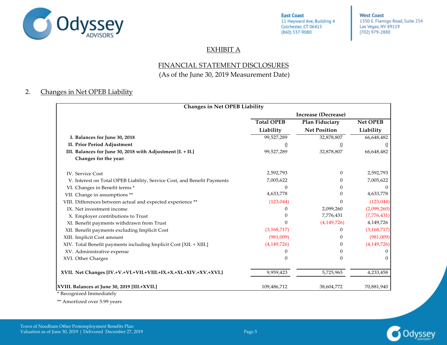

**West Coast** 1350 E. Flamigo Road, Suite 254 Las Vegas, NV 89119 (702) 979-2880

### EXHIBIT A

### FINANCIAL STATEMENT DISCLOSURES

(As of the June 30, 2019 Measurement Date)

### 2. Changes in Net OPEB Liability

| Changes in Net OPEB Liability                                           |                   |                            |                 |
|-------------------------------------------------------------------------|-------------------|----------------------------|-----------------|
|                                                                         |                   | <b>Increase (Decrease)</b> |                 |
|                                                                         | <b>Total OPEB</b> | Plan Fiduciary             | <b>Net OPEB</b> |
|                                                                         | Liability         | <b>Net Position</b>        | Liability       |
| I. Balances for June 30, 2018                                           | 99,527,289        | 32,878,807                 | 66,648,482      |
| II. Prior Period Adjustment                                             |                   |                            |                 |
| III. Balances for June 30, 2018 with Adjustment [I. + II.]              | 99,527,289        | 32,878,807                 | 66,648,482      |
| Changes for the year:                                                   |                   |                            |                 |
| <b>IV.</b> Service Cost                                                 | 2,592,793         | $\theta$                   | 2,592,793       |
| V. Interest on Total OPEB Liability, Service Cost, and Benefit Payments | 7,005,622         |                            | 7,005,622       |
| VI. Changes in Benefit terms *                                          |                   |                            |                 |
| VII. Change in assumptions **                                           | 4,633,778         |                            | 4,633,778       |
| VIII. Differences between actual and expected experience **             | (123, 044)        | 0                          | (123, 044)      |
| IX. Net investment income                                               |                   | 2,099,260                  | (2,099,260)     |
| X. Employer contributions to Trust                                      |                   | 7,776,431                  | (7,776,431)     |
| XI. Benefit payments withdrawn from Trust                               | $\Omega$          | (4,149,726)                | 4,149,726       |
| XII. Benefit payments excluding Implicit Cost                           | (3,168,717)       | 0                          | (3, 168, 717)   |
| XIII. Implicit Cost amount                                              | (981,009)         |                            | (981,009)       |
| XIV. Total Benefit payments including Implicit Cost [XII. + XIII.]      | (4,149,726)       | 0                          | (4, 149, 726)   |
| XV. Administrative expense                                              |                   |                            |                 |
| XVI. Other Charges                                                      | $\Omega$          | 0                          |                 |
| XVII. Net Changes [IV.+V.+VI.+VII.+VIII.+IX.+X.+XI.+XIV.+XV.+XVI.]      | 9,959,423         | 5,725,965                  | 4,233,458       |
| XVIII. Balances at June 30, 2019 [III.+XVII.]                           | 109,486,712       | 38,604,772                 | 70,881,940      |

\* Recognized Immediately

\*\* Amortized over 5.99 years

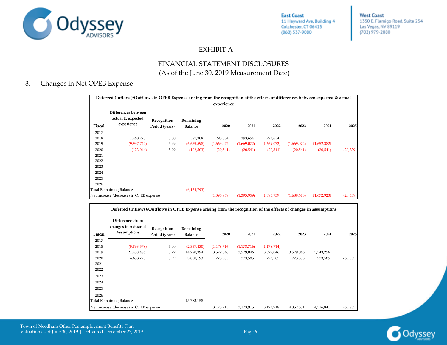

**West Coast** 1350 E. Flamigo Road, Suite 254 Las Vegas, NV 89119 (702) 979-2880

### EXHIBIT A

### FINANCIAL STATEMENT DISCLOSURES (As of the June 30, 2019 Measurement Date)

#### 3. Changes in Net OPEB Expense

|        | Deferred (Inflows)/Outflows in OPEB Expense arising from the recognition of the effects of differences between expected & actual<br>experience |                               |                             |             |             |             |             |             |           |  |  |  |
|--------|------------------------------------------------------------------------------------------------------------------------------------------------|-------------------------------|-----------------------------|-------------|-------------|-------------|-------------|-------------|-----------|--|--|--|
| Fiscal | Differences between<br>actual & expected<br>experience                                                                                         | Recognition<br>Period (years) | Remaining<br><b>Balance</b> | 2020        | 2021        | 2022        | 2023        | 2024        | 2025      |  |  |  |
| 2017   |                                                                                                                                                |                               |                             |             |             |             |             |             |           |  |  |  |
| 2018   | 1,468,270                                                                                                                                      | 5.00                          | 587,308                     | 293,654     | 293,654     | 293,654     |             |             |           |  |  |  |
| 2019   | (9,997,742)                                                                                                                                    | 5.99                          | (6,659,598)                 | (1,669,072) | (1,669,072) | (1,669,072) | (1,669,072) | (1,652,382) |           |  |  |  |
| 2020   | (123, 044)                                                                                                                                     | 5.99                          | (102, 503)                  | (20, 541)   | (20, 541)   | (20, 541)   | (20, 541)   | (20, 541)   | (20, 339) |  |  |  |
| 2021   |                                                                                                                                                |                               |                             |             |             |             |             |             |           |  |  |  |
| 2022   |                                                                                                                                                |                               |                             |             |             |             |             |             |           |  |  |  |
| 2023   |                                                                                                                                                |                               |                             |             |             |             |             |             |           |  |  |  |
| 2024   |                                                                                                                                                |                               |                             |             |             |             |             |             |           |  |  |  |
| 2025   |                                                                                                                                                |                               |                             |             |             |             |             |             |           |  |  |  |
| 2026   |                                                                                                                                                |                               |                             |             |             |             |             |             |           |  |  |  |
|        | <b>Total Remaining Balance</b>                                                                                                                 |                               | (6, 174, 793)               |             |             |             |             |             |           |  |  |  |
|        | Net increase (decrease) in OPEB expense                                                                                                        |                               |                             | (1,395,959) | (1,395,959) | (1,395,959) | (1,689,613) | (1,672,923) | (20, 339) |  |  |  |

|        | Deferred (Inflows)/Outflows in OPEB Expense arising from the recognition of the effects of changes in assumptions |                               |                             |               |               |               |           |           |         |  |  |
|--------|-------------------------------------------------------------------------------------------------------------------|-------------------------------|-----------------------------|---------------|---------------|---------------|-----------|-----------|---------|--|--|
| Fiscal | Differences from<br>changes in Actuarial<br>Assumptions                                                           | Recognition<br>Period (years) | Remaining<br><b>Balance</b> | 2020          | 2021          | 2022          | 2023      | 2024      | 2025    |  |  |
| 2017   |                                                                                                                   |                               |                             |               |               |               |           |           |         |  |  |
| 2018   | (5,893,578)                                                                                                       | 5.00                          | (2,357,430)                 | (1, 178, 716) | (1, 178, 716) | (1, 178, 714) |           |           |         |  |  |
| 2019   | 21,438,486                                                                                                        | 5.99                          | 14,280,394                  | 3,579,046     | 3,579,046     | 3,579,046     | 3,579,046 | 3,543,256 |         |  |  |
| 2020   | 4,633,778                                                                                                         | 5.99                          | 3,860,193                   | 773,585       | 773,585       | 773,585       | 773,585   | 773,585   | 765,853 |  |  |
| 2021   |                                                                                                                   |                               |                             |               |               |               |           |           |         |  |  |
| 2022   |                                                                                                                   |                               |                             |               |               |               |           |           |         |  |  |
| 2023   |                                                                                                                   |                               |                             |               |               |               |           |           |         |  |  |
| 2024   |                                                                                                                   |                               |                             |               |               |               |           |           |         |  |  |
| 2025   |                                                                                                                   |                               |                             |               |               |               |           |           |         |  |  |
| 2026   |                                                                                                                   |                               |                             |               |               |               |           |           |         |  |  |
|        | <b>Total Remaining Balance</b>                                                                                    |                               | 15,783,158                  |               |               |               |           |           |         |  |  |
|        | Net increase (decrease) in OPEB expense                                                                           |                               |                             | 3,173,915     | 3,173,915     | 3,173,918     | 4,352,631 | 4,316,841 | 765,853 |  |  |



Town of Needham Other Postemployment Benefits Plan Valuation as of June 30, 2019 | Delivered December 27, 2019 | Page 6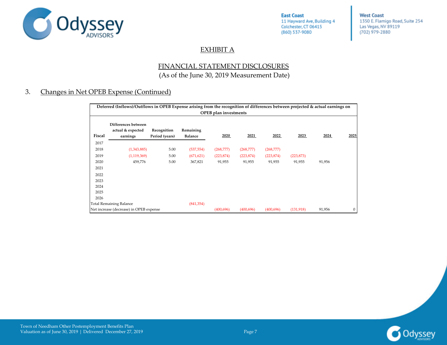

**West Coast** 1350 E. Flamigo Road, Suite 254 Las Vegas, NV 89119 (702) 979-2880

### EXHIBIT A

### FINANCIAL STATEMENT DISCLOSURES (As of the June 30, 2019 Measurement Date)

### 3. Changes in Net OPEB Expense (Continued)

|                                              | Deferred (Inflows)/Outflows in OPEB Expense arising from the recognition of differences between projected & actual earnings on<br><b>OPEB</b> plan investments |                               |                             |            |            |            |            |        |      |  |  |
|----------------------------------------------|----------------------------------------------------------------------------------------------------------------------------------------------------------------|-------------------------------|-----------------------------|------------|------------|------------|------------|--------|------|--|--|
| Fiscal                                       | Differences between<br>actual & expected<br>earnings                                                                                                           | Recognition<br>Period (years) | Remaining<br><b>Balance</b> | 2020       | 2021       | 2022       | 2023       | 2024   | 2025 |  |  |
| 2017                                         |                                                                                                                                                                |                               |                             |            |            |            |            |        |      |  |  |
| 2018                                         | (1,343,885)                                                                                                                                                    | 5.00                          | (537, 554)                  | (268,777)  | (268,777)  | (268,777)  |            |        |      |  |  |
| 2019                                         | (1, 119, 369)                                                                                                                                                  | 5.00                          | (671, 621)                  | (223, 874) | (223, 874) | (223, 874) | (223, 873) |        |      |  |  |
| 2020                                         | 459,776                                                                                                                                                        | 5.00                          | 367,821                     | 91,955     | 91,955     | 91,955     | 91,955     | 91,956 |      |  |  |
| 2021                                         |                                                                                                                                                                |                               |                             |            |            |            |            |        |      |  |  |
| 2022                                         |                                                                                                                                                                |                               |                             |            |            |            |            |        |      |  |  |
| 2023                                         |                                                                                                                                                                |                               |                             |            |            |            |            |        |      |  |  |
| 2024                                         |                                                                                                                                                                |                               |                             |            |            |            |            |        |      |  |  |
| 2025                                         |                                                                                                                                                                |                               |                             |            |            |            |            |        |      |  |  |
| 2026                                         |                                                                                                                                                                |                               |                             |            |            |            |            |        |      |  |  |
| <b>Total Remaining Balance</b><br>(841, 354) |                                                                                                                                                                |                               |                             |            |            |            |            |        |      |  |  |
|                                              | Net increase (decrease) in OPEB expense                                                                                                                        |                               |                             | (400, 696) | (400, 696) | (400, 696) | (131, 918) | 91,956 | 0    |  |  |

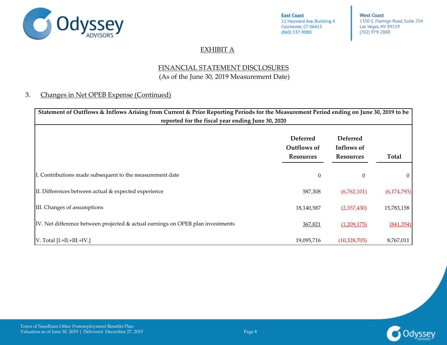

**West Coast** 1350 E. Flamigo Road, Suite 254 Las Vegas, NV 89119 (702) 979-2880

### EXHIBIT A

### FINANCIAL STATEMENT DISCLOSURES (As of the June 30, 2019 Measurement Date)

### 3. Changes in Net OPEB Expense (Continued)

| Statement of Outflows & Inflows Arising from Current & Prior Reporting Periods for the Measurement Period ending on June 30, 2019 to be<br>reported for the fiscal year ending June 30, 2020 |                                                    |                                                   |               |
|----------------------------------------------------------------------------------------------------------------------------------------------------------------------------------------------|----------------------------------------------------|---------------------------------------------------|---------------|
|                                                                                                                                                                                              | <b>Deferred</b><br>Outflows of<br><b>Resources</b> | <b>Deferred</b><br>Inflows of<br><b>Resources</b> | Total         |
| I. Contributions made subsequent to the measurement date                                                                                                                                     | $\overline{0}$                                     | 0                                                 | $\theta$      |
| II. Differences between actual & expected experience                                                                                                                                         | 587,308                                            | (6,762,101)                                       | (6, 174, 793) |
| III. Changes of assumptions                                                                                                                                                                  | 18,140,587                                         | (2,357,430)                                       | 15,783,158    |
| IV. Net difference between projected & actual earnings on OPEB plan investments                                                                                                              | 367,821                                            | (1,209,175)                                       | (841, 354)    |
| V. Total [I.+II.+III.+IV.]                                                                                                                                                                   | 19,095,716                                         | (10,328,705)                                      | 8,767,011     |

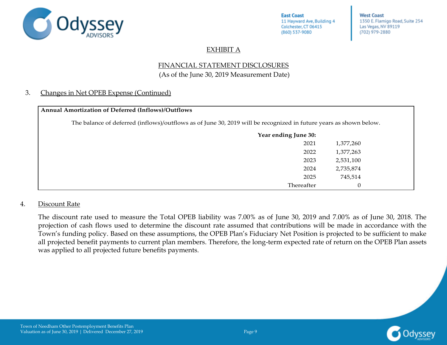

**West Coast** 1350 E. Flamigo Road, Suite 254 Las Vegas, NV 89119 (702) 979-2880

### EXHIBIT A

### FINANCIAL STATEMENT DISCLOSURES (As of the June 30, 2019 Measurement Date)

### 3. Changes in Net OPEB Expense (Continued)

| Annual Amortization of Deferred (Inflows)/Outflows                                                                |           |
|-------------------------------------------------------------------------------------------------------------------|-----------|
| The balance of deferred (inflows)/outflows as of June 30, 2019 will be recognized in future years as shown below. |           |
| Year ending June 30:                                                                                              |           |
| 2021                                                                                                              | 1,377,260 |
| 2022                                                                                                              | 1,377,263 |
| 2023                                                                                                              | 2,531,100 |
| 2024                                                                                                              | 2,735,874 |
| 2025                                                                                                              | 745,514   |
| Thereafter                                                                                                        | $\theta$  |

### 4. Discount Rate

The discount rate used to measure the Total OPEB liability was 7.00% as of June 30, 2019 and 7.00% as of June 30, 2018. The projection of cash flows used to determine the discount rate assumed that contributions will be made in accordance with the Town's funding policy. Based on these assumptions, the OPEB Plan's Fiduciary Net Position is projected to be sufficient to make all projected benefit payments to current plan members. Therefore, the long-term expected rate of return on the OPEB Plan assets was applied to all projected future benefits payments.

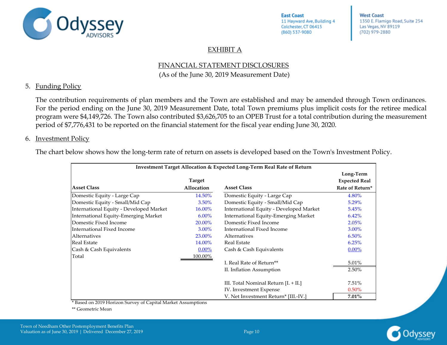

**West Coast** 1350 E. Flamigo Road, Suite 254 Las Vegas, NV 89119 (702) 979-2880

### EXHIBIT A

## FINANCIAL STATEMENT DISCLOSURES

(As of the June 30, 2019 Measurement Date)

### 5. Funding Policy

The contribution requirements of plan members and the Town are established and may be amended through Town ordinances. For the period ending on the June 30, 2019 Measurement Date, total Town premiums plus implicit costs for the retiree medical program were \$4,149,726. The Town also contributed \$3,626,705 to an OPEB Trust for a total contribution during the measurement period of \$7,776,431 to be reported on the financial statement for the fiscal year ending June 30, 2020.

### 6. Investment Policy

The chart below shows how the long-term rate of return on assets is developed based on the Town's Investment Policy.

| Investment Target Allocation & Expected Long-Term Real Rate of Return |                   |                                         |                                   |
|-----------------------------------------------------------------------|-------------------|-----------------------------------------|-----------------------------------|
|                                                                       | <b>Target</b>     |                                         | Long-Term<br><b>Expected Real</b> |
| <b>Asset Class</b>                                                    | <b>Allocation</b> | <b>Asset Class</b>                      | Rate of Return*                   |
| Domestic Equity - Large Cap                                           | 14.50%            | Domestic Equity - Large Cap             | 4.80%                             |
| Domestic Equity - Small/Mid Cap                                       | 3.50%             | Domestic Equity - Small/Mid Cap         | 5.29%                             |
| International Equity - Developed Market                               | 16.00%            | International Equity - Developed Market | 5.45%                             |
| International Equity-Emerging Market                                  | $6.00\%$          | International Equity-Emerging Market    | 6.42%                             |
| Domestic Fixed Income                                                 | 20.00%            | Domestic Fixed Income                   | 2.05%                             |
| International Fixed Income                                            | 3.00%             | International Fixed Income              | 3.00%                             |
| Alternatives                                                          | 23.00%            | Alternatives                            | 6.50%                             |
| <b>Real Estate</b>                                                    | 14.00%            | <b>Real Estate</b>                      | 6.25%                             |
| Cash & Cash Equivalents                                               | $0.00\%$          | Cash & Cash Equivalents                 | $0.00\%$                          |
| Total                                                                 | 100.00%           |                                         |                                   |
|                                                                       |                   | I. Real Rate of Return <sup>**</sup>    | 5.01%                             |
|                                                                       |                   | II. Inflation Assumption                | 2.50%                             |
|                                                                       |                   | III. Total Nominal Return [I. + II.]    | 7.51%                             |
|                                                                       |                   | IV. Investment Expense                  | 0.50%                             |
|                                                                       |                   | V. Net Investment Return* [III.-IV.]    | $7.01\%$                          |

\* Based on 2019 Horizon Survey of Capital Market Assumptions

\*\* Geometric Mean

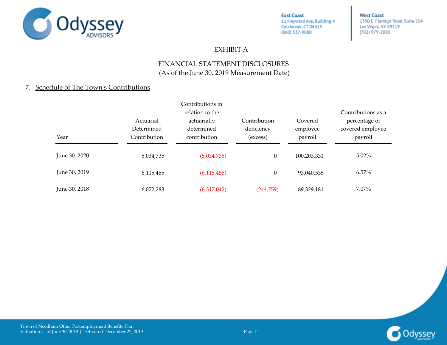

**West Coast** 1350 E. Flamigo Road, Suite 254 Las Vegas, NV 89119 (702) 979-2880

### EXHIBIT A

### FINANCIAL STATEMENT DISCLOSURES (As of the June 30, 2019 Measurement Date)

### 7. Schedule of The Town's Contributions

|               | Actuarial<br>Determined | Contributions in<br>relation to the<br>actuarially<br>determined | Contribution<br>deficiency | Covered             | Contributions as a<br>percentage of |
|---------------|-------------------------|------------------------------------------------------------------|----------------------------|---------------------|-------------------------------------|
| Year          | Contribution            | contribution                                                     | (excess)                   | employee<br>payroll | covered employee<br>payroll         |
| June 30, 2020 | 5,034,735               | (5,034,735)                                                      | $\theta$                   | 100,203,331         | $5.02\%$                            |
| June 30, 2019 | 6,115,455               | (6, 115, 455)                                                    | $\theta$                   | 93,040,535          | 6.57%                               |
| June 30, 2018 | 6,072,283               | (6,317,042)                                                      | (244,759)                  | 89,329,181          | 7.07%                               |

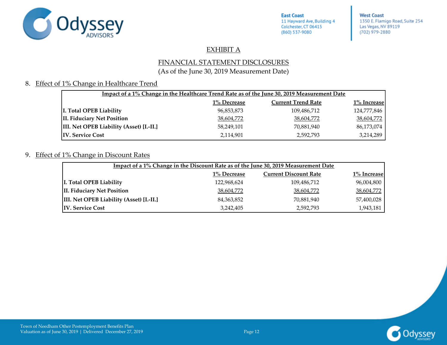

**West Coast** 1350 E. Flamigo Road, Suite 254 Las Vegas, NV 89119 (702) 979-2880

### EXHIBIT A

### FINANCIAL STATEMENT DISCLOSURES

### (As of the June 30, 2019 Measurement Date)

### 8. Effect of 1% Change in Healthcare Trend

| Impact of a 1% Change in the Healthcare Trend Rate as of the June 30, 2019 Measurement Date |             |                           |             |  |
|---------------------------------------------------------------------------------------------|-------------|---------------------------|-------------|--|
|                                                                                             | 1% Decrease | <b>Current Trend Rate</b> | 1% Increase |  |
| I. Total OPEB Liability                                                                     | 96,853,873  | 109,486,712               | 124,777,846 |  |
| II. Fiduciary Net Position                                                                  | 38,604,772  | 38,604,772                | 38,604,772  |  |
| <b>III. Net OPEB Liability (Asset) [I.-II.]</b>                                             | 58,249,101  | 70,881,940                | 86,173,074  |  |
| <b>IV. Service Cost</b>                                                                     | 2,114,901   | 2,592,793                 | 3,214,289   |  |

#### 9. Effect of 1% Change in Discount Rates

| Impact of a 1% Change in the Discount Rate as of the June 30, 2019 Measurement Date |             |                              |             |  |  |
|-------------------------------------------------------------------------------------|-------------|------------------------------|-------------|--|--|
|                                                                                     | 1% Decrease | <b>Current Discount Rate</b> | 1% Increase |  |  |
| I. Total OPEB Liability                                                             | 122,968,624 | 109,486,712                  | 96,004,800  |  |  |
| II. Fiduciary Net Position                                                          | 38,604,772  | 38,604,772                   | 38,604,772  |  |  |
| <b>III. Net OPEB Liability (Asset) [I.-II.]</b>                                     | 84,363,852  | 70,881,940                   | 57,400,028  |  |  |
| <b>IV. Service Cost</b>                                                             | 3,242,405   | 2,592,793                    | 1,943,181   |  |  |

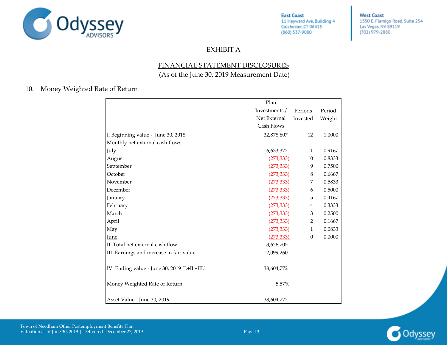

**West Coast** 1350 E. Flamigo Road, Suite 254 Las Vegas, NV 89119 (702) 979-2880

### EXHIBIT A

### FINANCIAL STATEMENT DISCLOSURES (As of the June 30, 2019 Measurement Date)

#### 10. Money Weighted Rate of Return

|                                                | Plan          |                  |        |
|------------------------------------------------|---------------|------------------|--------|
|                                                | Investments / | Periods          | Period |
|                                                | Net External  | Invested         | Weight |
|                                                | Cash Flows    |                  |        |
| I. Beginning value - June 30, 2018             | 32,878,807    | 12               | 1.0000 |
| Monthly net external cash flows:               |               |                  |        |
| July                                           | 6,633,372     | 11               | 0.9167 |
| August                                         | (273, 333)    | 10               | 0.8333 |
| September                                      | (273, 333)    | 9                | 0.7500 |
| October                                        | (273, 333)    | 8                | 0.6667 |
| November                                       | (273, 333)    | 7                | 0.5833 |
| December                                       | (273, 333)    | 6                | 0.5000 |
| January                                        | (273, 333)    | 5                | 0.4167 |
| February                                       | (273, 333)    | 4                | 0.3333 |
| March                                          | (273, 333)    | 3                | 0.2500 |
| April                                          | (273, 333)    | 2                | 0.1667 |
| May                                            | (273, 333)    | 1                | 0.0833 |
| June                                           | (273, 333)    | $\boldsymbol{0}$ | 0.0000 |
| II. Total net external cash flow               | 3,626,705     |                  |        |
| III. Earnings and increase in fair value       | 2,099,260     |                  |        |
| IV. Ending value - June 30, 2019 [I.+II.+III.] | 38,604,772    |                  |        |
| Money Weighted Rate of Return                  | 5.57%         |                  |        |
| Asset Value - June 30, 2019                    | 38,604,772    |                  |        |

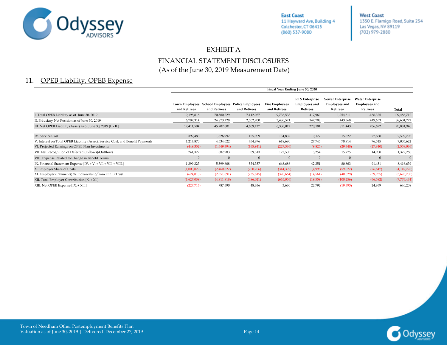

**West Coast** 1350 E. Flamigo Road, Suite 254 Las Vegas, NV 89119 (702) 979-2880

#### EXHIBIT A

### FINANCIAL STATEMENT DISCLOSURES (As of the June 30, 2019 Measurement Date)

### 11. OPEB Liability, OPEB Expense

|                                                                                 | Fiscal Year Ending June 30, 2020 |                                                                  |              |                                       |                                                           |                                                      |                                                             |             |
|---------------------------------------------------------------------------------|----------------------------------|------------------------------------------------------------------|--------------|---------------------------------------|-----------------------------------------------------------|------------------------------------------------------|-------------------------------------------------------------|-------------|
|                                                                                 | and Retirees                     | Town Employees School Employees Police Employees<br>and Retirees | and Retirees | <b>Fire Employees</b><br>and Retirees | <b>RTS</b> Enterprise<br><b>Employees</b> and<br>Retirees | Sewer Enterprise<br><b>Employees and</b><br>Retirees | <b>Water Enterprise</b><br><b>Employees</b> and<br>Retirees | Total       |
| Total OPEB Liability as of June 30, 2019                                        | 19,198,818                       | 70,580,229                                                       | 7,112,027    | 9,736,533                             | 417,969                                                   | 1,254,811                                            | 1,186,325                                                   | 109,486,712 |
| I. Fiduciary Net Position as of June 30, 2019                                   | 6,787,314                        | 24,873,228                                                       | 2,502,900    | 3,430,521                             | 147,788                                                   | 443,368                                              | 419,653                                                     | 38,604,772  |
| III. Net OPEB Liability (Asset) as of June 30, 2019 [I. - II.]                  | 12,411,504                       | 45,707,001                                                       | 4,609,127    | 6,306,012                             | 270,181                                                   | 811,443                                              | 766,672                                                     | 70,881,940  |
|                                                                                 |                                  |                                                                  |              |                                       |                                                           |                                                      |                                                             |             |
| IV. Service Cost                                                                | 392,483                          | 1,826,997                                                        | 155,909      | 154,837                               | 19,177                                                    | 15,522                                               | 27,868                                                      | 2,592,793   |
| V. Interest on Total OPEB Liability (Asset), Service Cost, and Benefit Payments | 1,214,870                        | 4,534,022                                                        | 454,876      | 618,680                               | 27,745                                                    | 78,914                                               | 76,515                                                      | 7,005,622   |
| VI. Projected Earnings on OPEB Plan Investments                                 | (449, 352)                       | (1,649,394)                                                      | (165, 941)   | (227, 336)                            | (9,825)                                                   | (29, 348)                                            | (27, 840)                                                   | (2,559,036) |
| VII. Net Recognition of Deferred (Inflows)/Outflows                             | 241,322                          | 887,983                                                          | 89,513       | 122,505                               | 5,254                                                     | 15,775                                               | 14,908                                                      | 1,377,260   |
| VIII. Expense Related to Change in Benefit Terms                                | $\Omega$                         |                                                                  | $\Omega$     |                                       | $\mathbf{0}$                                              |                                                      | $\Omega$                                                    |             |
| X. Financial Statement Expense [IV. + V. + VI. + VII. + VIII.]                  | 1,399,323                        | 5,599,608                                                        | 534,357      | 668,686                               | 42,351                                                    | 80,863                                               | 91,451                                                      | 8,416,639   |
| X. Employer Share of Costs                                                      | (1,003,029)                      | (2,460,827)                                                      | (250, 206)   | (344, 392)                            | (4,998)                                                   | (59, 627)                                            | (26, 647)                                                   | (4,149,726) |
| XI. Employer (Payments) Withdrawals to/from OPEB Trust                          | (624, 010)                       | (2,351,091)                                                      | (235, 815)   | (320, 664)                            | (14, 561)                                                 | (40,629)                                             | (39, 935)                                                   | (3,626,705) |
| XII. Total Employer Contribution [X. + XI.]                                     | (1,627,039)                      | (4,811,918)                                                      | (486, 021)   | (665,056)                             | (19, 559)                                                 | (100, 256)                                           | (66, 582)                                                   | (7,776,431) |
| XIII. Net OPEB Expense [IX. + XII.]                                             | (227,716)                        | 787,690                                                          | 48,336       | 3,630                                 | 22,792                                                    | (19, 393)                                            | 24,869                                                      | 640,208     |

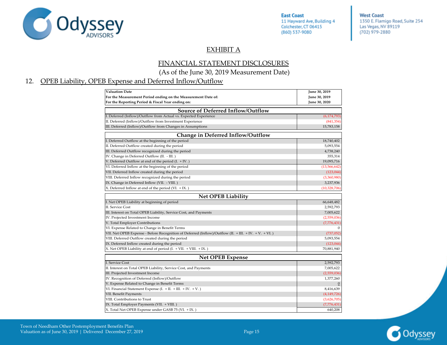

**West Coast** 1350 E. Flamigo Road, Suite 254 Las Vegas, NV 89119 (702) 979-2880

### EXHIBIT A

### FINANCIAL STATEMENT DISCLOSURES (As of the June 30, 2019 Measurement Date)

### 12. OPEB Liability, OPEB Expense and Deferred Inflow/Outflow

| <b>Valuation Date</b>                                                                                 | June 30, 2019  |
|-------------------------------------------------------------------------------------------------------|----------------|
| For the Measurement Period ending on the Measurement Date of:                                         | June 30, 2019  |
| For the Reporting Period & Fiscal Year ending on:                                                     | June 30, 2020  |
| Source of Deferred Inflow/Outflow                                                                     |                |
| I. Deferred (Inflow)/Outflow from Actual vs. Expected Experience                                      | (6, 174, 793)  |
| II. Deferred (Inflow)/Outflow from Investment Experience                                              | (841, 354)     |
| III. Deferred (Inflow)/Outflow from Changes in Assumptions                                            | 15,783,158     |
| <b>Change in Deferred Inflow/Outflow</b>                                                              |                |
| I. Deferred Outflow at the beginning of the period                                                    | 18,740,402     |
| II. Deferred Outflow created during the period                                                        | 5,093,554      |
| III. Deferred Outflow recognized during the period                                                    | 4,738,240      |
| IV. Change in Deferred Outflow (II. - III.)                                                           | 355,314        |
| V. Deferred Outflow at end of the period (I. + IV.)                                                   | 19,095,716     |
| VI. Deferred Inflow at the beginning of the period                                                    | (13, 566, 642) |
| VII. Deferred Inflow created during the period                                                        | (123, 044)     |
| VIII. Deferred Inflow recognized during the period                                                    | (3,360,980)    |
| IX. Change in Deferred Inflow (VII. - VIII.)                                                          | 3,237,936      |
| X. Deferred Inflow at end of the period (VI. + IX.)                                                   | (10,328,706)   |
| <b>Net OPEB Liability</b>                                                                             |                |
| I. Net OPEB Liability at beginning of period                                                          | 66,648,482     |
| II. Service Cost                                                                                      | 2,592,793      |
| III. Interest on Total OPEB Liability, Service Cost, and Payments                                     | 7,005,622      |
| IV. Projected Investment Income                                                                       | (2,559,036)    |
| V. Total Employer Contributions                                                                       | (7,776,431)    |
| VI. Expense Related to Change in Benefit Terms                                                        | $\Omega$       |
| VII. Net OPEB Expense - Before Recognition of Deferred (Inflow)/Outflow (II. + III. + IV. + V. + VI.) | (737, 052)     |
| VIII. Deferred Outflow created during the period                                                      | 5,093,554      |
| IX. Deferred Inflow created during the period                                                         | (123, 044)     |
| X. Net OPEB Liability at end of period (I. + VII. + VIII. + IX.)                                      | 70,881,940     |
| <b>Net OPEB Expense</b>                                                                               |                |
| <b>I. Service Cost</b>                                                                                | 2,592,793      |
| II. Interest on Total OPEB Liability, Service Cost, and Payments                                      | 7,005,622      |
| III. Projected Investment Income                                                                      | (2,559,036)    |
| IV. Recognition of Deferred (Inflow)/Outflow                                                          | 1,377,260      |
| V. Expense Related to Change in Benefit Terms                                                         | $\overline{0}$ |
| VI. Financial Statement Expense (I. + II. + III. + IV. + V.)                                          | 8,416,639      |
| VII. Benefit Payments                                                                                 | (4, 149, 726)  |
| VIII. Contributions to Trust                                                                          | (3,626,705)    |
| IX. Total Employer Payments (VII. + VIII.)                                                            | (7,776,431)    |
| X. Total Net OPEB Expense under GASB 75 (VI. + IX.)                                                   | 640,208        |

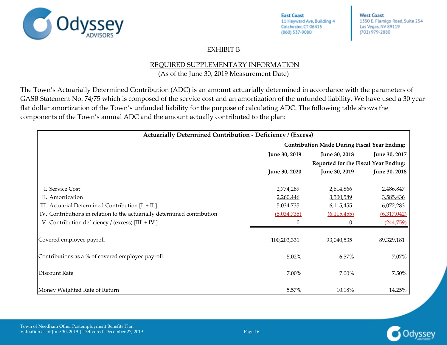

**West Coast** 1350 E. Flamigo Road, Suite 254 Las Vegas, NV 89119 (702) 979-2880

### EXHIBIT B

### REQUIRED SUPPLEMENTARY INFORMATION

(As of the June 30, 2019 Measurement Date)

<span id="page-24-0"></span>The Town's Actuarially Determined Contribution (ADC) is an amount actuarially determined in accordance with the parameters of GASB Statement No. 74/75 which is composed of the service cost and an amortization of the unfunded liability. We have used a 30 year flat dollar amortization of the Town's unfunded liability for the purpose of calculating ADC. The following table shows the components of the Town's annual ADC and the amount actually contributed to the plan:

| <b>Actuarially Determined Contribution - Deficiency / (Excess)</b>       |                                                               |                      |               |  |
|--------------------------------------------------------------------------|---------------------------------------------------------------|----------------------|---------------|--|
|                                                                          | <b>Contribution Made During Fiscal Year Ending:</b>           |                      |               |  |
|                                                                          | <u>June 30, 2019</u><br>June 30, 2017<br><u>Iune 30, 2018</u> |                      |               |  |
|                                                                          | Reported for the Fiscal Year Ending:                          |                      |               |  |
|                                                                          | <u>June 30, 2020</u>                                          | <u>June 30, 2019</u> | June 30, 2018 |  |
|                                                                          |                                                               |                      |               |  |
| I. Service Cost                                                          | 2,774,289                                                     | 2,614,866            | 2,486,847     |  |
| II. Amortization                                                         | 2,260,446                                                     | 3,500,589            | 3,585,436     |  |
| III. Actuarial Determined Contribution [I. + II.]                        | 5,034,735                                                     | 6,115,455            | 6,072,283     |  |
| IV. Contributions in relation to the actuarially determined contribution | (5,034,735)                                                   | (6, 115, 455)        | (6,317,042)   |  |
| V. Contribution deficiency / (excess) [III. + IV.]                       | 0                                                             |                      | (244,759)     |  |
|                                                                          |                                                               |                      |               |  |
| Covered employee payroll                                                 | 100,203,331                                                   | 93,040,535           | 89,329,181    |  |
| Contributions as a % of covered employee payroll                         | 5.02%                                                         | 6.57%                | 7.07%         |  |
| <b>Discount Rate</b>                                                     | 7.00%                                                         | 7.00%                | 7.50%         |  |
| Money Weighted Rate of Return                                            | 5.57%                                                         | 10.18%               | 14.25%        |  |

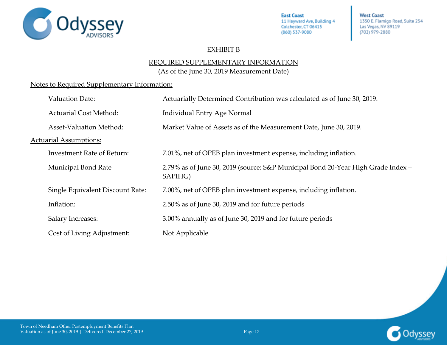

**West Coast** 1350 E. Flamigo Road, Suite 254 Las Vegas, NV 89119 (702) 979-2880

### EXHIBIT B

### REQUIRED SUPPLEMENTARY INFORMATION

(As of the June 30, 2019 Measurement Date)

### Notes to Required Supplementary Information:

| <b>Valuation Date:</b>            | Actuarially Determined Contribution was calculated as of June 30, 2019.                     |
|-----------------------------------|---------------------------------------------------------------------------------------------|
| <b>Actuarial Cost Method:</b>     | <b>Individual Entry Age Normal</b>                                                          |
| <b>Asset-Valuation Method:</b>    | Market Value of Assets as of the Measurement Date, June 30, 2019.                           |
| <b>Actuarial Assumptions:</b>     |                                                                                             |
| <b>Investment Rate of Return:</b> | 7.01%, net of OPEB plan investment expense, including inflation.                            |
| Municipal Bond Rate               | 2.79% as of June 30, 2019 (source: S&P Municipal Bond 20-Year High Grade Index -<br>SAPIHG) |
| Single Equivalent Discount Rate:  | 7.00%, net of OPEB plan investment expense, including inflation.                            |
| Inflation:                        | 2.50% as of June 30, 2019 and for future periods                                            |
| <b>Salary Increases:</b>          | 3.00% annually as of June 30, 2019 and for future periods                                   |
| Cost of Living Adjustment:        | Not Applicable                                                                              |

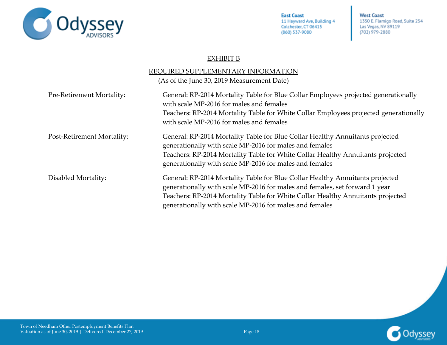

**West Coast** 1350 E. Flamigo Road, Suite 254 Las Vegas, NV 89119 (702) 979-2880

### EXHIBIT B

|                            | REQUIRED SUPPLEMENTARY INFORMATION                                                                                                                                                                                                                                                                         |
|----------------------------|------------------------------------------------------------------------------------------------------------------------------------------------------------------------------------------------------------------------------------------------------------------------------------------------------------|
|                            | (As of the June 30, 2019 Measurement Date)                                                                                                                                                                                                                                                                 |
| Pre-Retirement Mortality:  | General: RP-2014 Mortality Table for Blue Collar Employees projected generationally<br>with scale MP-2016 for males and females<br>Teachers: RP-2014 Mortality Table for White Collar Employees projected generationally<br>with scale MP-2016 for males and females                                       |
| Post-Retirement Mortality: | General: RP-2014 Mortality Table for Blue Collar Healthy Annuitants projected<br>generationally with scale MP-2016 for males and females<br>Teachers: RP-2014 Mortality Table for White Collar Healthy Annuitants projected<br>generationally with scale MP-2016 for males and females                     |
| Disabled Mortality:        | General: RP-2014 Mortality Table for Blue Collar Healthy Annuitants projected<br>generationally with scale MP-2016 for males and females, set forward 1 year<br>Teachers: RP-2014 Mortality Table for White Collar Healthy Annuitants projected<br>generationally with scale MP-2016 for males and females |

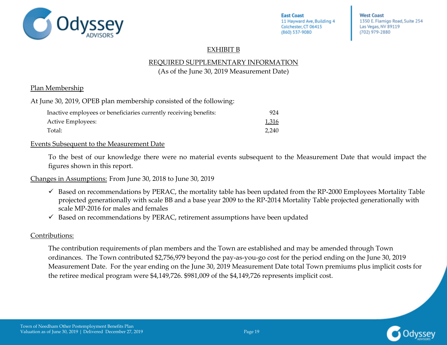

**West Coast** 1350 E. Flamigo Road, Suite 254 Las Vegas, NV 89119 (702) 979-2880

### EXHIBIT B

### REQUIRED SUPPLEMENTARY INFORMATION

(As of the June 30, 2019 Measurement Date)

### Plan Membership

At June 30, 2019, OPEB plan membership consisted of the following:

| Inactive employees or beneficiaries currently receiving benefits: | 924   |
|-------------------------------------------------------------------|-------|
| Active Employees:                                                 | 1,316 |
| Total:                                                            | 2.240 |

### Events Subsequent to the Measurement Date

To the best of our knowledge there were no material events subsequent to the Measurement Date that would impact the figures shown in this report.

Changes in Assumptions: From June 30, 2018 to June 30, 2019

- $\checkmark$  Based on recommendations by PERAC, the mortality table has been updated from the RP-2000 Employees Mortality Table projected generationally with scale BB and a base year 2009 to the RP-2014 Mortality Table projected generationally with scale MP-2016 for males and females
- $\checkmark$  Based on recommendations by PERAC, retirement assumptions have been updated

### Contributions:

The contribution requirements of plan members and the Town are established and may be amended through Town ordinances. The Town contributed \$2,756,979 beyond the pay-as-you-go cost for the period ending on the June 30, 2019 Measurement Date. For the year ending on the June 30, 2019 Measurement Date total Town premiums plus implicit costs for the retiree medical program were \$4,149,726. \$981,009 of the \$4,149,726 represents implicit cost.

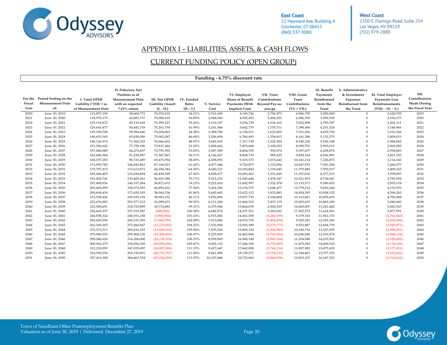

**West Coast** 1350 E. Flamigo Road, Suite 254 Las Vegas, NV 89119 (702) 979-2880

#### APPENDIX I – LIABILITIES, ASSETS, & CASH FLOWS

#### CURRENT FUNDING POLICY (OPEN GROUP)

<span id="page-28-0"></span>

|                           |                                                        |                                                                     |                                                                                                           |                                                           |                                          |                    | Funding - 6.75% discount rate                                                             |                                                                |                                                         |                                                            |                                                                                      |                                                                                      |                                                                |
|---------------------------|--------------------------------------------------------|---------------------------------------------------------------------|-----------------------------------------------------------------------------------------------------------|-----------------------------------------------------------|------------------------------------------|--------------------|-------------------------------------------------------------------------------------------|----------------------------------------------------------------|---------------------------------------------------------|------------------------------------------------------------|--------------------------------------------------------------------------------------|--------------------------------------------------------------------------------------|----------------------------------------------------------------|
| For the<br>Fiscal<br>Year | Period Ending on the<br><b>Measurement Date</b><br>of: | <b>I. Total OPEB</b><br>Liability ("TOL") as<br>of Measurement Date | <b>II. Fiduciary Net</b><br>Position as of<br><b>Measurement Date</b><br>with an expected<br>7.01% return | <b>III. Net OPEB</b><br>Liability (Asset)<br>$[I. - II.]$ | <b>IV.</b> Funded<br>Ratio<br>[II. / I.] | V. Service<br>Cost | VI. Employer<br><b>Share of Benefit</b><br><b>Payments (With</b><br><b>Implicit Cost)</b> | VII. Trust<br>Contributions<br><b>Beyond Pay-as-</b><br>you-go | VIII. Gross<br>Trust<br>Contributions<br>$[VI. + VII.]$ | IX. Benefit<br>Payments<br>Reimbursed<br>from the<br>Trust | X. Administrative<br>& Investment<br>Expenses<br><b>Reimbursed</b> from<br>the Trust | XI. Total Employer<br><b>Payments Less</b><br>Reimbursements<br>$[VIII. - IX. - X.]$ | XII.<br>Contributions<br><b>Made During</b><br>the Fiscal Year |
| 2020                      | June 30, 2019                                          | 112,857,190                                                         | 38,604,772                                                                                                | 74,252,418                                                | 34.21%                                   | 2,761,649          | 4,149,726                                                                                 | 2,756,979                                                      | 6,906,705                                               | 3,280,000                                                  | $\theta$                                                                             | 3,626,705                                                                            | 2019                                                           |
| 2021                      | June 30, 2020                                          | 118,970,175                                                         | 43,883,757                                                                                                | 75,086,418                                                | 36.89%                                   | 2,948,060          | 4,502,453                                                                                 | 2,404,252                                                      | 6,906,705                                               | 3,390,528                                                  | $\Omega$                                                                             | 3,516,177                                                                            | 2020                                                           |
| 2022                      | June 30, 2021                                          | 125,118,872                                                         | 49,119,645                                                                                                | 75,999,227                                                | 39.26%                                   | 3,110,157          | 5,034,735                                                                                 | 2,018,163                                                      | 7,052,898                                               | 3,790,787                                                  | $\Omega$                                                                             | 3,262,111                                                                            | 2021                                                           |
| 2023                      | June 30, 2022                                          | 129,643,477                                                         | 54,441,718                                                                                                | 75,201,759                                                | 41.99%                                   | 3,241,906          | 5,642,779                                                                                 | 1,755,711                                                      | 7,398,490                                               | 4,251,524                                                  | $\Omega$                                                                             | 3,146,966                                                                            | 2022                                                           |
| 2024                      | June 30, 2023                                          | 135,198,708                                                         | 59,994,646                                                                                                | 75,204,062                                                | 44.38%                                   | 3,389,706          | 6,138,211                                                                                 | 1,622,805                                                      | 7,761,016                                               | 4,659,750                                                  | $\Omega$                                                                             | 3,101,266                                                                            | 2023                                                           |
| 2025                      | June 30, 2024                                          | 140,653,343                                                         | 65,650,056                                                                                                | 75,003,287                                                | 46.68%                                   | 3,526,854          | 6,786,493                                                                                 | 1,354,813                                                      | 8,141,306                                               | 5,132,275                                                  | $\Omega$                                                                             | 3,009,031                                                                            | 2024                                                           |
| 2026                      | June 30, 2025                                          | 146,126,974                                                         | 71,560,322                                                                                                | 74,566,652                                                | 48.97%                                   | 3,683,918          | 7,317,730                                                                                 | 1,222,500                                                      | 8,540,230                                               | 5,556,148                                                  | $\Omega$                                                                             | 2,984,082                                                                            | 2025                                                           |
| 2027                      | June 30, 2026                                          | 151,596,642                                                         | 77,759,196                                                                                                | 73,837,446                                                | 51.29%                                   | 3,828,662          | 7,853,668                                                                                 | 1,105,033                                                      | 8,958,701                                               | 5,993,612                                                  | $\Omega$                                                                             | 2,965,089                                                                            | 2026                                                           |
| 2028                      | June 30, 2027                                          | 157,068,089                                                         | 84,272,697                                                                                                | 72,795,392                                                | 53.65%                                   | 3,987,389          | 8,404,703                                                                                 | 992,974                                                        | 9,397,677                                               | 6,438,874                                                  | $\Omega$                                                                             | 2,958,803                                                                            | 2027                                                           |
| 2029                      | June 30, 2028                                          | 162,606,564                                                         | 91,238,997                                                                                                | 71,367,567                                                | 56.11%                                   | 4,146,667          | 8,868,739                                                                                 | 989,425                                                        | 9,858,164                                               | 6,836,981                                                  | $\Omega$                                                                             | 3,021,183                                                                            | 2028                                                           |
| 2030                      | June 30, 2029                                          | 168,197,283                                                         | 98,721,689                                                                                                | 69,475,594                                                | 58.69%                                   | 4,308,093          | 9,325,572                                                                                 | 1,015,642                                                      | 10,341,214                                              | 7,226,872                                                  | $\Omega$                                                                             | 3,114,342                                                                            | 2029                                                           |
| 2031                      | June 30, 2030                                          | 173,950,783                                                         | 106,843,862                                                                                               | 67,106,921                                                | 61.42%                                   | 4,477,046          | 9,724,877                                                                                 | 1,123,056                                                      | 10,847,933                                              | 7,581,356                                                  | $\Omega$                                                                             | 3,266,577                                                                            | 2030                                                           |
| 2032                      | June 30, 2031                                          | 179,797,415                                                         | 115,613,071                                                                                               | 64,184,344                                                | 64.30%                                   | 4,640,121          | 10,183,842                                                                                | 1,195,640                                                      | 11,379,482                                              | 7,970,317                                                  | $\Omega$                                                                             | 3,409,165                                                                            | 2031                                                           |
| 2033                      | June 30, 2032                                          | 185,496,403                                                         | 125,056,894                                                                                               | 60,439,509                                                | 67.42%                                   | 4,828,677          | 10,685,467                                                                                | 1,251,609                                                      | 11,937,076                                              | 8,377,219                                                  | $\Omega$                                                                             | 3,559,857                                                                            | 2032                                                           |
| 2034                      | June 30, 2033                                          | 191,430,741                                                         | 135,405,361                                                                                               | 56,025,380                                                | 70.73%                                   | 5,012,276          | 11,043,646                                                                                | 1,478,347                                                      | 12,521,993                                              | 8,736,041                                                  | $\Omega$                                                                             | 3,785,952                                                                            | 2033                                                           |
| 2035                      | June 30, 2034                                          | 197,408,956                                                         | 146,537,284                                                                                               | 50,871,672                                                | 74.23%                                   | 5,222,410          | 11,602,997                                                                                | 1,532,574                                                      | 13,135,571                                              | 9,180,453                                                  | $\theta$                                                                             | 3,955,118                                                                            | 2034                                                           |
| 2036                      | June 30, 2035                                          | 203,465,999                                                         | 158,573,583                                                                                               | 44,892,416                                                | 77.94%                                   | 5,424,356          | 12,130,737                                                                                | 1,648,477                                                      | 13,779,214                                              | 9,626,244                                                  | $\Omega$                                                                             | 4,152,970                                                                            | 2035                                                           |
| 2037                      | June 30, 2036                                          | 209,694,439                                                         | 171,650,103                                                                                               | 38,044,336                                                | 81.86%                                   | 5,645,665          | 12,622,312                                                                                | 1,832,083                                                      | 14,454,395                                              | 10,058,132                                                 | $\theta$                                                                             | 4,396,263                                                                            | 2036                                                           |
| 2038                      | June 30, 2037                                          | 215,938,426                                                         | 185,935,194                                                                                               | 30,003,232                                                | 86.11%                                   | 5,876,896          | 13,057,793                                                                                | 2,104,868                                                      | 15,162,661                                              | 10,455,693                                                 | $\Omega$                                                                             | 4,706,968                                                                            | 2037                                                           |
| 2039                      | June 30, 2038                                          | 222,676,883                                                         | 201,577,212                                                                                               | 21,099,671                                                | 90.52%                                   | 6,111,206          | 13,468,512                                                                                | 2,437,119                                                      | 15,905,631                                              | 10,865,189                                                 | $\Omega$                                                                             | 5,040,442                                                                            | 2038                                                           |
| 2040                      | June 30, 2039                                          | 229,500,691                                                         | 218,725,809                                                                                               | 10,774,882                                                | 95.31%                                   | 6,375,944          | 13,864,678                                                                                | 2,820,329                                                      | 16,685,007                                              | 11,241,442                                                 | $\Omega$                                                                             | 5,443,565                                                                            | 2039                                                           |
| 2041                      | June 30, 2040                                          | 236,663,537                                                         | 237,552,387                                                                                               | (888, 850)                                                | 100.38%                                  | 6,640,574          | 14,237,551                                                                                | 3,265,021                                                      | 17,502,572                                              | 11,624,581                                                 | $\Omega$                                                                             | 5,877,991                                                                            | 2040                                                           |
| 2042                      | June 30, 2041                                          | 244,558,324                                                         | 248,551,258                                                                                               | (3,992,934)                                               | 101.63%                                  | 6,915,082          | 14,462,509                                                                                | (5,283,199)                                                    | 9,179,310                                               | 11,941,153                                                 | $\Omega$                                                                             | (2,761,843)                                                                          | 2041                                                           |
| 2043                      | June 30, 2042                                          | 252,650,596                                                         | 260,191,395                                                                                               | (7,540,799)                                               | 102.98%                                  | 7,213,086          | 14,933,735                                                                                | (5,404,454)                                                    | 9,529,281                                               | 12,355,365                                                 | $\Omega$                                                                             | (2,826,084)                                                                          | 2042                                                           |
| 2044                      | June 30, 2043                                          | 261, 345, 365                                                       | 272,460,967                                                                                               | (11, 115, 602)                                            | 104.25%                                  | 7,532,904          | 15,502,580                                                                                | (5,578,773)                                                    | 9,923,807                                               | 12,844,778                                                 | $\Omega$                                                                             | (2,920,971)                                                                          | 2043                                                           |
| 2045                      | June 30, 2044                                          | 270,573,511                                                         | 285,616,525                                                                                               | (15,043,014)                                              | 105.56%                                  | 7,870,220          | 15,805,334                                                                                | (5,554,580)                                                    | 10,250,754                                              | 13,207,035                                                 | $\theta$                                                                             | (2,956,281)                                                                          | 2044                                                           |
| 2046                      | June 30, 2045                                          | 279,968,033                                                         | 299,468,126                                                                                               | (19,500,093)                                              | 106.97%                                  | 8,225,829          | 16,462,866                                                                                | (5,765,926)                                                    | 10,696,940                                              | 13,765,074                                                 | $\Omega$                                                                             | (3,068,134)                                                                          | 2045                                                           |
| 2047                      | June 30, 2046                                          | 290,046,626                                                         | 314,206,000                                                                                               | (24, 159, 374)                                            | 108.33%                                  | 8,599,005          | 16,949,148                                                                                | (5,845,100)                                                    | 11,104,048                                              | 14,233,501                                                 | $\Omega$                                                                             | (3, 129, 453)                                                                        | 2046                                                           |
| 2048                      | June 30, 2047                                          | 300,962,279                                                         | 330,056,329                                                                                               | (29,094,050)                                              | 109.67%                                  | 9,002,112          | 17,246,350                                                                                | (5,770,967)                                                    | 11,475,383                                              | 14,609,532                                                 | $\Omega$                                                                             | (3, 134, 149)                                                                        | 2047                                                           |
| 2049                      | June 30, 2048                                          | 312,218,093                                                         | 347,025,097                                                                                               | (34,807,004)                                              | 111.15%                                  | 9,427,647          | 17,662,098                                                                                | (5,764,116)                                                    | 11,897,982                                              | 15,075,433                                                 | $\Omega$                                                                             | (3, 177, 451)                                                                        | 2048                                                           |
| 2050                      | June 30, 2049                                          | 324,399,254                                                         | 365,150,851                                                                                               | (40,751,597)                                              | 112.56%                                  | 9,861,499          | 18,139,371                                                                                | (5,794,510)                                                    | 12,344,861                                              | 15,577,703                                                 | $\Omega$                                                                             | (3,232,842)                                                                          | 2049                                                           |
| 2051                      | June 30, 2050                                          | 337,413,300                                                         | 384,467,554                                                                                               | (47,054,254)                                              | 113.95%                                  | 10,337,840         | 18,722,065                                                                                | (5,868,958)                                                    | 12,853,107                                              | 16,167,523                                                 | $\Omega$                                                                             | (3,314,416)                                                                          | 2050                                                           |

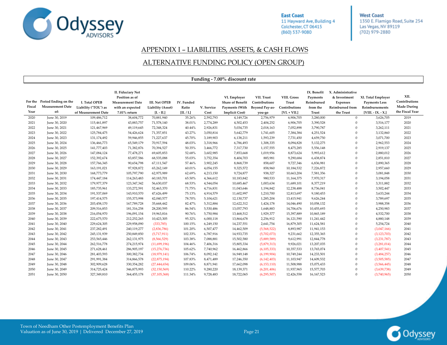

**West Coast** 1350 E. Flamigo Road, Suite 254 Las Vegas, NV 89119 (702) 979-2880

#### APPENDIX I – LIABILITIES, ASSETS, & CASH FLOWS

#### ALTERNATIVE FUNDING POLICY (OPEN GROUP)

|                |                                                                |                                                              |                                                                                                       |                                                           |                                   |                    | Funding - 7.00% discount rate                                                      |                                                         |                                                         |                                                                   |                                                                                             |                                                                                      |                                                                |
|----------------|----------------------------------------------------------------|--------------------------------------------------------------|-------------------------------------------------------------------------------------------------------|-----------------------------------------------------------|-----------------------------------|--------------------|------------------------------------------------------------------------------------|---------------------------------------------------------|---------------------------------------------------------|-------------------------------------------------------------------|---------------------------------------------------------------------------------------------|--------------------------------------------------------------------------------------|----------------------------------------------------------------|
| Fiscal<br>Year | For the Period Ending on the<br><b>Measurement Date</b><br>of: | I. Total OPEB<br>Liability ("TOL") as<br>of Measurement Date | II. Fiduciary Net<br>Position as of<br><b>Measurement Date</b><br>with an expected<br>$7.01\%$ return | <b>III. Net OPEB</b><br>Liability (Asset)<br>$[I. - II.]$ | IV. Funded<br>Ratio<br>[II. / I.] | V. Service<br>Cost | VI. Employer<br><b>Share of Benefit</b><br>Payments (With<br><b>Implicit Cost)</b> | VII. Trust<br>Contributions<br>Beyond Pay-as-<br>you-go | VIII. Gross<br>Trust<br>Contributions<br>$[VI. + VII.]$ | IX. Benefit<br>Payments<br>Reimbursed<br>from the<br><b>Trust</b> | X. Administrative<br>& Investment<br><b>Expenses</b><br><b>Reimbursed</b> from<br>the Trust | XI. Total Employer<br><b>Payments Less</b><br>Reimbursements<br>$[VIII. - IX. - X.]$ | XII.<br>Contributions<br><b>Made During</b><br>the Fiscal Year |
| 2020           | June 30, 2019                                                  | 109,486,712                                                  | 38,604,772                                                                                            | 70,881,940                                                | 35.26%                            | 2,592,793          | 4,149,726                                                                          | 2,756,979                                               | 6,906,705                                               | 3,280,000                                                         | $\mathbf{0}$                                                                                | 3,626,705                                                                            | 2019                                                           |
| 2021           | June 30, 2020                                                  | 115,461,897                                                  | 43,883,757                                                                                            | 71,578,140                                                | 38.01%                            | 2,774,289          | 4,502,453                                                                          | 2,404,252                                               | 6,906,705                                               | 3,390,528                                                         | $\Omega$                                                                                    | 3,516,177                                                                            | 2020                                                           |
| 2022           | June 30, 2021                                                  | 121,467,969                                                  | 49,119,645                                                                                            | 72,348,324                                                | 40.44%                            | 2,926,831          | 5,034,735                                                                          | 2,018,163                                               | 7,052,898                                               | 3,790,787                                                         | $\Omega$                                                                                    | 3,262,111                                                                            | 2021                                                           |
| 2023           | June 30, 2022                                                  | 125,784,475                                                  | 54,426,624                                                                                            | 71,357,851                                                | 43.27%                            | 3,050,814          | 5,642,779                                                                          | 1,741,605                                               | 7,384,384                                               | 4,251,524                                                         | $\mathbf{0}$                                                                                | 3,132,860                                                                            | 2022                                                           |
| 2024           | June 30, 2023                                                  | 131,174,492                                                  | 59,946,855                                                                                            | 71,227,637                                                | 45.70%                            | 3,189,903          | 6,138,211                                                                          | 1,593,239                                               | 7,731,450                                               | 4,659,750                                                         | $\Omega$                                                                                    | 3,071,700                                                                            | 2023                                                           |
| 2025           | June 30, 2024                                                  | 136,466,773                                                  | 65,549,179                                                                                            | 70,917,594                                                | 48.03%                            | 3,318,966          | 6,786,493                                                                          | 1,308,335                                               | 8,094,828                                               | 5,132,275                                                         | $\mathbf{0}$                                                                                | 2,962,553                                                                            | 2024                                                           |
| 2026           | June 30, 2025                                                  | 141,777,403                                                  | 71,382,876                                                                                            | 70,394,527                                                | 50.35%                            | 3,466,772          | 7,317,730                                                                          | 1,157,555                                               | 8,475,285                                               | 5,556,148                                                         | $\mathbf{0}$                                                                                | 2,919,137                                                                            | 2025                                                           |
| 2027           | June 30, 2026                                                  | 147,084,124                                                  | 77,478,271                                                                                            | 69,605,853                                                | 52.68%                            | 3,602,985          | 7,853,668                                                                          | 1,019,956                                               | 8,873,624                                               | 5,993,612                                                         | $\Omega$                                                                                    | 2,880,012                                                                            | 2026                                                           |
| 2028           | June 30, 2027                                                  | 152,392,674                                                  | 83,857,586                                                                                            | 68,535,088                                                | 55.03%                            | 3,752,354          | 8,404,703                                                                          | 885,981                                                 | 9,290,684                                               | 6,438,874                                                         | $\Omega$                                                                                    | 2,851,810                                                                            | 2027                                                           |
| 2029           | June 30, 2028                                                  | 157,766,345                                                  | 90,654,798                                                                                            | 67,111,547                                                | 57.46%                            | 3,902,245          | 8,868,739                                                                          | 858,607                                                 | 9,727,346                                               | 6,836,981                                                         | $\Omega$                                                                                    | 2,890,365                                                                            | 2028                                                           |
| 2030           | June 30, 2029                                                  | 163,191,021                                                  | 97,928,872                                                                                            | 65,262,149                                                | 60.01%                            | 4,054,155          | 9,325,572                                                                          | 858,960                                                 | 10,184,532                                              | 7,226,872                                                         | $\mathbf{0}$                                                                                | 2,957,660                                                                            | 2029                                                           |
| 2031           | June 30, 2030                                                  | 168,773,779                                                  | 105,797,790                                                                                           | 62,975,989                                                | 62.69%                            | 4,213,150          | 9,724,877                                                                          | 938,327                                                 | 10,663,204                                              | 7,581,356                                                         | $\Omega$                                                                                    | 3,081,848                                                                            | 2030                                                           |
| 2032           | June 30, 2031                                                  | 174,447,184                                                  | 114,263,483                                                                                           | 60,183,701                                                | 65.50%                            | 4,366,612          | 10,183,842                                                                         | 980,533                                                 | 11,164,375                                              | 7,970,317                                                         | $\mathbf{0}$                                                                                | 3,194,058                                                                            | 2031                                                           |
| 2033           | June 30, 2032                                                  | 179,977,379                                                  | 123,347,342                                                                                           | 56,630,037                                                | 68.53%                            | 4,544,054          | 10,685,467                                                                         | 1,003,634                                               | 11,689,101                                              | 8,377,219                                                         | $\mathbf{0}$                                                                                | 3,311,882                                                                            | 2032                                                           |
| 2034           | June 30, 2033                                                  | 185,735,961                                                  | 133,272,591                                                                                           | 52,463,370                                                | 71.75%                            | 4,716,831          | 11,043,646                                                                         | 1,194,842                                               | 12,238,488                                              | 8,736,041                                                         | $\Omega$                                                                                    | 3,502,447                                                                            | 2033                                                           |
| 2035           | June 30, 2034                                                  | 191,537,069                                                  | 143,910,570                                                                                           | 47,626,499                                                | 75.13%                            | 4,914,579          | 11,602,997                                                                         | 1,210,700                                               | 12,813,697                                              | 9,180,453                                                         | $\mathbf{0}$                                                                                | 3,633,244                                                                            | 2034                                                           |
| 2036           | June 30, 2035                                                  | 197,414,575                                                  | 155,373,998                                                                                           | 42,040,577                                                | 78.70%                            | 5,104,621          | 12,130,737                                                                         | 1,285,204                                               | 13,415,941                                              | 9,626,244                                                         | $\Omega$                                                                                    | 3,789,697                                                                            | 2035                                                           |
| 2037           | June 30, 2036                                                  | 203,458,170                                                  | 167,789,728                                                                                           | 35,668,442                                                | 82.47%                            | 5,312,884          | 12,622,312                                                                         | 1,424,178                                               | 14,046,490                                              | 10,058,132                                                        | $\Omega$                                                                                    | 3,988,358                                                                            | 2036                                                           |
| 2038           | June 30, 2037                                                  | 209,516,853                                                  | 181,316,258                                                                                           | 28,200,595                                                | 86.54%                            | 5,530,486          | 13,057,793                                                                         | 1,648,883                                               | 14,706,676                                              | 10,455,693                                                        | $\Omega$                                                                                    | 4,250,983                                                                            | 2037                                                           |
| 2039           | June 30, 2038                                                  | 216,054,970                                                  | 196,091,154                                                                                           | 19,963,816                                                | 90.76%                            | 5,750,984          | 13,468,512                                                                         | 1,929,377                                               | 15,397,889                                              | 10,865,189                                                        | $\Omega$                                                                                    | 4,532,700                                                                            | 2038                                                           |
| 2040           | June 30, 2039                                                  | 222,675,570                                                  | 212,252,265                                                                                           | 10,423,305                                                | 95.32%                            | 6,000,118          | 13,864,678                                                                         | 2,256,912                                               | 16,121,590                                              | 11,241,442                                                        | $\Omega$                                                                                    | 4,880,148                                                                            | 2039                                                           |
| 2041           | June 30, 2040                                                  | 229,624,305                                                  | 229,958,090                                                                                           | (333,785)                                                 | 100.15%                           | 6,249,150          | 14,237,551                                                                         | 2,641,754                                               | 16,879,305                                              | 11,624,581                                                        | $\Omega$                                                                                    | 5,254,724                                                                            | 2040                                                           |
| 2042           | June 30, 2041                                                  | 237,282,491                                                  | 240,119,277                                                                                           | (2,836,786)                                               | 101.20%                           | 6,507,477          | 14,462,509                                                                         | (5,568,522)                                             | 8,893,987                                               | 11,941,153                                                        | $\mathbf{0}$                                                                                | (3,047,166)                                                                          | 2041                                                           |
| 2043           | June 30, 2042                                                  | 245,131,939                                                  | 250,849,850                                                                                           | (5,717,911)                                               | 102.33%                           | 6,787,916          | 14,933,735                                                                         | (5,702,073)                                             | 9,231,662                                               | 12,355,365                                                        | $\Omega$                                                                                    | (3, 123, 703)                                                                        | 2042                                                           |
| 2044           | June 30, 2043                                                  | 253,565,446                                                  | 262,131,975                                                                                           | (8, 566, 529)                                             | 103.38%                           | 7,088,881          | 15,502,580                                                                         | (5,889,589)                                             | 9,612,991                                               | 12,844,778                                                        | $\Omega$                                                                                    | (3,231,787)                                                                          | 2043                                                           |
| 2045           | June 30, 2044                                                  | 262,516,778                                                  | 274,215,974                                                                                           | (11,699,196)                                              | 104.46%                           | 7,406,316          | 15,805,334                                                                         | (5,879,313)                                             | 9,926,021                                               | 13,207,035                                                        | $\Omega$                                                                                    | (3,281,014)                                                                          | 2044                                                           |
| 2046           | June 30, 2045                                                  | 271,628,461                                                  | 286,905,197                                                                                           | (15, 276, 736)                                            | 105.62%                           | 7,740,962          | 16,462,866                                                                         | (6, 105, 333)                                           | 10,357,533                                              | 13,765,074                                                        | $\Omega$                                                                                    | (3,407,541)                                                                          | 2045                                                           |
| 2047           | June 30, 2046                                                  | 281,403,593                                                  | 300,382,734                                                                                           | (18, 979, 141)                                            | 106.74%                           | 8,092,142          | 16,949,148                                                                         | (6, 199, 904)                                           | 10,749,244                                              | 14,233,501                                                        | $\Omega$                                                                                    | (3,484,257)                                                                          | 2046                                                           |
| 2048           | June 30, 2047                                                  | 291,991,384                                                  | 314,866,578                                                                                           | (22, 875, 194)                                            | 107.83%                           | 8,471,489          | 17,246,350                                                                         | (6, 142, 403)                                           | 11,103,947                                              | 14,609,532                                                        | $\mathbf{0}$                                                                                | (3,505,585)                                                                          | 2047                                                           |
| 2049           | June 30, 2048                                                  | 302,909,628                                                  | 330, 354, 282                                                                                         | (27, 444, 654)                                            | 109.06%                           | 8,871,941          | 17,662,098                                                                         | (6, 153, 110)                                           | 11,508,988                                              | 15,075,433                                                        | $\Omega$                                                                                    | (3,566,445)                                                                          | 2048                                                           |
| 2050           | June 30, 2049                                                  | 314,725,424                                                  | 346,875,993                                                                                           | (32, 150, 569)                                            | 110.22%                           | 9,280,220          | 18,139,371                                                                         | (6,201,406)                                             | 11,937,965                                              | 15,577,703                                                        | $\Omega$                                                                                    | (3,639,738)                                                                          | 2049                                                           |
| 2051           | June 30, 2050                                                  | 327,349,810                                                  | 364,455,178                                                                                           | (37, 105, 368)                                            | 111.34%                           | 9,728,483          | 18,722,065                                                                         | (6, 295, 507)                                           | 12,426,558                                              | 16,167,523                                                        | $\Omega$                                                                                    | (3,740,965)                                                                          | 2050                                                           |

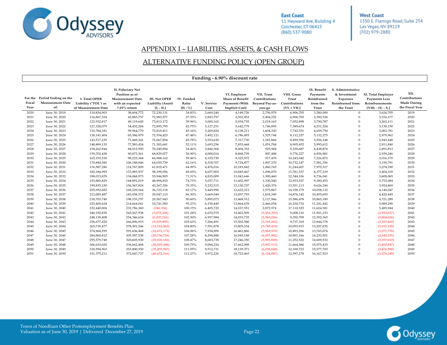

**West Coast** 1350 E. Flamigo Road, Suite 254 Las Vegas, NV 89119 (702) 979-2880

#### APPENDIX I – LIABILITIES, ASSETS, & CASH FLOWS

#### ALTERNATIVE FUNDING POLICY (OPEN GROUP)

|                |                                                                |                                                              |                                                                                                           |                                                           |                                   |                    | Funding - 6.90% discount rate                                                             |                                                                |                                                         |                                                            |                                                                                      |                                                                                      |                                                                |
|----------------|----------------------------------------------------------------|--------------------------------------------------------------|-----------------------------------------------------------------------------------------------------------|-----------------------------------------------------------|-----------------------------------|--------------------|-------------------------------------------------------------------------------------------|----------------------------------------------------------------|---------------------------------------------------------|------------------------------------------------------------|--------------------------------------------------------------------------------------|--------------------------------------------------------------------------------------|----------------------------------------------------------------|
| Fiscal<br>Year | For the Period Ending on the<br><b>Measurement Date</b><br>of: | I. Total OPEB<br>Liability ("TOL") as<br>of Measurement Date | <b>II. Fiduciary Net</b><br>Position as of<br><b>Measurement Date</b><br>with an expected<br>7.01% return | <b>III. Net OPEB</b><br>Liability (Asset)<br>$[I. - II.]$ | IV. Funded<br>Ratio<br>[II. / I.] | V. Service<br>Cost | VI. Employer<br><b>Share of Benefit</b><br><b>Payments (With</b><br><b>Implicit Cost)</b> | VII. Trust<br>Contributions<br><b>Beyond Pay-as-</b><br>you-go | VIII. Gross<br>Trust<br>Contributions<br>$[VI. + VII.]$ | IX. Benefit<br>Payments<br>Reimbursed<br>from the<br>Trust | X. Administrative<br>& Investment<br><b>Expenses</b><br>Reimbursed from<br>the Trust | XI. Total Employer<br><b>Payments Less</b><br>Reimbursements<br>$[VIII. - IX. - X.]$ | XII.<br>Contributions<br><b>Made During</b><br>the Fiscal Year |
| 2020           | June 30, 2019                                                  | 110,834,903                                                  | 38,604,772                                                                                                | 72,230,131                                                | 34.83%                            | 2,660,240          | 4,149,726                                                                                 | 2,756,979                                                      | 6,906,705                                               | 3,280,000                                                  | $\mathbf{0}$                                                                         | 3,626,705                                                                            | 2019                                                           |
| 2021           | June 30, 2020                                                  | 116,867,334                                                  | 43,883,757                                                                                                | 72,983,577                                                | 37.55%                            | 2,843,797          | 4,502,453                                                                                 | 2,404,252                                                      | 6,906,705                                               | 3,390,528                                                  | $\theta$                                                                             | 3,516,177                                                                            | 2020                                                           |
| 2022           | June 30, 2021                                                  | 122,932,817                                                  | 49,119,645                                                                                                | 73,813,172                                                | 39.96%                            | 3,000,162          | 5,034,735                                                                                 | 2,018,163                                                      | 7,052,898                                               | 3,790,787                                                  | $\theta$                                                                             | 3,262,111                                                                            | 2021                                                           |
| 2023           | June 30, 2022                                                  | 127,328,079                                                  | 54,432,284                                                                                                | 72,895,795                                                | 42.75%                            | 3,127,251          | 5,642,779                                                                                 | 1,746,895                                                      | 7,389,674                                               | 4,251,524                                                  | $\Omega$                                                                             | 3,138,150                                                                            | 2022                                                           |
| 2024           | June 30, 2023                                                  | 132,784,181                                                  | 59,964,770                                                                                                | 72,819,411                                                | 45.16%                            | 3,269,824          | 6,138,211                                                                                 | 1,604,320                                                      | 7,742,531                                               | 4,659,750                                                  | $\Omega$                                                                             | 3,082,781                                                                            | 2023                                                           |
| 2025           | June 30, 2024                                                  | 138,141,404                                                  | 65,586,979                                                                                                | 72,554,425                                                | 47.48%                            | 3,402,121          | 6,786,493                                                                                 | 1,325,744                                                      | 8,112,237                                               | 5,132,275                                                  | $\Omega$                                                                             | 2,979,962                                                                            | 2024                                                           |
| 2026           | June 30, 2025                                                  | 143,517,235                                                  | 71,449,341                                                                                                | 72,067,894                                                | 49.78%                            | 3,553,630          | 7,317,730                                                                                 | 1,181,866                                                      | 8,499,596                                               | 5,556,148                                                  | $\Omega$                                                                             | 2,943,448                                                                            | 2025                                                           |
| 2027           | June 30, 2026                                                  | 148,889,135                                                  | 77,583,454                                                                                                | 71,305,681                                                | 52.11%                            | 3,693,256          | 7,853,668                                                                                 | 1,051,784                                                      | 8,905,452                                               | 5,993,612                                                  | $\Omega$                                                                             | 2,911,840                                                                            | 2026                                                           |
| 2028           | June 30, 2027                                                  | 154,262,844                                                  | 84,012,950                                                                                                | 70,249,894                                                | 54.46%                            | 3,846,368          | 8,404,703                                                                                 | 925,984                                                        | 9,330,687                                               | 6,438,874                                                  | $\theta$                                                                             | 2,891,813                                                                            | 2027                                                           |
| 2029           | June 30, 2028                                                  | 159,702,438                                                  | 90,873,361                                                                                                | 68,829,077                                                | 56.90%                            | 4,000,014          | 8,868,739                                                                                 | 907,488                                                        | 9,776,227                                               | 6,836,981                                                  | $\mathbf{0}$                                                                         | 2,939,246                                                                            | 2028                                                           |
| 2030           | June 30, 2029                                                  | 165,193,530                                                  | 98,225,368                                                                                                | 66,968,162                                                | 59.46%                            | 4,155,730          | 9,325,572                                                                                 | 917,470                                                        | 10,243,042                                              | 7,226,872                                                  | $\Omega$                                                                             | 3,016,170                                                                            | 2029                                                           |
| 2031           | June 30, 2030                                                  | 170,844,585                                                  | 106,188,846                                                                                               | 64,655,739                                                | 62.16%                            | 4,318,707          | 9,724,877                                                                                 | 1,007,270                                                      | 10,732,147                                              | 7,581,356                                                  | $\theta$                                                                             | 3,150,791                                                                            | 2030                                                           |
| 2032           | June 30, 2031                                                  | 176,587,280                                                  | 114,767,809                                                                                               | 61,819,471                                                | 64.99%                            | 4,476,016          | 10,183,842                                                                                | 1,060,765                                                      | 11,244,607                                              | 7,970,317                                                  | $\Omega$                                                                             | 3,274,290                                                                            | 2031                                                           |
| 2033           | June 30, 2032                                                  | 182,184,993                                                  | 123,985,937                                                                                               | 58,199,056                                                | 68.05%                            | 4,657,903          | 10,685,467                                                                                | 1,096,070                                                      | 11,781,537                                              | 8,377,219                                                  | $\Omega$                                                                             | 3,404,318                                                                            | 2032                                                           |
| 2034           | June 30, 2033                                                  | 188,013,878                                                  | 134,068,973                                                                                               | 53,944,905                                                | 71.31%                            | 4,835,009          | 11,043,646                                                                                | 1,300,460                                                      | 12,344,106                                              | 8,736,041                                                  | $\Omega$                                                                             | 3,608,065                                                                            | 2033                                                           |
| 2035           | June 30, 2034                                                  | 193,885,829                                                  | 144,891,019                                                                                               | 48,994,810                                                | 74.73%                            | 5,037,711          | 11,602,997                                                                                | 1,330,540                                                      | 12,933,537                                              | 9,180,453                                                  | $\Omega$                                                                             | 3,753,084                                                                            | 2034                                                           |
| 2036           | June 30, 2035                                                  | 199,835,150                                                  | 156,567,824                                                                                               | 43,267,326                                                | 78.35%                            | 5,232,515          | 12,130,737                                                                                | 1,420,376                                                      | 13,551,113                                              | 9,626,244                                                  | $\theta$                                                                             | 3,924,869                                                                            | 2035                                                           |
| 2037           | June 30, 2036                                                  | 205,952,682                                                  | 169,229,564                                                                                               | 36,723,118                                                | 82.17%                            | 5,445,996          | 12,622,312                                                                                | 1,575,867                                                      | 14,198,179                                              | 10,058,132                                                 | $\overline{0}$                                                                       | 4,140,047                                                                            | 2036                                                           |
| 2038           | June 30, 2037                                                  | 212,085,487                                                  | 183,038,372                                                                                               | 29,047,115                                                | 86.30%                            | 5,669,049          | 13,057,793                                                                                | 1,818,349                                                      | 14,876,142                                              | 10,455,693                                                 | $\theta$                                                                             | 4,420,449                                                                            | 2037                                                           |
| 2039           | June 30, 2038                                                  | 218,703,740                                                  | 198,135,797                                                                                               | 20,567,943                                                | 90.60%                            | 5,895,073          | 13,468,512                                                                                | 2,117,966                                                      | 15,586,478                                              | 10,865,189                                                 | $\Omega$                                                                             | 4,721,289                                                                            | 2038                                                           |
| 2040           | June 30, 2039                                                  | 225,405,624                                                  | 214,664,041                                                                                               | 10,741,583                                                | 95.23%                            | 6,150,449          | 13,864,678                                                                                | 2,466,054                                                      | 16,330,732                                              | 11,241,442                                                 | $\Omega$                                                                             | 5,089,290                                                                            | 2039                                                           |
| 2041           | June 30, 2040                                                  | 232,440,004                                                  | 232,786,360                                                                                               | (346, 356)                                                | 100.15%                           | 6,405,720          | 14,237,551                                                                                | 2,872,974                                                      | 17,110,525                                              | 11,624,581                                                 | $\Omega$                                                                             | 5,485,944                                                                            | 2040                                                           |
| 2042           | June 30, 2041                                                  | 240,192,830                                                  | 243,267,938                                                                                               | (3,075,108)                                               | 101.28%                           | 6,670,519          | 14,462,509                                                                                | (5,454,393)                                                    | 9,008,116                                               | 11,941,153                                                 | $\Omega$                                                                             | (2,933,037)                                                                          | 2041                                                           |
| 2043           | June 30, 2042                                                  | 248,139,408                                                  | 254,346,624                                                                                               | (6,207,216)                                               | 102.50%                           | 6,957,984          | 14,933,735                                                                                | (5,583,026)                                                    | 9,350,709                                               | 12,355,365                                                 | $\Omega$                                                                             | (3,004,656)                                                                          | 2042                                                           |
| 2044           | June 30, 2043                                                  | 256,677,420                                                  | 266,006,915                                                                                               | (9,329,495)                                               | 103.63%                           | 7,266,491          | 15,502,580                                                                                | (5,765,262)                                                    | 9,737,318                                               | 12,844,778                                                 | $\Omega$                                                                             | (3,107,460)                                                                          | 2043                                                           |
| 2045           | June 30, 2044                                                  | 265,739,477                                                  | 278,501,546                                                                                               | (12,762,069)                                              | 104.80%                           | 7,591,878          | 15,805,334                                                                                | (5,749,419)                                                    | 10,055,915                                              | 13,207,035                                                 | $\mathbf{0}$                                                                         | (3, 151, 120)                                                                        | 2044                                                           |
| 2046           | June 30, 2045                                                  | 274,964,295                                                  | 291,636,468                                                                                               | (16,672,173)                                              | 106.06%                           | 7,934,909          | 16,462,866                                                                                | (5,969,570)                                                    | 10,493,296                                              | 13,765,074                                                 | $\theta$                                                                             | (3,271,778)                                                                          | 2045                                                           |
| 2047           | June 30, 2046                                                  | 284,860,812                                                  | 305,597,538                                                                                               | (20, 736, 726)                                            | 107.28%                           | 8,294,888          | 16,949,148                                                                                | (6,057,982)                                                    | 10,891,166                                              | 14,233,501                                                 | $\Omega$                                                                             | (3,342,335)                                                                          | 2046                                                           |
| 2048           | June 30, 2047                                                  | 295,579,748                                                  | 320,605,930                                                                                               | (25,026,182)                                              | 108.47%                           | 8,683,738          | 17,246,350                                                                                | (5,993,828)                                                    | 11,252,522                                              | 14,609,532                                                 | $\Omega$                                                                             | (3,357,010)                                                                          | 2047                                                           |
| 2049           | June 30, 2048                                                  | 306,633,020                                                  | 336,662,468                                                                                               | (30,029,448)                                              | 109.79%                           | 9,094,224          | 17,662,098                                                                                | (5,997,512)                                                    | 11,664,586                                              | 15,075,433                                                 | $\Omega$                                                                             | (3,410,847)                                                                          | 2048                                                           |
| 2050           | June 30, 2049                                                  | 318,594,963                                                  | 353,800,550                                                                                               | (35, 205, 587)                                            | 111.05%                           | 9,512,731          | 18,139,371                                                                                | (6,038,648)                                                    | 12,100,723                                              | 15,577,703                                                 | $\theta$                                                                             | (3,476,980)                                                                          | 2049                                                           |
| 2051           | June 30, 2050                                                  | 331, 375, 211                                                | 372,047,727                                                                                               | (40,672,516)                                              | 112.27%                           | 9,972,226          | 18,722,065                                                                                | (6, 124, 887)                                                  | 12,597,178                                              | 16,167,523                                                 | $\theta$                                                                             | (3,570,345)                                                                          | 2050                                                           |

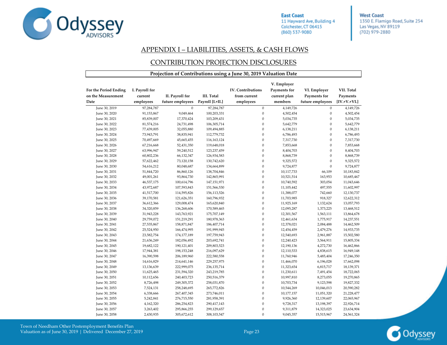

**West Coast** 1350 E. Flamigo Road, Suite 254 Las Vegas, NV 89119 (702) 979-2880

#### APPENDIX I – LIABILITIES, ASSETS, & CASH FLOWS

#### CONTRIBUTION PROJECTION DISCLOSURES

|                                             |                           |                  |                   | Projection of Contributions using a June 30, 2019 Valuation Date |                             |                              |                |
|---------------------------------------------|---------------------------|------------------|-------------------|------------------------------------------------------------------|-----------------------------|------------------------------|----------------|
| For the Period Ending<br>on the Measurement | I. Payroll for<br>current | II. Payroll for  | <b>III.</b> Total | <b>IV.</b> Contributions<br>from current                         | V. Employer<br>Payments for | VI. Employer<br>Payments for | VII. Total     |
|                                             |                           |                  |                   |                                                                  | current plan                |                              | Payments       |
| Date                                        | employees                 | future employees | Payroll [I.+II.]  | employees                                                        | members                     | future employees             | $[IV.+V.+VI.]$ |
| June 30, 2019                               | 97,284,787                | $\boldsymbol{0}$ | 97,284,787        | $\boldsymbol{0}$                                                 | 4,149,726                   | $\boldsymbol{0}$             | 4,149,726      |
| June 30, 2020                               | 91,153,867                | 9,049,464        | 100,203,331       | $\boldsymbol{0}$                                                 | 4,502,454                   | $\boldsymbol{0}$             | 4,502,454      |
| June 30, 2021                               | 85,839,007                | 17,370,424       | 103,209,431       | $\boldsymbol{0}$                                                 | 5,034,735                   | $\boldsymbol{0}$             | 5,034,735      |
| June 30, 2022                               | 81,574,216                | 24,731,498       | 106,305,714       | $\boldsymbol{0}$                                                 | 5,642,779                   | $\boldsymbol{0}$             | 5,642,779      |
| June 30, 2023                               | 77,439,005                | 32,055,880       | 109,494,885       | $\boldsymbol{0}$                                                 | 6,138,211                   | $\overline{0}$               | 6,138,211      |
| June 30, 2024                               | 73,943,791                | 38,835,941       | 112,779,732       | $\boldsymbol{0}$                                                 | 6,786,493                   | $\mathbf{0}$                 | 6,786,493      |
| June 30, 2025                               | 70,497,669                | 45,665,455       | 116, 163, 124     | $\boldsymbol{0}$                                                 | 7,317,730                   | $\boldsymbol{0}$             | 7,317,730      |
| June 30, 2026                               | 67,216,668                | 52,431,350       | 119,648,018       | $\boldsymbol{0}$                                                 | 7,853,668                   | $\mathbf{0}$                 | 7,853,668      |
| June 30, 2027                               | 63,996,947                | 59,240,512       | 123,237,459       | $\boldsymbol{0}$                                                 | 8,404,703                   | $\mathbf{0}$                 | 8,404,703      |
| June 30, 2028                               | 60,802,236                | 66,132,347       | 126,934,583       | $\boldsymbol{0}$                                                 | 8,868,739                   | $\overline{0}$               | 8,868,739      |
| June 30, 2029                               | 57,622,462                | 73,120,158       | 130,742,620       | $\boldsymbol{0}$                                                 | 9,325,572                   | $\overline{0}$               | 9,325,572      |
| June 30, 2030                               | 54,616,212                | 80,048,687       | 134,664,899       | $\boldsymbol{0}$                                                 | 9,724,877                   | $\mathbf{0}$                 | 9,724,877      |
| June 30, 2031                               | 51,844,720                | 86,860,126       | 138,704,846       | $\boldsymbol{0}$                                                 | 10,117,733                  | 66,109                       | 10,183,842     |
| June 30, 2032                               | 49,001,261                | 93,864,730       | 142,865,991       | $\boldsymbol{0}$                                                 | 10,521,514                  | 163,953                      | 10,685,467     |
| June 30, 2033                               | 46,537,175                | 100,614,796      | 147, 151, 971     | $\boldsymbol{0}$                                                 | 10,740,592                  | 303,054                      | 11,043,646     |
| June 30, 2034                               | 43,972,687                | 107,593,843      | 151,566,530       | $\boldsymbol{0}$                                                 | 11,105,442                  | 497,555                      | 11,602,997     |
| June 30, 2035                               | 41,517,700                | 114,595,826      | 156,113,526       | $\boldsymbol{0}$                                                 | 11,388,077                  | 742,660                      | 12,130,737     |
| June 30, 2036                               | 39,170,581                | 121,626,351      | 160,796,932       | $\boldsymbol{0}$                                                 | 11,703,985                  | 918,327                      | 12,622,312     |
| June 30, 2037                               | 36,612,366                | 129,008,474      | 165,620,840       | $\boldsymbol{0}$                                                 | 11,925,169                  | 1,132,624                    | 13,057,793     |
| June 30, 2038                               | 34,320,859                | 136,268,606      | 170,589,465       | $\boldsymbol{0}$                                                 | 12,095,287                  | 1,373,225                    | 13,468,512     |
| June 30, 2039                               | 31,943,228                | 143,763,921      | 175,707,149       | $\boldsymbol{0}$                                                 | 12,301,567                  | 1,563,111                    | 13,864,678     |
| June 30, 2040                               | 29,759,072                | 151,219,291      | 180,978,363       | $\boldsymbol{0}$                                                 | 12,461,634                  | 1,775,917                    | 14,237,551     |
| June 30, 2041                               | 27,535,867                | 158,871,847      | 186,407,714       | $\boldsymbol{0}$                                                 | 12,378,021                  | 2,084,488                    | 14,462,509     |
| June 30, 2042                               | 25,524,950                | 166,474,995      | 191,999,945       | $\boldsymbol{0}$                                                 | 12,454,459                  | 2,479,276                    | 14,933,735     |
| June 30, 2043                               | 23,582,754                | 174,177,189      | 197,759,943       | $\boldsymbol{0}$                                                 | 12,540,693                  | 2,961,887                    | 15,502,580     |
| June 30, 2044                               | 21,636,249                | 182,056,492      | 203,692,741       | $\boldsymbol{0}$                                                 | 12,240,423                  | 3,564,911                    | 15,805,334     |
| June 30, 2045                               | 19,682,122                | 190,121,401      | 209,803,523       | $\boldsymbol{0}$                                                 | 12,190,136                  | 4,272,730                    | 16,462,866     |
| June 30, 2046                               | 17,944,381                | 198,153,248      | 216,097,629       | $\boldsymbol{0}$                                                 | 12,110,533                  | 4,838,615                    | 16,949,148     |
| June 30, 2047                               | 16,390,598                | 206,189,960      | 222,580,558       | $\boldsymbol{0}$                                                 | 11,760,946                  | 5,485,404                    | 17,246,350     |
| June 30, 2048                               | 14,616,829                | 214,641,146      | 229,257,975       | $\boldsymbol{0}$                                                 | 11,466,070                  | 6,196,028                    | 17,662,098     |
| June 30, 2049                               | 13,136,639                | 222,999,075      | 236, 135, 714     | $\boldsymbol{0}$                                                 | 11,323,654                  | 6,815,717                    | 18,139,371     |
| June 30, 2050                               | 11,625,465                | 231,594,320      | 243,219,785       | $\boldsymbol{0}$                                                 | 11,230,611                  | 7,491,454                    | 18,722,065     |
| June 30, 2051                               | 10,112,656                | 240,403,723      | 250,516,379       | $\boldsymbol{0}$                                                 | 10,997,810                  | 8,273,055                    | 19,270,865     |
| June 30, 2052                               | 8,726,498                 | 249,305,372      | 258,031,870       | $\boldsymbol{0}$                                                 | 10,703,734                  | 9,123,598                    | 19,827,332     |
| June 30, 2053                               | 7,524,131                 | 258,248,695      | 265,772,826       | $\boldsymbol{0}$                                                 | 10,544,269                  | 10,046,013                   | 20,590,282     |
| June 30, 2054                               | 6,338,666                 | 267,407,345      | 273,746,011       | $\boldsymbol{0}$                                                 | 10,177,157                  | 11,051,320                   | 21,228,477     |
| June 30, 2055                               | 5,242,841                 | 276,715,550      | 281,958,391       | $\boldsymbol{0}$                                                 | 9,926,360                   | 12,139,607                   | 22,065,967     |
| June 30, 2056                               | 4,162,320                 | 286,254,823      | 290,417,143       | $\boldsymbol{0}$                                                 | 9,728,317                   | 13,198,397                   | 22,926,714     |
| June 30, 2057                               | 3,263,402                 | 295,866,255      | 299,129,657       | $\mathbf{0}$                                                     | 9,311,879                   | 14,323,025                   | 23,634,904     |
| June 30, 2058                               | 2,430,935                 | 305,672,612      | 308,103,547       | $\mathbf{0}$                                                     | 9,045,357                   | 15,515,967                   | 24,561,324     |

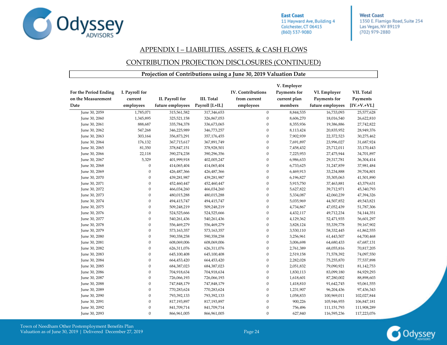

**West Coast** 1350 E. Flamigo Road, Suite 254 Las Vegas, NV 89119 (702) 979-2880

#### APPENDIX I – LIABILITIES, ASSETS, & CASH FLOWS

#### CONTRIBUTION PROJECTION DISCLOSURES (CONTINUED)

|                                                     |                                        |                                     |                                       | Projection of Contributions using a June 30, 2019 Valuation Date |                                                        |                                                  |                                          |
|-----------------------------------------------------|----------------------------------------|-------------------------------------|---------------------------------------|------------------------------------------------------------------|--------------------------------------------------------|--------------------------------------------------|------------------------------------------|
| For the Period Ending<br>on the Measurement<br>Date | I. Payroll for<br>current<br>employees | II. Payroll for<br>future employees | <b>III.</b> Total<br>Payroll [I.+II.] | IV. Contributions<br>from current<br>employees                   | V. Employer<br>Payments for<br>current plan<br>members | VI. Employer<br>Payments for<br>future employees | VII. Total<br>Payments<br>$[IV.+V.+VI.]$ |
| June 30, 2059                                       | 1,785,071                              | 315,561,582                         | 317,346,653                           | $\boldsymbol{0}$                                                 | 8,844,535                                              | 16,733,093                                       | 25,577,628                               |
| June 30, 2060                                       | 1,345,895                              | 325,521,158                         | 326,867,053                           | $\boldsymbol{0}$                                                 | 8,606,270                                              | 18,016,540                                       | 26,622,810                               |
| June 30, 2061                                       | 888,687                                | 335,784,378                         | 336,673,065                           | $\boldsymbol{0}$                                                 | 8,355,936                                              | 19,386,886                                       | 27,742,822                               |
| June 30, 2062                                       | 547,268                                | 346,225,989                         | 346,773,257                           | $\boldsymbol{0}$                                                 | 8,113,424                                              | 20,835,952                                       | 28,949,376                               |
| June 30, 2063                                       | 303,164                                | 356,873,291                         | 357,176,455                           | $\boldsymbol{0}$                                                 | 7,902,939                                              | 22,372,523                                       | 30,275,462                               |
| June 30, 2064                                       | 176,132                                | 367,715,617                         | 367,891,749                           | $\mathbf{0}$                                                     | 7,691,897                                              | 23,996,027                                       | 31,687,924                               |
| June 30, 2065                                       | 81,350                                 | 378,847,151                         | 378,928,501                           | $\boldsymbol{0}$                                                 | 7,458,432                                              | 25,712,011                                       | 33,170,443                               |
| June 30, 2066                                       | 22,118                                 | 390,274,238                         | 390,296,356                           | $\boldsymbol{0}$                                                 | 7,225,953                                              | 27,475,944                                       | 34,701,897                               |
| June 30, 2067                                       | 5,329                                  | 401,999,918                         | 402,005,247                           | $\boldsymbol{0}$                                                 | 6,986,633                                              | 29,317,781                                       | 36,304,414                               |
| June 30, 2068                                       | $\overline{0}$                         | 414,065,404                         | 414,065,404                           | $\boldsymbol{0}$                                                 | 6,733,625                                              | 31,247,859                                       | 37,981,484                               |
| June 30, 2069                                       | $\overline{0}$                         | 426,487,366                         | 426,487,366                           | $\boldsymbol{0}$                                                 | 6,469,913                                              | 33,234,888                                       | 39,704,801                               |
| June 30, 2070                                       | $\overline{0}$                         | 439,281,987                         | 439,281,987                           | $\boldsymbol{0}$                                                 | 6,196,827                                              | 35,305,063                                       | 41,501,890                               |
| June 30, 2071                                       | $\overline{0}$                         | 452,460,447                         | 452,460,447                           | $\boldsymbol{0}$                                                 | 5,915,750                                              | 37,463,881                                       | 43,379,631                               |
| June 30, 2072                                       | $\overline{0}$                         | 466,034,260                         | 466,034,260                           | $\boldsymbol{0}$                                                 | 5,627,822                                              | 39,712,971                                       | 45,340,793                               |
| June 30, 2073                                       | $\overline{0}$                         | 480,015,288                         | 480,015,288                           | $\boldsymbol{0}$                                                 | 5,334,087                                              | 42,060,239                                       | 47,394,326                               |
| June 30, 2074                                       | $\theta$                               | 494,415,747                         | 494,415,747                           | $\mathbf{0}$                                                     | 5,035,969                                              | 44,507,852                                       | 49,543,821                               |
| June 30, 2075                                       | $\theta$                               | 509,248,219                         | 509,248,219                           | $\boldsymbol{0}$                                                 | 4,734,867                                              | 47,052,439                                       | 51,787,306                               |
| June 30, 2076                                       | $\overline{0}$                         | 524,525,666                         | 524,525,666                           | $\boldsymbol{0}$                                                 | 4,432,117                                              | 49,712,234                                       | 54,144,351                               |
| June 30, 2077                                       | $\overline{0}$                         | 540,261,436                         | 540,261,436                           | $\boldsymbol{0}$                                                 | 4,129,362                                              | 52,471,935                                       | 56,601,297                               |
| June 30, 2078                                       | $\overline{0}$                         | 556,469,279                         | 556,469,279                           | $\boldsymbol{0}$                                                 | 3,828,124                                              | 55,339,778                                       | 59,167,902                               |
| June 30, 2079                                       | $\overline{0}$                         | 573,163,357                         | 573,163,357                           | $\boldsymbol{0}$                                                 | 3,530,110                                              | 58,332,445                                       | 61,862,555                               |
| June 30, 2080                                       | $\overline{0}$                         | 590,358,258                         | 590,358,258                           | $\boldsymbol{0}$                                                 | 3,256,961                                              | 61,443,507                                       | 64,700,468                               |
| June 30, 2081                                       | $\overline{0}$                         | 608,069,006                         | 608,069,006                           | $\boldsymbol{0}$                                                 | 3,006,698                                              | 64,680,433                                       | 67,687,131                               |
| June 30, 2082                                       | $\boldsymbol{0}$                       | 626,311,076                         | 626,311,076                           | $\boldsymbol{0}$                                                 | 2,761,389                                              | 68,055,816                                       | 70,817,205                               |
| June 30, 2083                                       | $\overline{0}$                         | 645,100,408                         | 645,100,408                           | $\boldsymbol{0}$                                                 | 2,519,158                                              | 71,578,392                                       | 74,097,550                               |
| June 30, 2084                                       | $\overline{0}$                         | 664,453,420                         | 664,453,420                           | $\boldsymbol{0}$                                                 | 2,282,028                                              | 75,255,870                                       | 77,537,898                               |
| June 30, 2085                                       | $\theta$                               | 684,387,023                         | 684,387,023                           | $\boldsymbol{0}$                                                 | 2,051,832                                              | 79,090,921                                       | 81,142,753                               |
| June 30, 2086                                       | $\theta$                               | 704,918,634                         | 704,918,634                           | $\boldsymbol{0}$                                                 | 1,830,113                                              | 83,099,180                                       | 84,929,293                               |
| June 30, 2087                                       | $\overline{0}$                         | 726,066,193                         | 726,066,193                           | $\boldsymbol{0}$                                                 | 1,618,601                                              | 87,280,002                                       | 88,898,603                               |
| June 30, 2088                                       | $\overline{0}$                         | 747,848,179                         | 747,848,179                           | $\boldsymbol{0}$                                                 | 1,418,810                                              | 91,642,745                                       | 93,061,555                               |
| June 30, 2089                                       | $\overline{0}$                         | 770,283,624                         | 770,283,624                           | $\boldsymbol{0}$                                                 | 1,231,907                                              | 96,204,436                                       | 97,436,343                               |
| June 30, 2090                                       | $\overline{0}$                         | 793,392,133                         | 793,392,133                           | $\boldsymbol{0}$                                                 | 1,058,833                                              | 100,969,011                                      | 102,027,844                              |
| June 30, 2091                                       | $\overline{0}$                         | 817,193,897                         | 817,193,897                           | $\boldsymbol{0}$                                                 | 900,226                                                | 105,946,955                                      | 106,847,181                              |
| June 30, 2092                                       | $\overline{0}$                         | 841,709,714                         | 841,709,714                           | $\boldsymbol{0}$                                                 | 756,496                                                | 111, 151, 793                                    | 111,908,289                              |
| June 30, 2093                                       | $\boldsymbol{0}$                       | 866,961,005                         | 866,961,005                           | $\boldsymbol{0}$                                                 | 627,840                                                | 116,595,236                                      | 117,223,076                              |

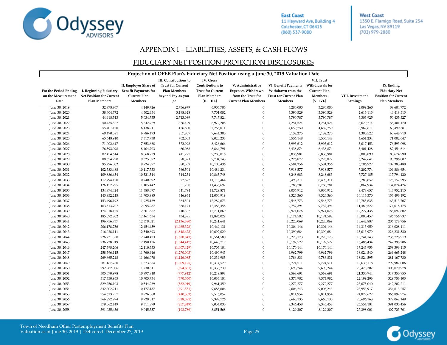

**West Coast** 1350 E. Flamigo Road, Suite 254 Las Vegas, NV 89119 (702) 979-2880

#### APPENDIX I – LIABILITIES, ASSETS, & CASH FLOWS

#### FIDUCIARY NET POSITION PROJECTION DISCLOSURES

|                       | Projection of OPEB Plan's Fiduciary Net Position using a June 30, 2019 Valuation Date |                             |                          |                          |                             |                               |                     |                  |                             |  |  |  |
|-----------------------|---------------------------------------------------------------------------------------|-----------------------------|--------------------------|--------------------------|-----------------------------|-------------------------------|---------------------|------------------|-----------------------------|--|--|--|
|                       |                                                                                       |                             | III. Contributions to    | IV. Gross                |                             |                               | VII. Trust          |                  |                             |  |  |  |
|                       |                                                                                       | II. Employer Share of       | <b>Trust for Current</b> | Contributions to         | V. Administrative           | VI. Benefit Payments          | Withdrawals for     |                  | IX. Ending                  |  |  |  |
| For the Period Ending | I. Beginning Fiduciary                                                                | <b>Benefit Payments for</b> | <b>Plan Members</b>      | <b>Trust for Current</b> | <b>Expenses Withdrawn</b>   | Withdrawn from the            | <b>Current Plan</b> |                  | <b>Fiduciary Net</b>        |  |  |  |
| on the Measurement    | <b>Net Position for Current</b>                                                       | <b>Current Plan</b>         | beyond Pay-as-you-       | Plan Members             | from the Trust for          | <b>Trust for Current Plan</b> | Members             | VIII. Investment | <b>Position for Current</b> |  |  |  |
| Date                  | <b>Plan Members</b>                                                                   | Members                     | go                       | $[II. + III.]$           | <b>Current Plan Members</b> | Members                       | $[V. +VI.]$         | Earnings         | <b>Plan Members</b>         |  |  |  |
| June 30, 2019         | 32,878,807                                                                            | 4,149,726                   | 2,756,979                | 6,906,705                | $\boldsymbol{0}$            | 3,280,000                     | 3,280,000           | 2,099,260        | 38,604,772                  |  |  |  |
| June 30, 2020         | 38,604,772                                                                            | 4,502,454                   | 3,198,628                | 7,701,082                | $\boldsymbol{0}$            | 3,390,529                     | 3,390,529           | 2,615,113        | 44,418,513                  |  |  |  |
| June 30, 2021         | 44,418,513                                                                            | 5,034,735                   | 2,713,089                | 7,747,824                | $\theta$                    | 3,790,787                     | 3,790,787           | 3,303,925        | 50,435,527                  |  |  |  |
| June 30, 2022         | 50,435,527                                                                            | 5,642,779                   | 1,336,429                | 6,979,208                | $\overline{0}$              | 4,251,524                     | 4,251,524           | 3,629,214        | 55,401,170                  |  |  |  |
| June 30, 2023         | 55,401,170                                                                            | 6,138,211                   | 1,126,800                | 7,265,011                | $\Omega$                    | 4,659,750                     | 4,659,750           | 3,962,611        | 60,490,581                  |  |  |  |
| June 30, 2024         | 60,490,581                                                                            | 6,786,493                   | 857,807                  | 7,644,300                | $\mathbf{0}$                | 5,132,275                     | 5,132,275           | 4,300,522        | 65,648,910                  |  |  |  |
| June 30, 2025         | 65,648,910                                                                            | 7,317,730                   | 702,503                  | 8,020,233                | $\theta$                    | 5,556,148                     | 5,556,148           | 4,651,234        | 71,002,647                  |  |  |  |
| June 30, 2026         | 71,002,647                                                                            | 7,853,668                   | 572,998                  | 8,426,666                | $\overline{0}$              | 5,993,612                     | 5,993,612           | 5,017,453        | 76,593,098                  |  |  |  |
| June 30, 2027         | 76,593,098                                                                            | 8,404,703                   | 460,088                  | 8,864,791                | $\overline{0}$              | 6,438,874                     | 6,438,874           | 5,401,428        | 82,454,614                  |  |  |  |
| June 30, 2028         | 82,454,614                                                                            | 8,868,739                   | 411,277                  | 9,280,016                | $\theta$                    | 6,836,981                     | 6,836,981           | 5,808,899        | 88,674,790                  |  |  |  |
| June 30, 2029         | 88,674,790                                                                            | 9,325,572                   | 378,571                  | 9,704,143                | $\theta$                    | 7,226,872                     | 7,226,872           | 6,242,641        | 95,296,002                  |  |  |  |
| June 30, 2030         | 95,296,002                                                                            | 9,724,877                   | 380,559                  | 10,105,436               | $\boldsymbol{0}$            | 7,581,356                     | 7,581,356           | 6,706,927        | 102,383,488                 |  |  |  |
| June 30, 2031         | 102,383,488                                                                           | 10,117,733                  | 366,501                  | 10,484,234               | $\overline{0}$              | 7,918,577                     | 7,918,577           | 7,202,774        | 109,886,654                 |  |  |  |
| June 30, 2032         | 109,886,654                                                                           | 10,521,514                  | 344,234                  | 10,865,748               | $\overline{0}$              | 8,248,683                     | 8,248,683           | 7,727,185        | 117,794,120                 |  |  |  |
| June 30, 2033         | 117,794,120                                                                           | 10,740,592                  | 377,872                  | 11,118,464               | $\theta$                    | 8,496,311                     | 8,496,311           | 8,283,857        | 126, 152, 795               |  |  |  |
| June 30, 2034         | 126, 152, 795                                                                         | 11,105,442                  | 351,250                  | 11,456,692               | $\overline{0}$              | 8,786,781                     | 8,786,781           | 8,867,934        | 134,874,424                 |  |  |  |
| June 30, 2035         | 134,874,424                                                                           | 11,388,077                  | 341,794                  | 11,729,871               | $\mathbf{0}$                | 9,036,912                     | 9,036,912           | 9,478,657        | 143,952,215                 |  |  |  |
| June 30, 2036         | 143,952,215                                                                           | 11,703,985                  | 346,934                  | 12,050,919               | $\theta$                    | 9,326,360                     | 9,326,360           | 10,115,370       | 153,496,192                 |  |  |  |
| June 30, 2037         | 153,496,192                                                                           | 11,925,169                  | 364,504                  | 12,289,673               | $\theta$                    | 9,548,773                     | 9,548,773           | 10,785,635       | 163,513,707                 |  |  |  |
| June 30, 2038         | 163,513,707                                                                           | 12,095,287                  | 388,171                  | 12,483,458               | $\overline{0}$              | 9,757,394                     | 9,757,394           | 11,489,522       | 174,018,175                 |  |  |  |
| June 30, 2039         | 174,018,175                                                                           | 12,301,567                  | 410,302                  | 12,711,869               | $\mathbf{0}$                | 9,974,076                     | 9,974,076           | 12,227,436       | 185,092,802                 |  |  |  |
| June 30, 2040         | 185,092,802                                                                           | 12,461,634                  | 434,395                  | 12,896,029               | $\mathbf{0}$                | 10,174,592                    | 10,174,592          | 13,005,457       | 196,756,737                 |  |  |  |
| June 30, 2041         | 196,756,737                                                                           | 12,378,021                  | (2, 136, 380)            | 10,241,641               | $\theta$                    | 10,220,069                    | 10,220,069          | 13,642,887       | 206,178,756                 |  |  |  |
| June 30, 2042         | 206,178,756                                                                           | 12,454,459                  | (1,985,328)              | 10,469,131               | $\boldsymbol{0}$            | 10,304,146                    | 10,304,146          | 14,313,959       | 216,028,111                 |  |  |  |
| June 30, 2043         | 216,028,111                                                                           | 12,540,693                  | (1,848,673)              | 10,692,020               | $\mathbf{0}$                | 10,390,684                    | 10,390,684          | 15,013,979       | 226,231,530                 |  |  |  |
| June 30, 2044         | 226,231,530                                                                           | 12,240,423                  | (1,678,843)              | 10,561,580               | $\mathbf{0}$                | 10,228,173                    | 10,228,173          | 15,741,143       | 236,728,919                 |  |  |  |
| June 30, 2045         | 236,728,919                                                                           | 12,190,136                  | (1,544,417)              | 10,645,719               | $\mathbf{0}$                | 10,192,522                    | 10,192,522          | 16,486,434       | 247,398,206                 |  |  |  |
| June 30, 2046         | 247,398,206                                                                           | 12,110,533                  | (1,407,429)              | 10,703,104               | $\boldsymbol{0}$            | 10,170,144                    | 10,170,144          | 17,243,953       | 258,396,115                 |  |  |  |
| June 30, 2047         | 258,396,115                                                                           | 11,760,946                  | (1,270,003)              | 10,490,943               | $\overline{0}$              | 9,962,799                     | 9,962,799           | 18,024,540       | 269,665,248                 |  |  |  |
| June 30, 2048         | 269,665,248                                                                           | 11,466,070                  | (1, 126, 085)            | 10,339,985               | $\mathbf{0}$                | 9,786,831                     | 9,786,831           | 18,824,595       | 281, 167, 730               |  |  |  |
| June 30, 2049         | 281,167,730                                                                           | 11,323,654                  | (1,009,125)              | 10,314,529               | $\theta$                    | 9,724,511                     | 9,724,511           | 19,639,118       | 292,982,006                 |  |  |  |
| June 30, 2050         | 292,982,006                                                                           | 11,230,611                  | (894, 881)               | 10,335,730               | $\overline{0}$              | 9,698,244                     | 9,698,244           | 20,475,307       | 305,070,978                 |  |  |  |
| June 30, 2051         | 305,070,978                                                                           | 10,997,810                  | (777, 912)               | 10,219,898               | $\theta$                    | 9,568,691                     | 9,568,691           | 21,330,944       | 317,350,955                 |  |  |  |
| June 30, 2052         | 317,350,955                                                                           | 10,703,734                  | (670, 550)               | 10,033,184               | $\mathbf{0}$                | 9,374,982                     | 9,374,982           | 22,199,296       | 329,756,103                 |  |  |  |
| June 30, 2053         | 329,756,103                                                                           | 10,544,269                  | (582, 919)               | 9,961,350                | $\boldsymbol{0}$            | 9,272,277                     | 9,272,277           | 23,075,040       | 342,202,211                 |  |  |  |
| June 30, 2054         | 342,202,211                                                                           | 10,177,157                  | (491, 551)               | 9,685,606                | $\overline{0}$              | 9,006,243                     | 9,006,243           | 23,953,917       | 354,613,257                 |  |  |  |
| June 30, 2055         | 354,613,257                                                                           | 9,926,360                   | (410, 303)               | 9,516,057                | $\theta$                    | 8,811,954                     | 8,811,954           | 24,829,627       | 366,892,974                 |  |  |  |
| June 30, 2056         | 366,892,974                                                                           | 9,728,317                   | (328, 591)               | 9,399,726                | $\theta$                    | 8,663,135                     | 8,663,135           | 25,696,163       | 379,062,149                 |  |  |  |
| June 30, 2057         | 379,062,149                                                                           | 9,311,879                   | (257, 849)               | 9,054,030                | $\theta$                    | 8,346,458                     | 8,346,458           | 26,554,181       | 391,035,456                 |  |  |  |
| June 30, 2058         | 391,035,456                                                                           | 9,045,357                   | (193, 789)               | 8,851,568                | $\Omega$                    | 8,129,207                     | 8,129,207           | 27,398,001       | 402,723,701                 |  |  |  |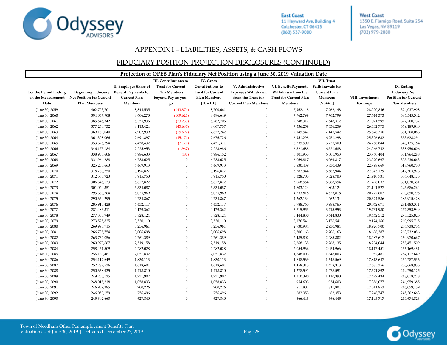

**West Coast** 1350 E. Flamigo Road, Suite 254 Las Vegas, NV 89119 (702) 979-2880

#### APPENDIX I – LIABILITIES, ASSETS, & CASH FLOWS

#### FIDUCIARY POSITION PROJECTION DISCLOSURES (CONTINUED)

|                               |                                                                                              |                                                                                        |                                                                                               |                                                                                                    | Projection of OPEB Plan's Fiduciary Net Position using a June 30, 2019 Valuation Date               |                                                                                               |                                                                                |                              |                                                                                          |
|-------------------------------|----------------------------------------------------------------------------------------------|----------------------------------------------------------------------------------------|-----------------------------------------------------------------------------------------------|----------------------------------------------------------------------------------------------------|-----------------------------------------------------------------------------------------------------|-----------------------------------------------------------------------------------------------|--------------------------------------------------------------------------------|------------------------------|------------------------------------------------------------------------------------------|
| For the Period Ending<br>Date | I. Beginning Fiduciary<br>on the Measurement Net Position for Current<br><b>Plan Members</b> | II. Employer Share of<br><b>Benefit Payments for</b><br><b>Current Plan</b><br>Members | III. Contributions to<br><b>Trust for Current</b><br>Plan Members<br>beyond Pay-as-you-<br>go | IV. Gross<br>Contributions to<br><b>Trust for Current</b><br><b>Plan Members</b><br>$[II. + III.]$ | V. Administrative<br><b>Expenses Withdrawn</b><br>from the Trust for<br><b>Current Plan Members</b> | <b>VI. Benefit Payments</b><br>Withdrawn from the<br><b>Trust for Current Plan</b><br>Members | VII. Trust<br>Withdrawals for<br><b>Current Plan</b><br>Members<br>$[V. +VI.]$ | VIII. Investment<br>Earnings | IX. Ending<br><b>Fiduciary Net</b><br><b>Position for Current</b><br><b>Plan Members</b> |
| June 30, 2059                 | 402,723,701                                                                                  | 8,844,535                                                                              | (143, 874)                                                                                    | 8,700,661                                                                                          | $\mathbf 0$                                                                                         | 7,962,148                                                                                     | 7,962,148                                                                      | 28,220,846                   | 394,037,908                                                                              |
| June 30, 2060                 | 394,037,908                                                                                  | 8,606,270                                                                              | (109, 621)                                                                                    | 8,496,649                                                                                          | $\Omega$                                                                                            | 7,762,799                                                                                     | 7,762,799                                                                      | 27,614,373                   | 385,545,342                                                                              |
| June 30, 2061                 | 385,545,342                                                                                  | 8,355,936                                                                              | (73, 230)                                                                                     | 8,282,706                                                                                          | $\mathbf{0}$                                                                                        | 7,548,312                                                                                     | 7,548,312                                                                      | 27,021,595                   | 377,260,732                                                                              |
| June 30, 2062                 | 377,260,732                                                                                  | 8,113,424                                                                              | (45,687)                                                                                      | 8,067,737                                                                                          | $\theta$                                                                                            | 7,336,259                                                                                     | 7,336,259                                                                      | 26,442,775                   | 369,189,040                                                                              |
| June 30, 2063                 | 369,189,040                                                                                  | 7,902,939                                                                              | (25,697)                                                                                      | 7,877,242                                                                                          | $\Omega$                                                                                            | 7,145,542                                                                                     | 7,145,542                                                                      | 25,878,350                   | 361,308,066                                                                              |
| June 30, 2064                 | 361,308,066                                                                                  | 7,691,897                                                                              | (15, 171)                                                                                     | 7,676,726                                                                                          | $\Omega$                                                                                            | 6,951,298                                                                                     | 6,951,298                                                                      | 25,326,632                   | 353,628,294                                                                              |
| June 30, 2065                 | 353,628,294                                                                                  | 7,458,432                                                                              | (7, 121)                                                                                      | 7,451,311                                                                                          | $\Omega$                                                                                            | 6,735,500                                                                                     | 6,735,500                                                                      | 24,788,844                   | 346,175,184                                                                              |
| June 30, 2066                 | 346,175,184                                                                                  | 7,225,953                                                                              | (1,967)                                                                                       | 7,223,986                                                                                          | $\Omega$                                                                                            | 6,521,688                                                                                     | 6,521,688                                                                      | 24,266,742                   | 338,950,606                                                                              |
| June 30, 2067                 | 338,950,606                                                                                  | 6,986,633                                                                              | (481)                                                                                         | 6,986,152                                                                                          | $\mathbf{0}$                                                                                        | 6,301,953                                                                                     | 6,301,953                                                                      | 23,760,404                   | 331,964,288                                                                              |
| June 30, 2068                 | 331,964,288                                                                                  | 6,733,625                                                                              | $\theta$                                                                                      | 6,733,625                                                                                          | $\Omega$                                                                                            | 6,069,817                                                                                     | 6,069,817                                                                      | 23,270,697                   | 325,230,663                                                                              |
| June 30, 2069                 | 325,230,663                                                                                  | 6,469,913                                                                              |                                                                                               | 6,469,913                                                                                          | $\Omega$                                                                                            | 5,830,439                                                                                     | 5,830,439                                                                      | 22,798,669                   | 318,760,750                                                                              |
| June 30, 2070                 | 318,760,750                                                                                  | 6,196,827                                                                              | $\theta$                                                                                      | 6,196,827                                                                                          | $\Omega$                                                                                            | 5,582,944                                                                                     | 5,582,944                                                                      | 22,345,129                   | 312,563,923                                                                              |
| June 30, 2071                 | 312,563,923                                                                                  | 5,915,750                                                                              | $\mathbf{0}$                                                                                  | 5,915,750                                                                                          | $\theta$                                                                                            | 5,328,703                                                                                     | 5,328,703                                                                      | 21,910,731                   | 306,648,173                                                                              |
| June 30, 2072                 | 306,648,173                                                                                  | 5,627,822                                                                              | $\theta$                                                                                      | 5,627,822                                                                                          | $\mathbf{0}$                                                                                        | 5,068,554                                                                                     | 5,068,554                                                                      | 21,496,037                   | 301,020,351                                                                              |
| June 30, 2073                 | 301,020,351                                                                                  | 5,334,087                                                                              | $\theta$                                                                                      | 5,334,087                                                                                          | $\mathbf{0}$                                                                                        | 4,803,124                                                                                     | 4,803,124                                                                      | 21,101,527                   | 295,686,264                                                                              |
| June 30, 2074                 | 295,686,264                                                                                  | 5,035,969                                                                              | $\theta$                                                                                      | 5,035,969                                                                                          | $\Omega$                                                                                            | 4,533,818                                                                                     | 4,533,818                                                                      | 20,727,607                   | 290,650,295                                                                              |
| June 30, 2075                 | 290,650,295                                                                                  | 4,734,867                                                                              | $\Omega$                                                                                      | 4,734,867                                                                                          | $\Omega$                                                                                            | 4,262,134                                                                                     | 4,262,134                                                                      | 20,374,586                   | 285,915,428                                                                              |
| June 30, 2076                 | 285,915,428                                                                                  | 4,432,117                                                                              | $\Omega$                                                                                      | 4,432,117                                                                                          | $\Omega$                                                                                            | 3,988,765                                                                                     | 3,988,765                                                                      | 20,042,671                   | 281,483,311                                                                              |
| June 30, 2077                 | 281,483,311                                                                                  | 4,129,362                                                                              | $\theta$                                                                                      | 4,129,362                                                                                          | $\mathbf{0}$                                                                                        | 3,715,953                                                                                     | 3,715,953                                                                      | 19,731,980                   | 277,353,949                                                                              |
| June 30, 2078                 | 277,353,949                                                                                  | 3,828,124                                                                              | $\theta$                                                                                      | 3,828,124                                                                                          | $\Omega$                                                                                            | 3,444,830                                                                                     | 3,444,830                                                                      | 19,442,512                   | 273,525,825                                                                              |
| June 30, 2079                 | 273,525,825                                                                                  | 3,530,110                                                                              | $\Omega$                                                                                      | 3,530,110                                                                                          | $\Omega$                                                                                            | 3,176,541                                                                                     | 3,176,541                                                                      | 19,174,160                   | 269,995,715                                                                              |
| June 30, 2080                 | 269,995,715                                                                                  | 3,256,961                                                                              | $\theta$                                                                                      | 3,256,961                                                                                          | $\Omega$                                                                                            | 2,930,984                                                                                     | 2,930,984                                                                      | 18,926,700                   | 266,738,754                                                                              |
| June 30, 2081                 | 266,738,754                                                                                  | 3,006,698                                                                              | $\Omega$                                                                                      | 3,006,698                                                                                          | $\Omega$                                                                                            | 2,706,163                                                                                     | 2,706,163                                                                      | 18,698,387                   | 263,732,056                                                                              |
| June 30, 2082                 | 263,732,056                                                                                  | 2,761,389                                                                              | $\theta$                                                                                      | 2,761,389                                                                                          | $\Omega$                                                                                            | 2,485,802                                                                                     | 2,485,802                                                                      | 18,487,617                   | 260,970,667                                                                              |
| June 30, 2083                 | 260,970,667                                                                                  | 2,519,158                                                                              | $\theta$                                                                                      | 2,519,158                                                                                          | $\mathbf{0}$                                                                                        | 2,268,135                                                                                     | 2,268,135                                                                      | 18,294,044                   | 258,451,509                                                                              |
| June 30, 2084                 | 258,451,509                                                                                  | 2,282,028                                                                              | $\mathbf{0}$                                                                                  | 2,282,028                                                                                          | $\theta$                                                                                            | 2,054,966                                                                                     | 2,054,966                                                                      | 18,117,451                   | 256,169,481                                                                              |
| June 30, 2085                 | 256,169,481                                                                                  | 2,051,832                                                                              | $\Omega$                                                                                      | 2,051,832                                                                                          | $\Omega$                                                                                            | 1,848,003                                                                                     | 1,848,003                                                                      | 17,957,481                   | 254,117,649                                                                              |
| June 30, 2086                 | 254,117,649                                                                                  | 1,830,113                                                                              | $\theta$                                                                                      | 1,830,113                                                                                          | $\Omega$                                                                                            | 1,648,569                                                                                     | 1,648,569                                                                      | 17,813,647                   | 252,287,536                                                                              |
| June 30, 2087                 | 252,287,536                                                                                  | 1,618,601                                                                              | $\theta$                                                                                      | 1,618,601                                                                                          | $\mathbf{0}$                                                                                        | 1,458,313                                                                                     | 1,458,313                                                                      | 17,685,356                   | 250,668,935                                                                              |
| June 30, 2088                 | 250,668,935                                                                                  | 1,418,810                                                                              | $\theta$                                                                                      | 1,418,810                                                                                          | $\mathbf{0}$                                                                                        | 1,278,591                                                                                     | 1,278,591                                                                      | 17,571,892                   | 249,250,125                                                                              |
| June 30, 2089                 | 249,250,125                                                                                  | 1,231,907                                                                              | $\theta$                                                                                      | 1,231,907                                                                                          | $\mathbf{0}$                                                                                        | 1,110,390                                                                                     | 1,110,390                                                                      | 17,472,434                   | 248,018,218                                                                              |
| June 30, 2090                 | 248,018,218                                                                                  | 1,058,833                                                                              | $\Omega$                                                                                      | 1,058,833                                                                                          | $\Omega$                                                                                            | 954,603                                                                                       | 954,603                                                                        | 17,386,077                   | 246,959,385                                                                              |
| June 30, 2091                 | 246,959,385                                                                                  | 900,226                                                                                | $\Omega$                                                                                      | 900,226                                                                                            | $\Omega$                                                                                            | 811,801                                                                                       | 811,801                                                                        | 17,311,853                   | 246,059,159                                                                              |
| June 30, 2092                 | 246,059,159                                                                                  | 756,496                                                                                | $\theta$                                                                                      | 756,496                                                                                            | $\Omega$                                                                                            | 682,353                                                                                       | 682,353                                                                        | 17,248,747                   | 245,302,663                                                                              |
| June 30, 2093                 | 245,302,663                                                                                  | 627,840                                                                                | $\Omega$                                                                                      | 627,840                                                                                            | $\Omega$                                                                                            | 566,445                                                                                       | 566,445                                                                        | 17,195,717                   | 244,674,823                                                                              |

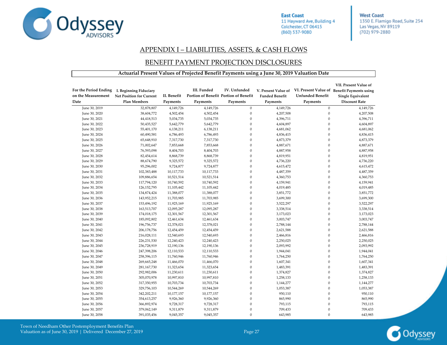

**West Coast** 1350 E. Flamigo Road, Suite 254 Las Vegas, NV 89119 (702) 979-2880

#### APPENDIX I – LIABILITIES, ASSETS, & CASH FLOWS

#### BENEFIT PAYMENT PROJECTION DISCLOSURES

#### **Actuarial Present Values of Projected Benefit Payments using a June 30, 2019 Valuation Date**

| For the Period Ending<br>on the Measurement<br>Date | I. Beginning Fiduciary<br>Net Position for Current<br><b>Plan Members</b> | II. Benefit<br>Payments | III. Funded<br>Payments | IV. Unfunded<br>Portion of Benefit Portion of Benefit<br>Payments | V. Present Value of<br><b>Funded Benefit</b><br>Payments | Unfunded Benefit<br>Payments | VII. Present Value of<br>VI. Present Value of Benefit Payments using<br><b>Single Equivalent</b><br><b>Discount Rate</b> |
|-----------------------------------------------------|---------------------------------------------------------------------------|-------------------------|-------------------------|-------------------------------------------------------------------|----------------------------------------------------------|------------------------------|--------------------------------------------------------------------------------------------------------------------------|
| June 30, 2019                                       | 32,878,807                                                                | 4,149,726               | 4,149,726               | $\boldsymbol{0}$                                                  | 4,149,726                                                | $\mathbf{0}$                 | 4,149,726                                                                                                                |
| June 30, 2020                                       | 38,604,772                                                                | 4,502,454               | 4,502,454               | $\boldsymbol{0}$                                                  | 4,207,508                                                | $\boldsymbol{0}$             | 4,207,508                                                                                                                |
| June 30, 2021                                       | 44,418,513                                                                | 5,034,735               | 5,034,735               | $\overline{0}$                                                    | 4,396,711                                                | $\mathbf{0}$                 | 4,396,711                                                                                                                |
| June 30, 2022                                       | 50,435,527                                                                | 5,642,779               | 5,642,779               | $\theta$                                                          | 4,604,897                                                | $\theta$                     | 4,604,897                                                                                                                |
| June 30, 2023                                       | 55,401,170                                                                | 6,138,211               | 6,138,211               | $\theta$                                                          | 4,681,062                                                | $\boldsymbol{0}$             | 4,681,062                                                                                                                |
| June 30, 2024                                       | 60,490,581                                                                | 6,786,493               | 6,786,493               | $\boldsymbol{0}$                                                  | 4,836,415                                                | $\overline{0}$               | 4,836,415                                                                                                                |
| June 30, 2025                                       | 65,648,910                                                                | 7,317,730               | 7,317,730               | $\mathbf{0}$                                                      | 4,873,379                                                | $\theta$                     | 4,873,379                                                                                                                |
| June 30, 2026                                       | 71,002,647                                                                | 7,853,668               | 7,853,668               | $\boldsymbol{0}$                                                  | 4,887,671                                                | $\mathbf{0}$                 | 4,887,671                                                                                                                |
| June 30, 2027                                       | 76,593,098                                                                | 8,404,703               | 8,404,703               | $\overline{0}$                                                    | 4,887,958                                                | $\Omega$                     | 4,887,958                                                                                                                |
| June 30, 2028                                       | 82,454,614                                                                | 8,868,739               | 8,868,739               | $\mathbf{0}$                                                      | 4,819,951                                                | $\mathbf{0}$                 | 4,819,951                                                                                                                |
| June 30, 2029                                       | 88,674,790                                                                | 9,325,572               | 9,325,572               | $\mathbf{0}$                                                      | 4,736,220                                                | $\mathbf{0}$                 | 4,736,220                                                                                                                |
| June 30, 2030                                       | 95,296,002                                                                | 9,724,877               | 9,724,877               | $\overline{0}$                                                    | 4,615,472                                                | $\mathbf{0}$                 | 4,615,472                                                                                                                |
| June 30, 2031                                       | 102,383,488                                                               | 10,117,733              | 10,117,733              | $\mathbf{0}$                                                      | 4,487,359                                                | $\mathbf{0}$                 | 4,487,359                                                                                                                |
| June 30, 2032                                       | 109,886,654                                                               | 10,521,514              | 10,521,514              | $\mathbf{0}$                                                      | 4,360,753                                                | $\mathbf{0}$                 | 4,360,753                                                                                                                |
| June 30, 2033                                       | 117,794,120                                                               | 10,740,592              | 10,740,592              | $\overline{0}$                                                    | 4,159,941                                                | $\mathbf{0}$                 | 4,159,941                                                                                                                |
| June 30, 2034                                       | 126, 152, 795                                                             | 11,105,442              | 11,105,442              | $\mathbf{0}$                                                      | 4,019,485                                                | $\mathbf{0}$                 | 4,019,485                                                                                                                |
| June 30, 2035                                       | 134,874,424                                                               | 11,388,077              | 11,388,077              | $\theta$                                                          | 3,851,772                                                | $\mathbf{0}$                 | 3,851,772                                                                                                                |
| June 30, 2036                                       | 143,952,215                                                               | 11,703,985              | 11,703,985              | $\mathbf{0}$                                                      | 3,699,300                                                | $\mathbf{0}$                 | 3,699,300                                                                                                                |
| June 30, 2037                                       | 153,496,192                                                               | 11,925,169              | 11,925,169              | $\mathbf{0}$                                                      | 3,522,297                                                | $\mathbf{0}$                 | 3,522,297                                                                                                                |
| June 30, 2038                                       | 163,513,707                                                               | 12,095,287              | 12,095,287              | $\theta$                                                          | 3,338,514                                                | $\theta$                     | 3,338,514                                                                                                                |
| June 30, 2039                                       | 174,018,175                                                               | 12,301,567              | 12,301,567              | $\mathbf{0}$                                                      | 3,173,023                                                | $\boldsymbol{0}$             | 3,173,023                                                                                                                |
| June 30, 2040                                       | 185,092,802                                                               | 12,461,634              | 12,461,634              | $\boldsymbol{0}$                                                  | 3,003,747                                                | $\boldsymbol{0}$             | 3,003,747                                                                                                                |
| June 30, 2041                                       | 196,756,737                                                               | 12,378,021              | 12,378,021              | $\mathbf{0}$                                                      | 2,788,144                                                | $\mathbf{0}$                 | 2,788,144                                                                                                                |
| June 30, 2042                                       | 206,178,756                                                               | 12,454,459              | 12,454,459              | $\mathbf{0}$                                                      | 2,621,588                                                | $\boldsymbol{0}$             | 2,621,588                                                                                                                |
| June 30, 2043                                       | 216,028,111                                                               | 12,540,693              | 12,540,693              | $\mathbf{0}$                                                      | 2,466,816                                                | $\Omega$                     | 2,466,816                                                                                                                |
| June 30, 2044                                       | 226,231,530                                                               | 12,240,423              | 12,240,423              | $\mathbf{0}$                                                      | 2,250,025                                                | $\theta$                     | 2,250,025                                                                                                                |
| June 30, 2045                                       | 236,728,919                                                               | 12,190,136              | 12,190,136              | $\mathbf{0}$                                                      | 2,093,992                                                | $\mathbf{0}$                 | 2,093,992                                                                                                                |
| June 30, 2046                                       | 247,398,206                                                               | 12,110,533              | 12,110,533              | $\overline{0}$                                                    | 1,944,041                                                | $\mathbf{0}$                 | 1,944,041                                                                                                                |
| June 30, 2047                                       | 258,396,115                                                               | 11,760,946              | 11,760,946              | $\mathbf{0}$                                                      | 1,764,250                                                | $\mathbf{0}$                 | 1,764,250                                                                                                                |
| June 30, 2048                                       | 269,665,248                                                               | 11,466,070              | 11,466,070              | $\mathbf{0}$                                                      | 1,607,341                                                | $\mathbf{0}$                 | 1,607,341                                                                                                                |
| June 30, 2049                                       | 281, 167, 730                                                             | 11,323,654              | 11,323,654              | $\overline{0}$                                                    | 1,483,391                                                | $\mathbf{0}$                 | 1,483,391                                                                                                                |
| June 30, 2050                                       | 292,982,006                                                               | 11,230,611              | 11,230,611              | $\mathbf{0}$                                                      | 1,374,827                                                | $\mathbf{0}$                 | 1,374,827                                                                                                                |
| June 30, 2051                                       | 305,070,978                                                               | 10,997,810              | 10,997,810              | $\overline{0}$                                                    | 1,258,133                                                | $\theta$                     | 1,258,133                                                                                                                |
| June 30, 2052                                       | 317,350,955                                                               | 10,703,734              | 10,703,734              | $\mathbf{0}$                                                      | 1,144,277                                                | $\mathbf{0}$                 | 1,144,277                                                                                                                |
| June 30, 2053                                       | 329,756,103                                                               | 10,544,269              | 10,544,269              | $\overline{0}$                                                    | 1,053,387                                                | $\theta$                     | 1,053,387                                                                                                                |
| June 30, 2054                                       | 342,202,211                                                               | 10,177,157              | 10,177,157              | $\mathbf{0}$                                                      | 950,110                                                  | $\theta$                     | 950,110                                                                                                                  |
| June 30, 2055                                       | 354,613,257                                                               | 9,926,360               | 9,926,360               | $\mathbf{0}$                                                      | 865,990                                                  | $\boldsymbol{0}$             | 865,990                                                                                                                  |
| June 30, 2056                                       | 366,892,974                                                               | 9,728,317               | 9,728,317               | $\theta$                                                          | 793,115                                                  | $\Omega$                     | 793,115                                                                                                                  |
| June 30, 2057                                       | 379,062,149                                                               | 9,311,879               | 9,311,879               | $\mathbf{0}$                                                      | 709,433                                                  | $\theta$                     | 709,433                                                                                                                  |
| June 30, 2058                                       | 391,035,456                                                               | 9,045,357               | 9,045,357               | $\theta$                                                          | 643,985                                                  | $\Omega$                     | 643,985                                                                                                                  |

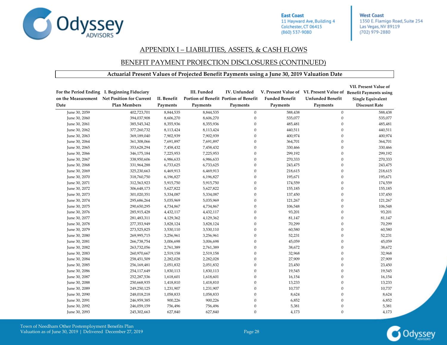

**West Coast** 1350 E. Flamigo Road, Suite 254 Las Vegas, NV 89119 (702) 979-2880

#### APPENDIX I – LIABILITIES, ASSETS, & CASH FLOWS

#### BENEFIT PAYMENT PROJECTION DISCLOSURES (CONTINUED)

#### **Actuarial Present Values of Projected Benefit Payments using a June 30, 2019 Valuation Date**

| Date          | For the Period Ending I. Beginning Fiduciary<br>on the Measurement Net Position for Current<br><b>Plan Members</b> | II. Benefit<br>Payments | III. Funded<br>Portion of Benefit Portion of Benefit<br>Payments | IV. Unfunded<br>Payments | <b>Funded Benefit</b><br>Payments | <b>Unfunded Benefit</b><br>Payments | VII. Present Value of<br>V. Present Value of VI. Present Value of Benefit Payments using<br><b>Single Equivalent</b><br><b>Discount Rate</b> |
|---------------|--------------------------------------------------------------------------------------------------------------------|-------------------------|------------------------------------------------------------------|--------------------------|-----------------------------------|-------------------------------------|----------------------------------------------------------------------------------------------------------------------------------------------|
| June 30, 2059 | 402,723,701                                                                                                        | 8,844,535               | 8,844,535                                                        | $\mathbf{0}$             | 588,438                           | $\mathbf{0}$                        | 588,438                                                                                                                                      |
| June 30, 2060 | 394,037,908                                                                                                        | 8,606,270               | 8,606,270                                                        | $\boldsymbol{0}$         | 535,077                           | $\mathbf{0}$                        | 535,077                                                                                                                                      |
| June 30, 2061 | 385,545,342                                                                                                        | 8,355,936               | 8,355,936                                                        | $\boldsymbol{0}$         | 485,481                           | $\boldsymbol{0}$                    | 485,481                                                                                                                                      |
| June 30, 2062 | 377,260,732                                                                                                        | 8,113,424               | 8,113,424                                                        | $\mathbf{0}$             | 440,511                           | $\mathbf{0}$                        | 440,511                                                                                                                                      |
| June 30, 2063 | 369,189,040                                                                                                        | 7,902,939               | 7,902,939                                                        | $\overline{0}$           | 400,974                           | $\mathbf{0}$                        | 400,974                                                                                                                                      |
| June 30, 2064 | 361,308,066                                                                                                        | 7,691,897               | 7,691,897                                                        | $\mathbf{0}$             | 364,701                           | $\mathbf{0}$                        | 364,701                                                                                                                                      |
| June 30, 2065 | 353,628,294                                                                                                        | 7,458,432               | 7,458,432                                                        | $\mathbf{0}$             | 330,466                           | $\mathbf{0}$                        | 330,466                                                                                                                                      |
| June 30, 2066 | 346,175,184                                                                                                        | 7,225,953               | 7,225,953                                                        | $\boldsymbol{0}$         | 299,192                           | $\mathbf{0}$                        | 299,192                                                                                                                                      |
| June 30, 2067 | 338,950,606                                                                                                        | 6,986,633               | 6,986,633                                                        | $\boldsymbol{0}$         | 270,333                           | $\theta$                            | 270,333                                                                                                                                      |
| June 30, 2068 | 331,964,288                                                                                                        | 6,733,625               | 6,733,625                                                        | $\Omega$                 | 243,475                           | $\theta$                            | 243,475                                                                                                                                      |
| June 30, 2069 | 325,230,663                                                                                                        | 6,469,913               | 6,469,913                                                        | $\overline{0}$           | 218,615                           | $\mathbf{0}$                        | 218,615                                                                                                                                      |
| June 30, 2070 | 318,760,750                                                                                                        | 6,196,827               | 6,196,827                                                        | $\boldsymbol{0}$         | 195,671                           | $\mathbf{0}$                        | 195,671                                                                                                                                      |
| June 30, 2071 | 312,563,923                                                                                                        | 5,915,750               | 5,915,750                                                        | $\boldsymbol{0}$         | 174,559                           | $\mathbf{0}$                        | 174,559                                                                                                                                      |
| June 30, 2072 | 306,648,173                                                                                                        | 5,627,822               | 5,627,822                                                        | $\boldsymbol{0}$         | 155,185                           | $\mathbf{0}$                        | 155,185                                                                                                                                      |
| June 30, 2073 | 301,020,351                                                                                                        | 5,334,087               | 5,334,087                                                        | $\boldsymbol{0}$         | 137,450                           | $\theta$                            | 137,450                                                                                                                                      |
| June 30, 2074 | 295,686,264                                                                                                        | 5,035,969               | 5,035,969                                                        | $\mathbf{0}$             | 121,267                           | $\theta$                            | 121,267                                                                                                                                      |
| June 30, 2075 | 290,650,295                                                                                                        | 4,734,867               | 4,734,867                                                        | $\mathbf{0}$             | 106,548                           | $\theta$                            | 106,548                                                                                                                                      |
| June 30, 2076 | 285,915,428                                                                                                        | 4,432,117               | 4,432,117                                                        | $\Omega$                 | 93,201                            | $\mathbf{0}$                        | 93,201                                                                                                                                       |
| June 30, 2077 | 281,483,311                                                                                                        | 4,129,362               | 4,129,362                                                        | $\mathbf{0}$             | 81,147                            | $\mathbf{0}$                        | 81,147                                                                                                                                       |
| June 30, 2078 | 277,353,949                                                                                                        | 3,828,124               | 3,828,124                                                        | $\mathbf{0}$             | 70,299                            | $\mathbf{0}$                        | 70,299                                                                                                                                       |
| June 30, 2079 | 273,525,825                                                                                                        | 3,530,110               | 3,530,110                                                        | $\boldsymbol{0}$         | 60,580                            | $\mathbf{0}$                        | 60,580                                                                                                                                       |
| June 30, 2080 | 269,995,715                                                                                                        | 3,256,961               | 3,256,961                                                        | $\Omega$                 | 52,231                            | $\theta$                            | 52,231                                                                                                                                       |
| June 30, 2081 | 266,738,754                                                                                                        | 3,006,698               | 3,006,698                                                        | $\overline{0}$           | 45,059                            | $\theta$                            | 45,059                                                                                                                                       |
| June 30, 2082 | 263,732,056                                                                                                        | 2,761,389               | 2,761,389                                                        | $\mathbf{0}$             | 38,672                            | $\theta$                            | 38,672                                                                                                                                       |
| June 30, 2083 | 260,970,667                                                                                                        | 2,519,158               | 2,519,158                                                        | $\mathbf{0}$             | 32,968                            | $\theta$                            | 32,968                                                                                                                                       |
| June 30, 2084 | 258,451,509                                                                                                        | 2,282,028               | 2,282,028                                                        | $\mathbf{0}$             | 27,909                            | $\theta$                            | 27,909                                                                                                                                       |
| June 30, 2085 | 256,169,481                                                                                                        | 2,051,832               | 2,051,832                                                        | $\mathbf{0}$             | 23,450                            | $\theta$                            | 23,450                                                                                                                                       |
| June 30, 2086 | 254,117,649                                                                                                        | 1,830,113               | 1,830,113                                                        | $\mathbf{0}$             | 19,545                            | $\theta$                            | 19,545                                                                                                                                       |
| June 30, 2087 | 252,287,536                                                                                                        | 1,618,601               | 1,618,601                                                        | $\mathbf{0}$             | 16,154                            | $\mathbf{0}$                        | 16,154                                                                                                                                       |
| June 30, 2088 | 250,668,935                                                                                                        | 1,418,810               | 1,418,810                                                        | $\boldsymbol{0}$         | 13,233                            | $\boldsymbol{0}$                    | 13,233                                                                                                                                       |
| June 30, 2089 | 249,250,125                                                                                                        | 1,231,907               | 1,231,907                                                        | $\boldsymbol{0}$         | 10,737                            | $\mathbf{0}$                        | 10,737                                                                                                                                       |
| June 30, 2090 | 248,018,218                                                                                                        | 1,058,833               | 1,058,833                                                        | $\boldsymbol{0}$         | 8,624                             | $\mathbf{0}$                        | 8,624                                                                                                                                        |
| June 30, 2091 | 246,959,385                                                                                                        | 900,226                 | 900,226                                                          | $\boldsymbol{0}$         | 6,852                             | $\mathbf{0}$                        | 6,852                                                                                                                                        |
| June 30, 2092 | 246,059,159                                                                                                        | 756,496                 | 756,496                                                          | $\boldsymbol{0}$         | 5,381                             | $\theta$                            | 5,381                                                                                                                                        |
| June 30, 2093 | 245,302,663                                                                                                        | 627,840                 | 627,840                                                          | $\mathbf{0}$             | 4,173                             | $\mathbf{0}$                        | 4,173                                                                                                                                        |

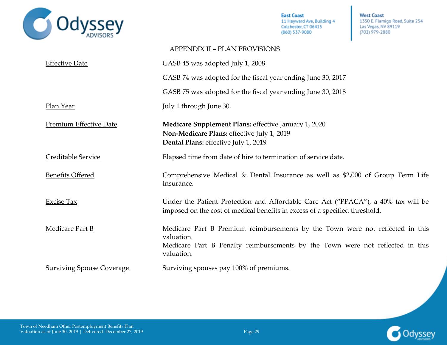

**West Coast** 1350 E. Flamigo Road, Suite 254 Las Vegas, NV 89119 (702) 979-2880

### APPENDIX II – PLAN PROVISIONS

<span id="page-37-0"></span>

| <b>Effective Date</b>            | GASB 45 was adopted July 1, 2008                                                                                                                                                           |
|----------------------------------|--------------------------------------------------------------------------------------------------------------------------------------------------------------------------------------------|
|                                  | GASB 74 was adopted for the fiscal year ending June 30, 2017                                                                                                                               |
|                                  | GASB 75 was adopted for the fiscal year ending June 30, 2018                                                                                                                               |
| Plan Year                        | July 1 through June 30.                                                                                                                                                                    |
| <b>Premium Effective Date</b>    | Medicare Supplement Plans: effective January 1, 2020<br>Non-Medicare Plans: effective July 1, 2019<br>Dental Plans: effective July 1, 2019                                                 |
| Creditable Service               | Elapsed time from date of hire to termination of service date.                                                                                                                             |
| <b>Benefits Offered</b>          | Comprehensive Medical & Dental Insurance as well as \$2,000 of Group Term Life<br>Insurance.                                                                                               |
| <b>Excise Tax</b>                | Under the Patient Protection and Affordable Care Act ("PPACA"), a 40% tax will be<br>imposed on the cost of medical benefits in excess of a specified threshold.                           |
| <b>Medicare Part B</b>           | Medicare Part B Premium reimbursements by the Town were not reflected in this<br>valuation.<br>Medicare Part B Penalty reimbursements by the Town were not reflected in this<br>valuation. |
| <b>Surviving Spouse Coverage</b> | Surviving spouses pay 100% of premiums.                                                                                                                                                    |

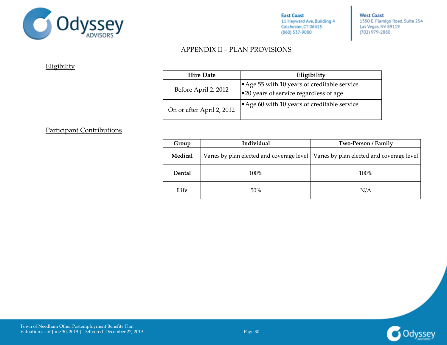

**West Coast** 1350 E. Flamigo Road, Suite 254 Las Vegas, NV 89119 (702) 979-2880

### APPENDIX II – PLAN PROVISIONS

**Eligibility** 

| <b>Hire Date</b>          | Eligibility                                                                          |
|---------------------------|--------------------------------------------------------------------------------------|
| Before April 2, 2012      | Age 55 with 10 years of creditable service<br>•20 years of service regardless of age |
| On or after April 2, 2012 | Age 60 with 10 years of creditable service                                           |

### Participant Contributions

| Group   | Individual | Two-Person / Family                                                                   |
|---------|------------|---------------------------------------------------------------------------------------|
| Medical |            | Varies by plan elected and coverage level   Varies by plan elected and coverage level |
| Dental  | 100%       | $100\%$                                                                               |
| Life    | 50%        | N/A                                                                                   |

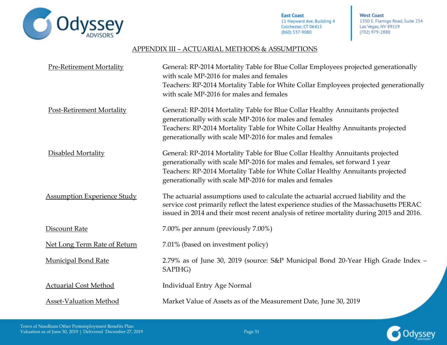

**West Coast** 1350 E. Flamigo Road, Suite 254 Las Vegas, NV 89119 (702) 979-2880

### APPENDIX III – ACTUARIAL METHODS & ASSUMPTIONS

<span id="page-39-0"></span>

| <b>Pre-Retirement Mortality</b>    | General: RP-2014 Mortality Table for Blue Collar Employees projected generationally<br>with scale MP-2016 for males and females<br>Teachers: RP-2014 Mortality Table for White Collar Employees projected generationally<br>with scale MP-2016 for males and females                                       |
|------------------------------------|------------------------------------------------------------------------------------------------------------------------------------------------------------------------------------------------------------------------------------------------------------------------------------------------------------|
| Post-Retirement Mortality          | General: RP-2014 Mortality Table for Blue Collar Healthy Annuitants projected<br>generationally with scale MP-2016 for males and females<br>Teachers: RP-2014 Mortality Table for White Collar Healthy Annuitants projected<br>generationally with scale MP-2016 for males and females                     |
| Disabled Mortality                 | General: RP-2014 Mortality Table for Blue Collar Healthy Annuitants projected<br>generationally with scale MP-2016 for males and females, set forward 1 year<br>Teachers: RP-2014 Mortality Table for White Collar Healthy Annuitants projected<br>generationally with scale MP-2016 for males and females |
| <b>Assumption Experience Study</b> | The actuarial assumptions used to calculate the actuarial accrued liability and the<br>service cost primarily reflect the latest experience studies of the Massachusetts PERAC<br>issued in 2014 and their most recent analysis of retiree mortality during 2015 and 2016.                                 |
| <b>Discount Rate</b>               | 7.00% per annum (previously 7.00%)                                                                                                                                                                                                                                                                         |
| Net Long Term Rate of Return       | 7.01% (based on investment policy)                                                                                                                                                                                                                                                                         |
| <b>Municipal Bond Rate</b>         | 2.79% as of June 30, 2019 (source: S&P Municipal Bond 20-Year High Grade Index -<br>SAPIHG)                                                                                                                                                                                                                |
| <b>Actuarial Cost Method</b>       | <b>Individual Entry Age Normal</b>                                                                                                                                                                                                                                                                         |
| <b>Asset-Valuation Method</b>      | Market Value of Assets as of the Measurement Date, June 30, 2019                                                                                                                                                                                                                                           |

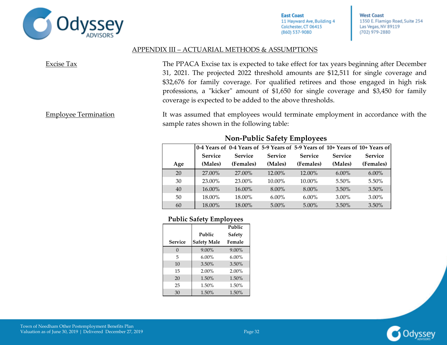

**West Coast** 1350 E. Flamigo Road, Suite 254 Las Vegas, NV 89119 (702) 979-2880

#### APPENDIX III – ACTUARIAL METHODS & ASSUMPTIONS

| Excise Tax | The PPACA Excise tax is expected to take effect for tax years beginning after December |
|------------|----------------------------------------------------------------------------------------|
|            | 31, 2021. The projected 2022 threshold amounts are \$12,511 for single coverage and    |
|            | \$32,676 for family coverage. For qualified retirees and those engaged in high risk    |
|            | professions, a "kicker" amount of \$1,650 for single coverage and \$3,450 for family   |
|            | coverage is expected to be added to the above thresholds.                              |
|            |                                                                                        |

Employee Termination It was assumed that employees would terminate employment in accordance with the sample rates shown in the following table:

|     |                |                |                |                |                | 0-4 Years of 0-4 Years of 5-9 Years of 5-9 Years of 10+ Years of 10+ Years of |
|-----|----------------|----------------|----------------|----------------|----------------|-------------------------------------------------------------------------------|
|     | <b>Service</b> | <b>Service</b> | <b>Service</b> | <b>Service</b> | <b>Service</b> | <b>Service</b>                                                                |
| Age | (Males)        | (Females)      | (Males)        | (Females)      | (Males)        | (Females)                                                                     |
| 20  | 27,00%         | 27.00%         | 12.00%         | 12.00%         | $6.00\%$       | $6.00\%$                                                                      |
| 30  | 23.00%         | 23.00%         | 10.00%         | 10.00%         | $5.50\%$       | $5.50\%$                                                                      |
| 40  | 16.00%         | 16.00%         | 8.00%          | $8.00\%$       | 3.50%          | 3.50%                                                                         |
| 50  | 18.00%         | 18.00%         | $6.00\%$       | $6.00\%$       | $3.00\%$       | $3.00\%$                                                                      |
| 60  | 18.00%         | 18.00%         | $5.00\%$       | $5.00\%$       | $3.50\%$       | $3.50\%$                                                                      |

### **Non-Public Safety Employees**

#### **Public Safety Employees**

|                |                    | Public        |
|----------------|--------------------|---------------|
|                | Public             | <b>Safety</b> |
| <b>Service</b> | <b>Safety Male</b> | Female        |
| $\Omega$       | $9.00\%$           | 9.00%         |
| 5              | $6.00\%$           | $6.00\%$      |
| 10             | 3.50%              | 3.50%         |
| 15             | $2.00\%$           | 2.00%         |
| 20             | 1.50%              | 1.50%         |
| 25             | 1.50%              | 1.50%         |
| 30             | 1.50%              | 1.50%         |

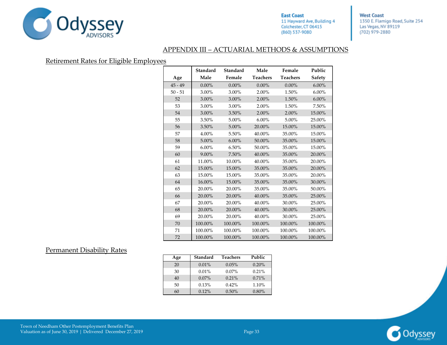

**West Coast** 1350 E. Flamigo Road, Suite 254 Las Vegas, NV 89119 (702) 979-2880

#### APPENDIX III – ACTUARIAL METHODS & ASSUMPTIONS

#### Retirement Rates for Eligible Employees

|           | <b>Standard</b> | <b>Standard</b> | Male            | Female          | Public        |
|-----------|-----------------|-----------------|-----------------|-----------------|---------------|
| Age       | Male            | Female          | <b>Teachers</b> | <b>Teachers</b> | <b>Safety</b> |
| $45 - 49$ | $0.00\%$        | $0.00\%$        | $0.00\%$        | $0.00\%$        | 6.00%         |
| $50 - 51$ | 3.00%           | 3.00%           | 2.00%           | 1.50%           | $6.00\%$      |
| 52        | 3.00%           | 3.00%           | 2.00%           | 1.50%           | $6.00\%$      |
| 53        | 3.00%           | 3.00%           | 2.00%           | 1.50%           | 7.50%         |
| 54        | 3.00%           | 3.50%           | 2.00%           | 2.00%           | 15.00%        |
| 55        | 3.50%           | 5.00%           | $6.00\%$        | 5.00%           | 25.00%        |
| 56        | 3.50%           | 5.00%           | 20.00%          | 15.00%          | 15.00%        |
| 57        | 4.00%           | 5.50%           | 40.00%          | 35.00%          | 15.00%        |
| 58        | 5.00%           | $6.00\%$        | 50.00%          | 35.00%          | 15.00%        |
| 59        | $6.00\%$        | 6.50%           | 50.00%          | 35.00%          | 15.00%        |
| 60        | 9.00%           | 7.50%           | 40.00%          | 35.00%          | 20.00%        |
| 61        | 11.00%          | 10.00%          | 40.00%          | 35.00%          | 20.00%        |
| 62        | 15.00%          | 15.00%          | 35.00%          | 35.00%          | 20.00%        |
| 63        | 15.00%          | 15.00%          | 35.00%          | 35.00%          | 20.00%        |
| 64        | 16.00%          | 15.00%          | 35.00%          | 35.00%          | 30.00%        |
| 65        | 20.00%          | 20.00%          | 35.00%          | 35.00%          | 50.00%        |
| 66        | 20.00%          | 20.00%          | 40.00%          | 35.00%          | 25.00%        |
| 67        | 20.00%          | 20.00%          | 40.00%          | 30.00%          | 25.00%        |
| 68        | 20.00%          | 20.00%          | 40.00%          | 30.00%          | 25.00%        |
| 69        | 20.00%          | 20.00%          | 40.00%          | 30.00%          | 25.00%        |
| 70        | 100.00%         | 100.00%         | 100.00%         | 100.00%         | 100.00%       |
| 71        | 100.00%         | 100.00%         | 100.00%         | 100.00%         | 100.00%       |
| 72        | 100.00%         | 100.00%         | 100.00%         | 100.00%         | 100.00%       |

#### Permanent Disability Rates

| Age | <b>Standard</b> | <b>Teachers</b> | Public |
|-----|-----------------|-----------------|--------|
| 20  | $0.01\%$        | 0.05%           | 0.20%  |
| 30  | $0.01\%$        | $0.07\%$        | 0.21%  |
| 40  | $0.07\%$        | 0.21%           | 0.71%  |
| 50  | 0.13%           | $0.42\%$        | 1.10%  |
| 60  | 0.12%           | 0.50%           | 0.80%  |



Town of Needham Other Postemployment Benefits Plan Valuation as of June 30, 2019 | Delivered December 27, 2019 | Page 33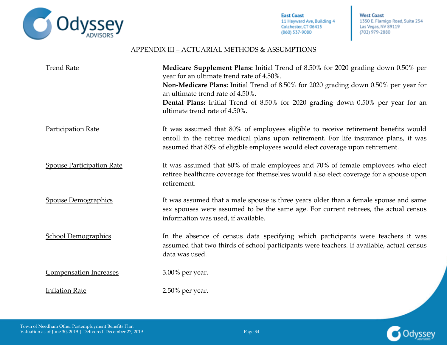

**West Coast** 1350 E. Flamigo Road, Suite 254 Las Vegas, NV 89119 (702) 979-2880

#### APPENDIX III – ACTUARIAL METHODS & ASSUMPTIONS

| <b>Trend Rate</b>                | Medicare Supplement Plans: Initial Trend of 8.50% for 2020 grading down 0.50% per<br>year for an ultimate trend rate of 4.50%.<br>Non-Medicare Plans: Initial Trend of 8.50% for 2020 grading down 0.50% per year for<br>an ultimate trend rate of 4.50%.<br>Dental Plans: Initial Trend of 8.50% for 2020 grading down 0.50% per year for an<br>ultimate trend rate of 4.50%. |
|----------------------------------|--------------------------------------------------------------------------------------------------------------------------------------------------------------------------------------------------------------------------------------------------------------------------------------------------------------------------------------------------------------------------------|
| <b>Participation Rate</b>        | It was assumed that 80% of employees eligible to receive retirement benefits would<br>enroll in the retiree medical plans upon retirement. For life insurance plans, it was<br>assumed that 80% of eligible employees would elect coverage upon retirement.                                                                                                                    |
| <b>Spouse Participation Rate</b> | It was assumed that 80% of male employees and 70% of female employees who elect<br>retiree healthcare coverage for themselves would also elect coverage for a spouse upon<br>retirement.                                                                                                                                                                                       |
| <b>Spouse Demographics</b>       | It was assumed that a male spouse is three years older than a female spouse and same<br>sex spouses were assumed to be the same age. For current retirees, the actual census<br>information was used, if available.                                                                                                                                                            |
| <b>School Demographics</b>       | In the absence of census data specifying which participants were teachers it was<br>assumed that two thirds of school participants were teachers. If available, actual census<br>data was used.                                                                                                                                                                                |
| <b>Compensation Increases</b>    | 3.00% per year.                                                                                                                                                                                                                                                                                                                                                                |
| <b>Inflation Rate</b>            | 2.50% per year.                                                                                                                                                                                                                                                                                                                                                                |

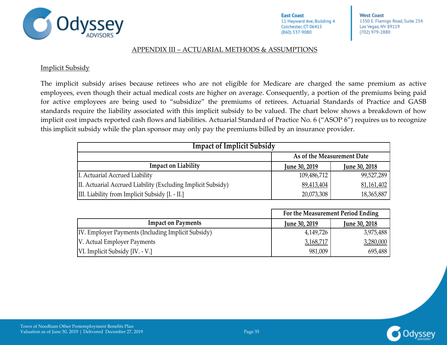

**West Coast** 1350 E. Flamigo Road, Suite 254 Las Vegas, NV 89119 (702) 979-2880

#### APPENDIX III – ACTUARIAL METHODS & ASSUMPTIONS

**Implicit Subsidy** 

The implicit subsidy arises because retirees who are not eligible for Medicare are charged the same premium as active employees, even though their actual medical costs are higher on average. Consequently, a portion of the premiums being paid for active employees are being used to "subsidize" the premiums of retirees. Actuarial Standards of Practice and GASB standards require the liability associated with this implicit subsidy to be valued. The chart below shows a breakdown of how implicit cost impacts reported cash flows and liabilities. Actuarial Standard of Practice No. 6 ("ASOP 6") requires us to recognize this implicit subsidy while the plan sponsor may only pay the premiums billed by an insurance provider.

| <b>Impact of Implicit Subsidy</b>                            |                      |                      |  |  |  |
|--------------------------------------------------------------|----------------------|----------------------|--|--|--|
| As of the Measurement Date                                   |                      |                      |  |  |  |
| <b>Impact on Liability</b>                                   | <b>June 30, 2019</b> | <b>June 30, 2018</b> |  |  |  |
| I. Actuarial Accrued Liability                               | 109,486,712          | 99,527,289           |  |  |  |
| II. Actuarial Accrued Liability (Excluding Implicit Subsidy) | 89,413,404           | 81,161,402           |  |  |  |
| III. Liability from Implicit Subsidy [I. - II.]              | 20,073,308           | 18,365,887           |  |  |  |

|                                                    |                      | For the Measurement Period Ending |  |  |  |
|----------------------------------------------------|----------------------|-----------------------------------|--|--|--|
| <b>Impact on Payments</b>                          | <b>June 30, 2019</b> | <b>June 30, 2018</b>              |  |  |  |
| IV. Employer Payments (Including Implicit Subsidy) | 4,149,726            | 3,975,488                         |  |  |  |
| V. Actual Employer Payments                        | 3,168,717            | 3,280,000                         |  |  |  |
| VI. Implicit Subsidy [IV. - V.]                    | 981,009              | 695,488                           |  |  |  |

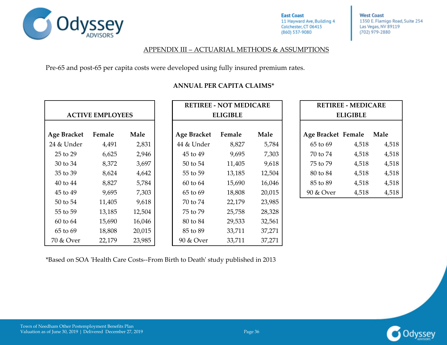

**West Coast** 1350 E. Flamigo Road, Suite 254 Las Vegas, NV 89119 (702) 979-2880

#### APPENDIX III – ACTUARIAL METHODS & ASSUMPTIONS

Pre-65 and post-65 per capita costs were developed using fully insured premium rates.

|                         |        |                 |                    | <b>RETIREE - NOT MEDICARE</b> |                 |                    | <b>RETIREE - MEDICARE</b> |       |
|-------------------------|--------|-----------------|--------------------|-------------------------------|-----------------|--------------------|---------------------------|-------|
| <b>ACTIVE EMPLOYEES</b> |        | <b>ELIGIBLE</b> |                    |                               | <b>ELIGIBLE</b> |                    |                           |       |
| Age Bracket             | Female | Male            | <b>Age Bracket</b> | Female                        | Male            | Age Bracket Female |                           | Male  |
| 24 & Under              | 4,491  | 2,831           | 44 & Under         | 8,827                         | 5,784           | 65 to 69           | 4,518                     | 4,518 |
| 25 to 29                | 6,625  | 2,946           | 45 to 49           | 9,695                         | 7,303           | 70 to 74           | 4,518                     | 4,518 |
| 30 to 34                | 8,372  | 3,697           | 50 to 54           | 11,405                        | 9,618           | 75 to 79           | 4,518                     | 4,518 |
| 35 to 39                | 8,624  | 4,642           | 55 to 59           | 13,185                        | 12,504          | 80 to 84           | 4,518                     | 4,518 |
| $40$ to $44$            | 8,827  | 5,784           | $60$ to $64$       | 15,690                        | 16,046          | 85 to 89           | 4,518                     | 4,518 |
| 45 to 49                | 9,695  | 7,303           | 65 to 69           | 18,808                        | 20,015          | 90 & Over          | 4,518                     | 4,518 |
| 50 to 54                | 11,405 | 9,618           | 70 to 74           | 22,179                        | 23,985          |                    |                           |       |
| 55 to 59                | 13,185 | 12,504          | 75 to 79           | 25,758                        | 28,328          |                    |                           |       |
| $60$ to $64$            | 15,690 | 16,046          | 80 to 84           | 29,533                        | 32,561          |                    |                           |       |
| 65 to 69                | 18,808 | 20,015          | 85 to 89           | 33,711                        | 37,271          |                    |                           |       |
| 70 & Over               | 22,179 | 23,985          | 90 & Over          | 33,711                        | 37,271          |                    |                           |       |

### **ANNUAL PER CAPITA CLAIMS\***

\*Based on SOA 'Health Care Costs--From Birth to Death' study published in 2013

| <b>RETIREE - MEDICARE</b><br>ELIGIBLE |       |       |  |  |  |  |
|---------------------------------------|-------|-------|--|--|--|--|
| Male<br>Age Bracket Female            |       |       |  |  |  |  |
| 65 to 69                              | 4,518 | 4,518 |  |  |  |  |
| 70 to 74                              | 4,518 | 4,518 |  |  |  |  |
| 75 to 79                              | 4,518 | 4,518 |  |  |  |  |
| 80 to 84                              | 4,518 | 4,518 |  |  |  |  |
| 85 to 89                              | 4,518 | 4,518 |  |  |  |  |
| 90 & Over                             | 4,518 | 4,518 |  |  |  |  |

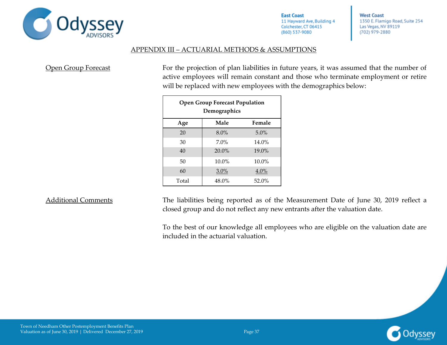

**West Coast** 1350 E. Flamigo Road, Suite 254 Las Vegas, NV 89119 (702) 979-2880

#### APPENDIX III – ACTUARIAL METHODS & ASSUMPTIONS

Open Group Forecast For the projection of plan liabilities in future years, it was assumed that the number of active employees will remain constant and those who terminate employment or retire will be replaced with new employees with the demographics below:

| <b>Open Group Forecast Population</b><br>Demographics |          |          |  |  |  |
|-------------------------------------------------------|----------|----------|--|--|--|
| Age                                                   | Male     | Female   |  |  |  |
| 20                                                    | 8.0%     | 5.0%     |  |  |  |
| 30                                                    | 7.0%     | 14.0%    |  |  |  |
| 40                                                    | $20.0\%$ | 19.0%    |  |  |  |
| 50                                                    | $10.0\%$ | $10.0\%$ |  |  |  |
| 60                                                    | 3.0%     | 4.0%     |  |  |  |
| Total                                                 | 48.0%    | 52.0%    |  |  |  |

Additional Comments The liabilities being reported as of the Measurement Date of June 30, 2019 reflect a closed group and do not reflect any new entrants after the valuation date.

> To the best of our knowledge all employees who are eligible on the valuation date are included in the actuarial valuation.

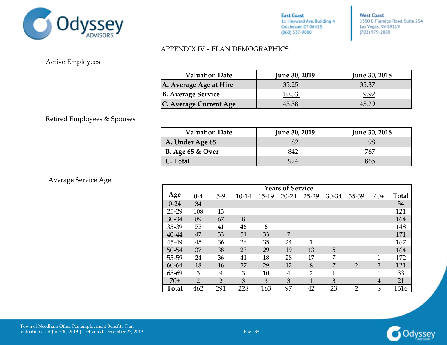

**West Coast** 1350 E. Flamigo Road, Suite 254 Las Vegas, NV 89119 (702) 979-2880

### APPENDIX IV – PLAN DEMOGRAPHICS

### <span id="page-46-0"></span>Active Employees

| <b>Valuation Date</b>     | <b>June 30, 2019</b> | <b>June 30, 2018</b> |
|---------------------------|----------------------|----------------------|
| A. Average Age at Hire    | 35.25                | 35.37                |
| <b>B.</b> Average Service | 10.33                | 9.92                 |
| C. Average Current Age    | 45.58                | 45.29                |

#### Retired Employees & Spouses

| <b>Valuation Date</b>   | <b>June 30, 2019</b> | <b>June 30, 2018</b> |
|-------------------------|----------------------|----------------------|
| A. Under Age 65         |                      |                      |
| <b>B.</b> Age 65 & Over |                      | 767                  |
| C. Total                | 924                  | 865                  |

#### Average Service Age

|              | <b>Years of Service</b> |                |       |       |           |                |              |                |                |       |
|--------------|-------------------------|----------------|-------|-------|-----------|----------------|--------------|----------------|----------------|-------|
| Age          | $0 - 4$                 | $5-9$          | 10-14 | 15-19 | $20 - 24$ | $25 - 29$      | 30-34        | 35-39          | $40+$          | Total |
| $0 - 24$     | 34                      |                |       |       |           |                |              |                |                | 34    |
| $25-29$      | 108                     | 13             |       |       |           |                |              |                |                | 121   |
| 30-34        | 89                      | 67             | 8     |       |           |                |              |                |                | 164   |
| 35-39        | 55                      | 41             | 46    | 6     |           |                |              |                |                | 148   |
| 40-44        | 47                      | 33             | 51    | 33    | 7         |                |              |                |                | 171   |
| 45-49        | 45                      | 36             | 26    | 35    | 24        | 1              |              |                |                | 167   |
| 50-54        | 37                      | 38             | 23    | 29    | 19        | 13             | 5            |                |                | 164   |
| 55-59        | 24                      | 36             | 41    | 18    | 28        | 17             | 7            |                | 1              | 172   |
| 60-64        | 18                      | 16             | 27    | 29    | 12        | 8              | 7            | $\overline{2}$ | $\overline{2}$ | 121   |
| 65-69        | 3                       | 9              | 3     | 10    | 4         | $\overline{2}$ | $\mathbf{1}$ |                | 1              | 33    |
| $70+$        | $\overline{2}$          | $\overline{2}$ | 3     | 3     | 3         | 1              | 3            |                | 4              | 21    |
| <b>Total</b> | 462                     | 291            | 228   | 163   | 97        | 42             | 23           | $\overline{2}$ | 8              | 1316  |

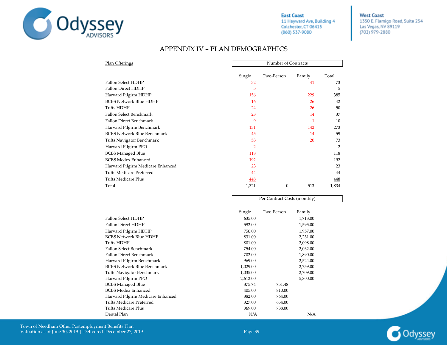

Per Contract Costs (monthly)

**West Coast** 1350 E. Flamigo Road, Suite 254 Las Vegas, NV 89119 (702) 979-2880

### APPENDIX IV – PLAN DEMOGRAPHICS

| Plan Offerings                     |                | Number of Contracts |              |            |  |  |
|------------------------------------|----------------|---------------------|--------------|------------|--|--|
|                                    | Single         | Two-Person          | Family       | Total      |  |  |
| <b>Fallon Select HDHP</b>          | 32             |                     | 41           | 73         |  |  |
| <b>Fallon Direct HDHP</b>          | 5              |                     |              | 5          |  |  |
| Harvard Pilgirm HDHP               | 156            |                     | 229          | 385        |  |  |
| <b>BCBS Network Blue HDHP</b>      | 16             |                     | 26           | 42         |  |  |
| Tufts HDHP                         | 24             |                     | 26           | 50         |  |  |
| Fallon Select Benchmark            | 23             |                     | 14           | 37         |  |  |
| Fallon Direct Benchmark            | 9              |                     | $\mathbf{1}$ | 10         |  |  |
| Harvard Pilgirm Benchmark          | 131            |                     | 142          | 273        |  |  |
| <b>BCBS Network Blue Benchmark</b> | 45             |                     | 14           | 59         |  |  |
| Tufts Navigator Benchmark          | 53             |                     | 20           | 73         |  |  |
| Harvard Pilgirm PPO                | $\overline{2}$ |                     |              | 2          |  |  |
| <b>BCBS Managed Blue</b>           | 118            |                     |              | 118        |  |  |
| <b>BCBS Medex Enhanced</b>         | 192            |                     |              | 192        |  |  |
| Harvard Pilgirm Medicare Enhanced  | 23             |                     |              | 23         |  |  |
| <b>Tufts Medicare Preferred</b>    | 44             |                     |              | 44         |  |  |
| <b>Tufts Medicare Plus</b>         | <u>448</u>     |                     |              | <u>448</u> |  |  |
| Total                              | 1,321          | $\mathbf{0}$        | 513          | 1,834      |  |  |

| Single   | Two-Person | Family   |
|----------|------------|----------|
| 635.00   |            | 1,713.00 |
| 592.00   |            | 1,595.00 |
| 750.00   |            | 1,957.00 |
| 831.00   |            | 2,231.00 |
| 801.00   |            | 2,098.00 |
| 754.00   |            | 2,032.00 |
| 702.00   |            | 1,890.00 |
| 969.00   |            | 2,524.00 |
| 1,029.00 |            | 2,759.00 |
| 1,035.00 |            | 2,709.00 |
| 2,612.00 |            | 5,800.00 |
| 375.74   | 751.48     |          |
| 405.00   | 810.00     |          |
| 382.00   | 764.00     |          |
| 327.00   | 654.00     |          |
| 369.00   | 738.00     |          |
| N/A      |            | N/A      |
|          |            |          |

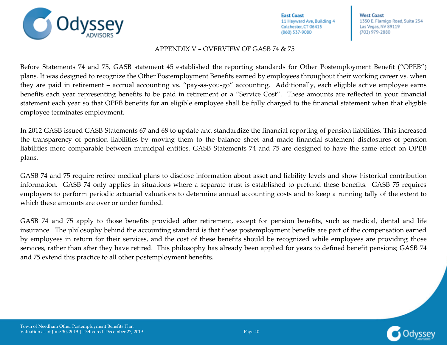**West Coast** 1350 E. Flamigo Road, Suite 254 Las Vegas, NV 89119 (702) 979-2880

#### APPENDIX V – OVERVIEW OF GASB 74 & 75

<span id="page-48-0"></span>Before Statements 74 and 75, GASB statement 45 established the reporting standards for Other Postemployment Benefit ("OPEB") plans. It was designed to recognize the Other Postemployment Benefits earned by employees throughout their working career vs. when they are paid in retirement – accrual accounting vs. "pay-as-you-go" accounting. Additionally, each eligible active employee earns benefits each year representing benefits to be paid in retirement or a "Service Cost". These amounts are reflected in your financial statement each year so that OPEB benefits for an eligible employee shall be fully charged to the financial statement when that eligible employee terminates employment.

In 2012 GASB issued GASB Statements 67 and 68 to update and standardize the financial reporting of pension liabilities. This increased the transparency of pension liabilities by moving them to the balance sheet and made financial statement disclosures of pension liabilities more comparable between municipal entities. GASB Statements 74 and 75 are designed to have the same effect on OPEB plans.

GASB 74 and 75 require retiree medical plans to disclose information about asset and liability levels and show historical contribution information. GASB 74 only applies in situations where a separate trust is established to prefund these benefits. GASB 75 requires employers to perform periodic actuarial valuations to determine annual accounting costs and to keep a running tally of the extent to which these amounts are over or under funded.

GASB 74 and 75 apply to those benefits provided after retirement, except for pension benefits, such as medical, dental and life insurance. The philosophy behind the accounting standard is that these postemployment benefits are part of the compensation earned by employees in return for their services, and the cost of these benefits should be recognized while employees are providing those services, rather than after they have retired. This philosophy has already been applied for years to defined benefit pensions; GASB 74 and 75 extend this practice to all other postemployment benefits.

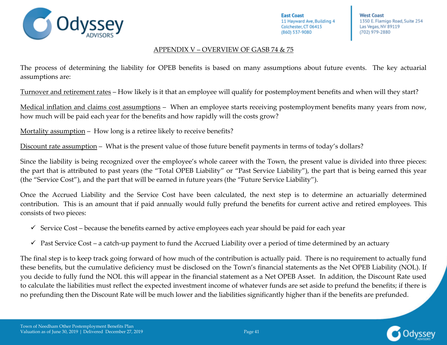

**West Coast** 1350 E. Flamigo Road, Suite 254 Las Vegas, NV 89119 (702) 979-2880

#### APPENDIX V – OVERVIEW OF GASB 74 & 75

The process of determining the liability for OPEB benefits is based on many assumptions about future events. The key actuarial assumptions are:

Turnover and retirement rates – How likely is it that an employee will qualify for postemployment benefits and when will they start?

Medical inflation and claims cost assumptions –When an employee starts receiving postemployment benefits many years from now, how much will be paid each year for the benefits and how rapidly will the costs grow?

Mortality assumption – How long is a retiree likely to receive benefits?

Discount rate assumption – What is the present value of those future benefit payments in terms of today's dollars?

Since the liability is being recognized over the employee's whole career with the Town, the present value is divided into three pieces: the part that is attributed to past years (the "Total OPEB Liability" or "Past Service Liability"), the part that is being earned this year (the "Service Cost"), and the part that will be earned in future years (the "Future Service Liability").

Once the Accrued Liability and the Service Cost have been calculated, the next step is to determine an actuarially determined contribution. This is an amount that if paid annually would fully prefund the benefits for current active and retired employees. This consists of two pieces:

- $\checkmark$  Service Cost because the benefits earned by active employees each year should be paid for each year
- $\checkmark$  Past Service Cost a catch-up payment to fund the Accrued Liability over a period of time determined by an actuary

The final step is to keep track going forward of how much of the contribution is actually paid. There is no requirement to actually fund these benefits, but the cumulative deficiency must be disclosed on the Town's financial statements as the Net OPEB Liability (NOL). If you decide to fully fund the NOL this will appear in the financial statement as a Net OPEB Asset. In addition, the Discount Rate used to calculate the liabilities must reflect the expected investment income of whatever funds are set aside to prefund the benefits; if there is no prefunding then the Discount Rate will be much lower and the liabilities significantly higher than if the benefits are prefunded.

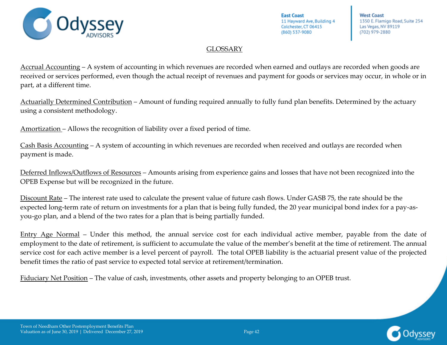

**West Coast** 1350 E. Flamigo Road, Suite 254 Las Vegas, NV 89119 (702) 979-2880

### GLOSSARY

<span id="page-50-0"></span>Accrual Accounting – A system of accounting in which revenues are recorded when earned and outlays are recorded when goods are received or services performed, even though the actual receipt of revenues and payment for goods or services may occur, in whole or in part, at a different time.

Actuarially Determined Contribution – Amount of funding required annually to fully fund plan benefits. Determined by the actuary using a consistent methodology.

Amortization – Allows the recognition of liability over a fixed period of time.

Cash Basis Accounting – A system of accounting in which revenues are recorded when received and outlays are recorded when payment is made.

Deferred Inflows/Outflows of Resources – Amounts arising from experience gains and losses that have not been recognized into the OPEB Expense but will be recognized in the future.

Discount Rate – The interest rate used to calculate the present value of future cash flows. Under GASB 75, the rate should be the expected long-term rate of return on investments for a plan that is being fully funded, the 20 year municipal bond index for a pay-asyou-go plan, and a blend of the two rates for a plan that is being partially funded.

Entry Age Normal – Under this method, the annual service cost for each individual active member, payable from the date of employment to the date of retirement, is sufficient to accumulate the value of the member's benefit at the time of retirement. The annual service cost for each active member is a level percent of payroll. The total OPEB liability is the actuarial present value of the projected benefit times the ratio of past service to expected total service at retirement/termination.

Fiduciary Net Position – The value of cash, investments, other assets and property belonging to an OPEB trust.